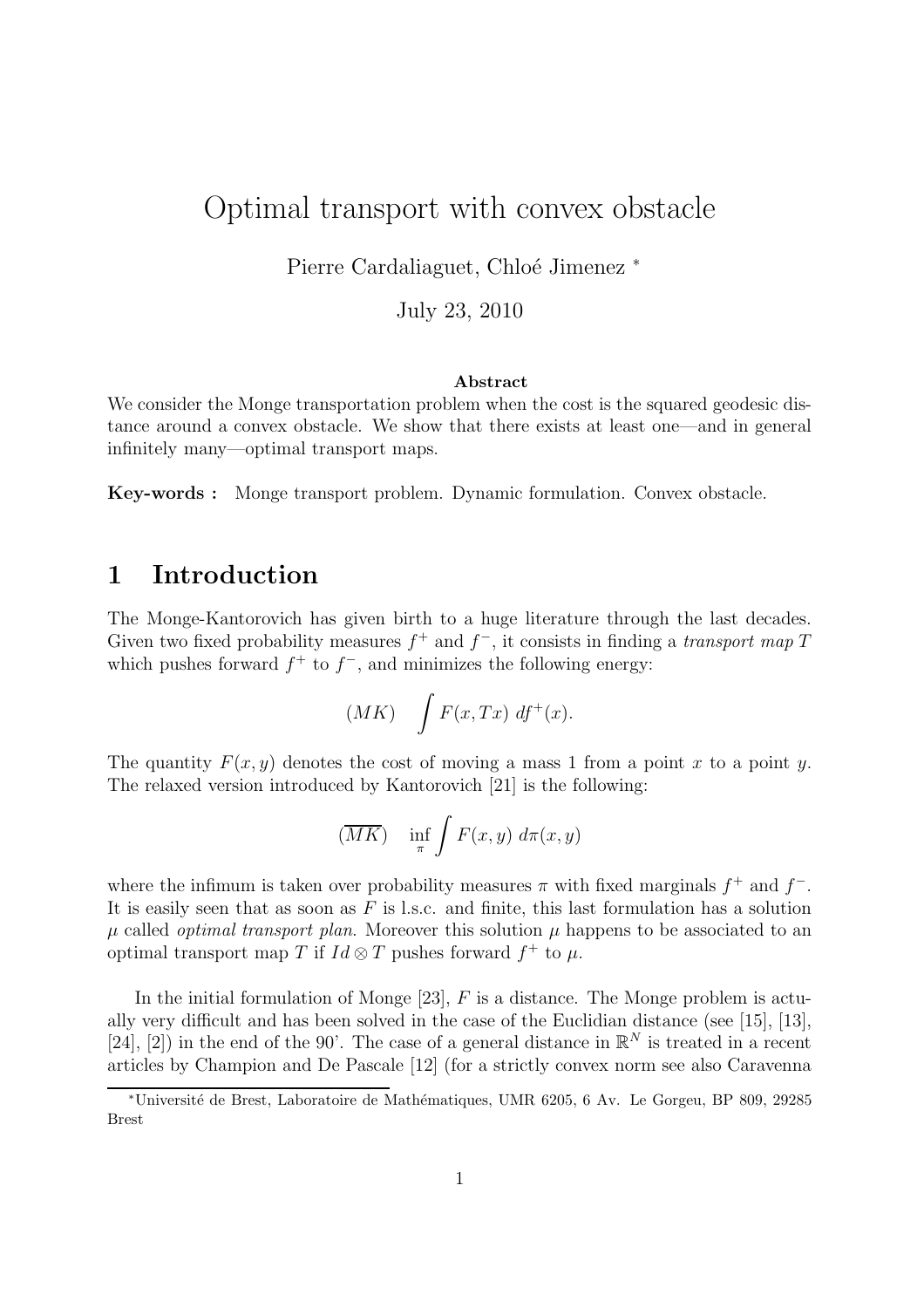# Optimal transport with convex obstacle

Pierre Cardaliaguet, Chloé Jimenez \*

July 23, 2010

#### Abstract

We consider the Monge transportation problem when the cost is the squared geodesic distance around a convex obstacle. We show that there exists at least one—and in general infinitely many—optimal transport maps.

Key-words : Monge transport problem. Dynamic formulation. Convex obstacle.

## 1 Introduction

The Monge-Kantorovich has given birth to a huge literature through the last decades. Given two fixed probability measures  $f^+$  and  $f^-$ , it consists in finding a *transport map* T which pushes forward  $f^+$  to  $f^-$ , and minimizes the following energy:

$$
(MK) \quad \int F(x, Tx) \; df^+(x).
$$

The quantity  $F(x, y)$  denotes the cost of moving a mass 1 from a point x to a point y. The relaxed version introduced by Kantorovich [21] is the following:

$$
(\overline{MK}) \quad \inf_{\pi} \int F(x, y) \, d\pi(x, y)
$$

where the infimum is taken over probability measures  $\pi$  with fixed marginals  $f^+$  and  $f^-$ . It is easily seen that as soon as  $F$  is l.s.c. and finite, this last formulation has a solution  $\mu$  called *optimal transport plan*. Moreover this solution  $\mu$  happens to be associated to an optimal transport map T if  $Id \otimes T$  pushes forward  $f^+$  to  $\mu$ .

In the initial formulation of Monge  $[23]$ , F is a distance. The Monge problem is actually very difficult and has been solved in the case of the Euclidian distance (see [15], [13], [24], [2]) in the end of the 90'. The case of a general distance in  $\mathbb{R}^N$  is treated in a recent articles by Champion and De Pascale [12] (for a strictly convex norm see also Caravenna

<sup>∗</sup>Universit´e de Brest, Laboratoire de Math´ematiques, UMR 6205, 6 Av. Le Gorgeu, BP 809, 29285 Brest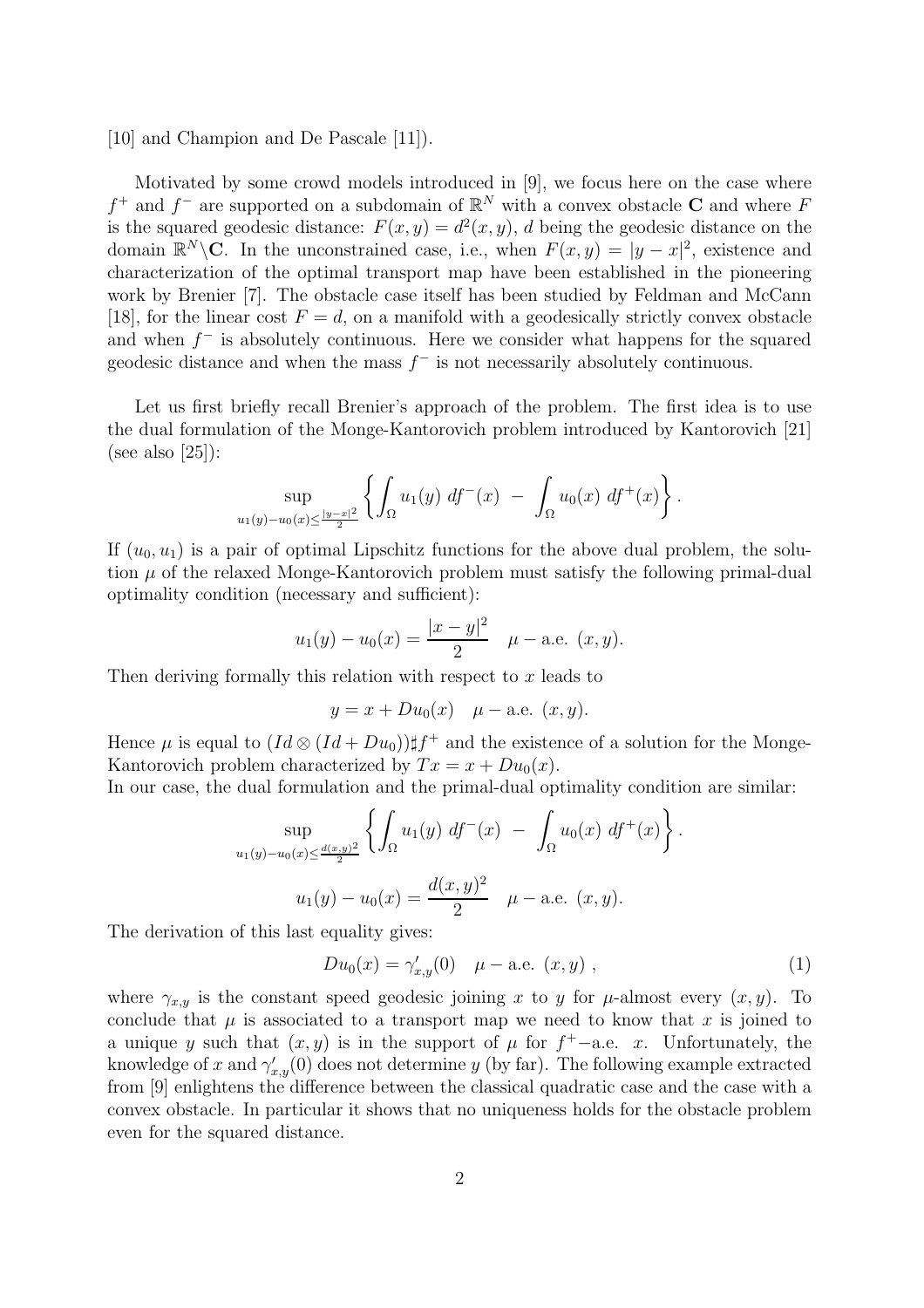[10] and Champion and De Pascale [11]).

Motivated by some crowd models introduced in [9], we focus here on the case where  $f^+$  and  $f^-$  are supported on a subdomain of  $\mathbb{R}^N$  with a convex obstacle **C** and where F is the squared geodesic distance:  $F(x, y) = d^2(x, y)$ , d being the geodesic distance on the domain  $\mathbb{R}^N \backslash \mathbb{C}$ . In the unconstrained case, i.e., when  $F(x, y) = |y - x|^2$ , existence and characterization of the optimal transport map have been established in the pioneering work by Brenier [7]. The obstacle case itself has been studied by Feldman and McCann [18], for the linear cost  $F = d$ , on a manifold with a geodesically strictly convex obstacle and when  $f^-$  is absolutely continuous. Here we consider what happens for the squared geodesic distance and when the mass  $f^-$  is not necessarily absolutely continuous.

Let us first briefly recall Brenier's approach of the problem. The first idea is to use the dual formulation of the Monge-Kantorovich problem introduced by Kantorovich [21] (see also  $[25]$ ):

$$
\sup_{u_1(y)-u_0(x)\leq \frac{|y-x|^2}{2}}\left\{\int_{\Omega}u_1(y)\;df^-(x)\;-\; \int_{\Omega}u_0(x)\;df^+(x)\right\}.
$$

If  $(u_0, u_1)$  is a pair of optimal Lipschitz functions for the above dual problem, the solution  $\mu$  of the relaxed Monge-Kantorovich problem must satisfy the following primal-dual optimality condition (necessary and sufficient):

$$
u_1(y) - u_0(x) = \frac{|x - y|^2}{2} \quad \mu - \text{a.e. } (x, y).
$$

Then deriving formally this relation with respect to  $x$  leads to

$$
y = x + Du_0(x)
$$
  $\mu$  – a.e.  $(x, y)$ .

Hence  $\mu$  is equal to  $(Id \otimes (Id + Du_0)) \sharp f^+$  and the existence of a solution for the Monge-Kantorovich problem characterized by  $Tx = x + Du_0(x)$ .

In our case, the dual formulation and the primal-dual optimality condition are similar:

$$
\sup_{u_1(y)-u_0(x)\leq \frac{d(x,y)^2}{2}} \left\{ \int_{\Omega} u_1(y) \, df^-(x) \, - \, \int_{\Omega} u_0(x) \, df^+(x) \right\}.
$$

$$
u_1(y) - u_0(x) = \frac{d(x,y)^2}{2} \, \mu - \text{a.e. } (x,y).
$$

The derivation of this last equality gives:

$$
Du_0(x) = \gamma'_{x,y}(0) \quad \mu-\text{a.e. } (x,y) \;, \tag{1}
$$

where  $\gamma_{x,y}$  is the constant speed geodesic joining x to y for  $\mu$ -almost every  $(x, y)$ . To conclude that  $\mu$  is associated to a transport map we need to know that  $x$  is joined to a unique y such that  $(x, y)$  is in the support of  $\mu$  for  $f^+$ -a.e. x. Unfortunately, the knowledge of x and  $\gamma_{x,y}'(0)$  does not determine y (by far). The following example extracted from [9] enlightens the difference between the classical quadratic case and the case with a convex obstacle. In particular it shows that no uniqueness holds for the obstacle problem even for the squared distance.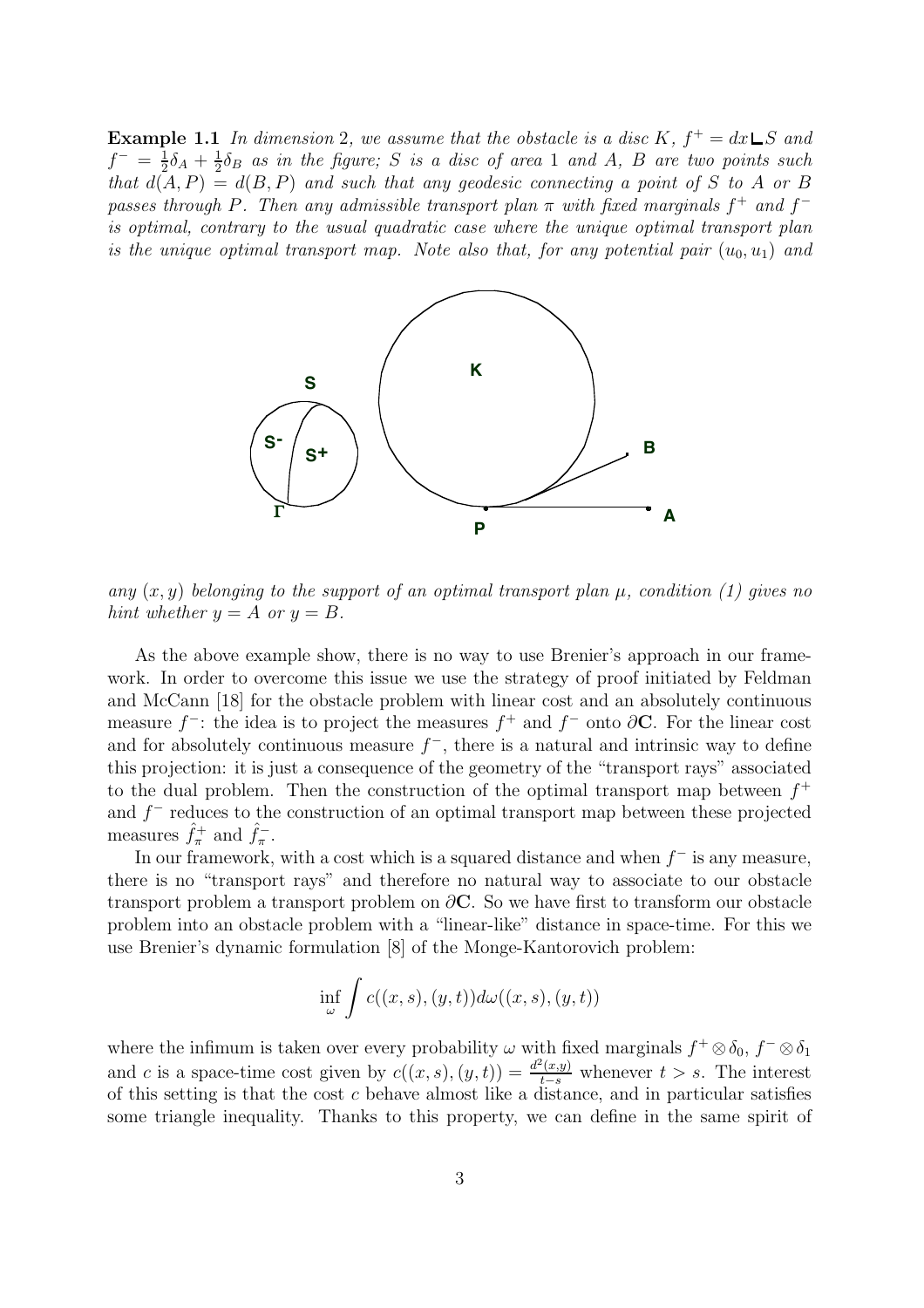**Example 1.1** In dimension 2, we assume that the obstacle is a disc K,  $f^+ = dx \sqcup S$  and  $f^{-} = \frac{1}{2}$  $\frac{1}{2}\delta_{A}+\frac{1}{2}$  $\frac{1}{2}\delta_B$  *as in the figure;* S *is a disc of area* 1 *and* A, B *are two points such that*  $d(A, P) = d(B, P)$  *and such that any geodesic connecting a point of* S *to* A *or* B *passes through* P. Then any admissible transport plan  $\pi$  with fixed marginals  $f^+$  and  $f^$ *is optimal, contrary to the usual quadratic case where the unique optimal transport plan is the unique optimal transport map. Note also that, for any potential pair*  $(u_0, u_1)$  *and* 



*any*  $(x, y)$  *belonging to the support of an optimal transport plan*  $\mu$ , *condition (1) gives no hint whether*  $y = A$  *or*  $y = B$ *.* 

As the above example show, there is no way to use Brenier's approach in our framework. In order to overcome this issue we use the strategy of proof initiated by Feldman and McCann [18] for the obstacle problem with linear cost and an absolutely continuous measure  $f^-$ : the idea is to project the measures  $f^+$  and  $f^-$  onto  $\partial \mathbf{C}$ . For the linear cost and for absolutely continuous measure  $f^-$ , there is a natural and intrinsic way to define this projection: it is just a consequence of the geometry of the "transport rays" associated to the dual problem. Then the construction of the optimal transport map between  $f^+$ and  $f^-$  reduces to the construction of an optimal transport map between these projected measures  $\hat{f}_{\pi}^+$  and  $\hat{f}_{\pi}^-$ .

In our framework, with a cost which is a squared distance and when  $f^-$  is any measure, there is no "transport rays" and therefore no natural way to associate to our obstacle transport problem a transport problem on  $\partial$ C. So we have first to transform our obstacle problem into an obstacle problem with a "linear-like" distance in space-time. For this we use Brenier's dynamic formulation [8] of the Monge-Kantorovich problem:

$$
\inf_{\omega} \int c((x,s),(y,t))d\omega((x,s),(y,t))
$$

where the infimum is taken over every probability  $\omega$  with fixed marginals  $f^+ \otimes \delta_0$ ,  $f^- \otimes \delta_1$ and c is a space-time cost given by  $c((x, s), (y, t)) = \frac{d^2(x, y)}{t-s}$  whenever  $t > s$ . The interest of this setting is that the cost  $c$  behave almost like a distance, and in particular satisfies some triangle inequality. Thanks to this property, we can define in the same spirit of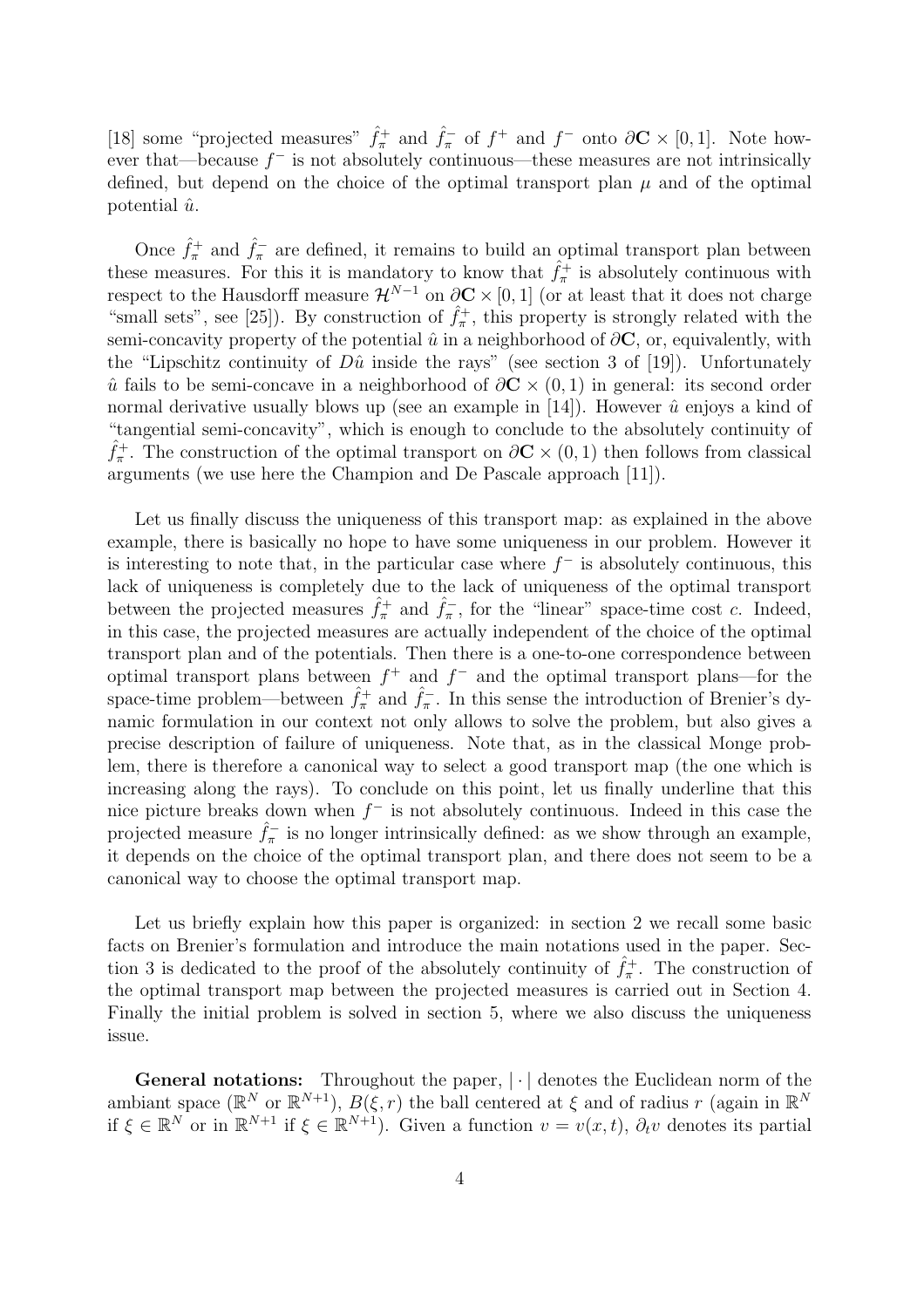[18] some "projected measures"  $\hat{f}_{\pi}^+$  and  $\hat{f}_{\pi}^-$  of  $f^+$  and  $f^-$  onto  $\partial \mathbf{C} \times [0,1]$ . Note however that—because  $f^-$  is not absolutely continuous—these measures are not intrinsically defined, but depend on the choice of the optimal transport plan  $\mu$  and of the optimal potential  $\hat{u}$ .

Once  $\hat{f}_{\pi}^+$  and  $\hat{f}_{\pi}^-$  are defined, it remains to build an optimal transport plan between these measures. For this it is mandatory to know that  $\hat{f}_{\pi}^{+}$  is absolutely continuous with respect to the Hausdorff measure  $\mathcal{H}^{N-1}$  on  $\partial \mathbf{C} \times [0,1]$  (or at least that it does not charge "small sets", see [25]). By construction of  $\hat{f}_{\pi}^{+}$ , this property is strongly related with the semi-concavity property of the potential  $\hat{u}$  in a neighborhood of  $\partial \mathbf{C}$ , or, equivalently, with the "Lipschitz continuity of  $D\hat{u}$  inside the rays" (see section 3 of [19]). Unfortunately  $\hat{u}$  fails to be semi-concave in a neighborhood of  $\partial \mathbf{C} \times (0,1)$  in general: its second order normal derivative usually blows up (see an example in  $[14]$ ). However  $\hat{u}$  enjoys a kind of "tangential semi-concavity", which is enough to conclude to the absolutely continuity of  $\hat{f}_{\pi}^+$ . The construction of the optimal transport on  $\partial \mathbf{C} \times (0,1)$  then follows from classical arguments (we use here the Champion and De Pascale approach [11]).

Let us finally discuss the uniqueness of this transport map: as explained in the above example, there is basically no hope to have some uniqueness in our problem. However it is interesting to note that, in the particular case where  $f^-$  is absolutely continuous, this lack of uniqueness is completely due to the lack of uniqueness of the optimal transport between the projected measures  $\hat{f}_{\pi}^+$  and  $\hat{f}_{\pi}^-$ , for the "linear" space-time cost c. Indeed, in this case, the projected measures are actually independent of the choice of the optimal transport plan and of the potentials. Then there is a one-to-one correspondence between optimal transport plans between  $f^+$  and  $f^-$  and the optimal transport plans—for the space-time problem—between  $\hat{f}_{\pi}^+$  and  $\hat{f}_{\pi}^-$ . In this sense the introduction of Brenier's dynamic formulation in our context not only allows to solve the problem, but also gives a precise description of failure of uniqueness. Note that, as in the classical Monge problem, there is therefore a canonical way to select a good transport map (the one which is increasing along the rays). To conclude on this point, let us finally underline that this nice picture breaks down when  $f^-$  is not absolutely continuous. Indeed in this case the projected measure  $\hat{f}_{\pi}$  is no longer intrinsically defined: as we show through an example, it depends on the choice of the optimal transport plan, and there does not seem to be a canonical way to choose the optimal transport map.

Let us briefly explain how this paper is organized: in section 2 we recall some basic facts on Brenier's formulation and introduce the main notations used in the paper. Section 3 is dedicated to the proof of the absolutely continuity of  $\hat{f}^+_{\pi}$ . The construction of the optimal transport map between the projected measures is carried out in Section 4. Finally the initial problem is solved in section 5, where we also discuss the uniqueness issue.

General notations: Throughout the paper,  $|\cdot|$  denotes the Euclidean norm of the ambiant space ( $\mathbb{R}^N$  or  $\mathbb{R}^{N+1}$ ),  $B(\xi, r)$  the ball centered at  $\xi$  and of radius r (again in  $\mathbb{R}^N$ if  $\xi \in \mathbb{R}^N$  or in  $\mathbb{R}^{N+1}$  if  $\xi \in \mathbb{R}^{N+1}$ . Given a function  $v = v(x, t)$ ,  $\partial_t v$  denotes its partial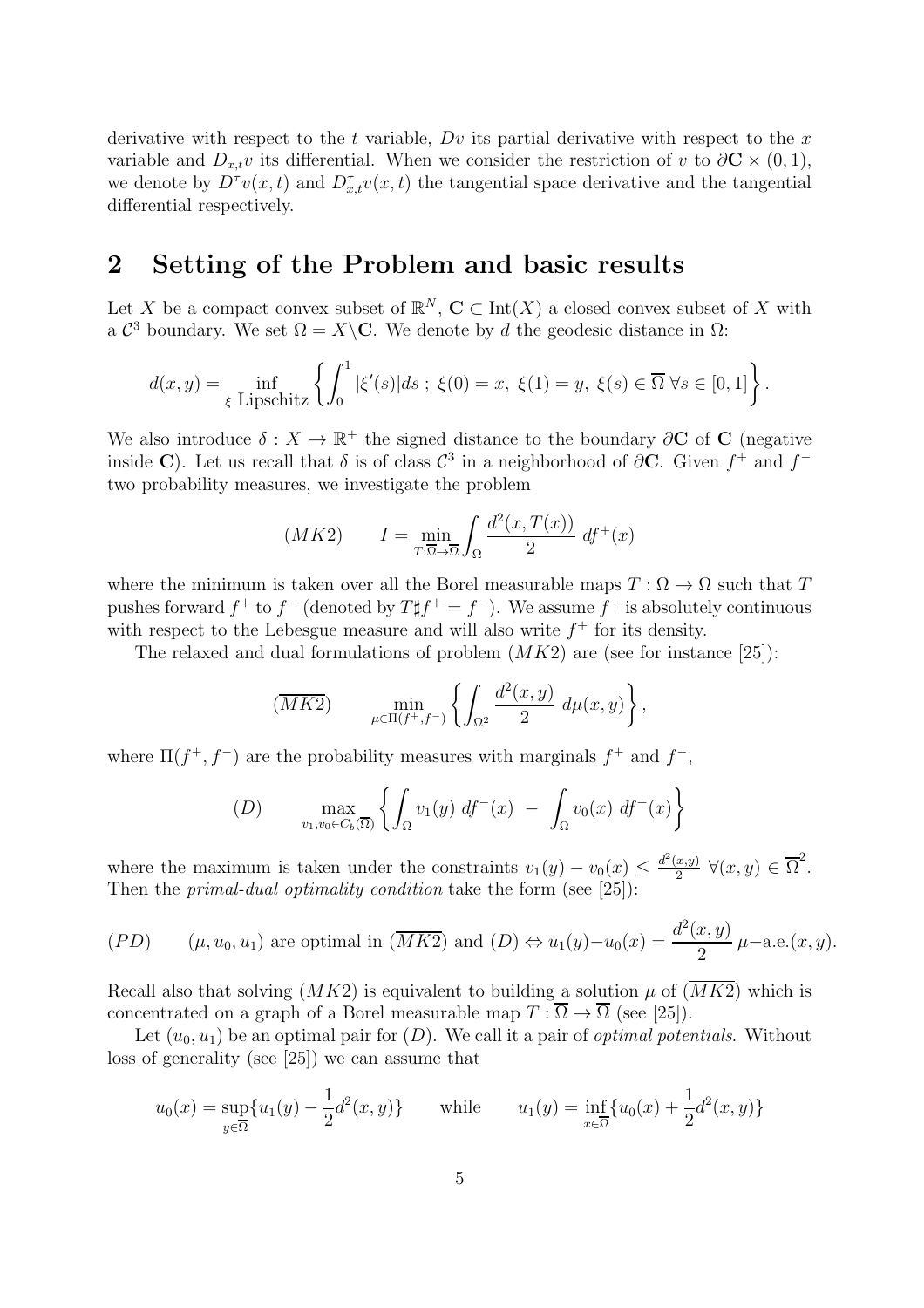derivative with respect to the t variable,  $Dv$  its partial derivative with respect to the x variable and  $D_{x,t}v$  its differential. When we consider the restriction of v to  $\partial \mathbf{C} \times (0,1)$ , we denote by  $D^{\tau}v(x,t)$  and  $D^{\tau}_{x,t}v(x,t)$  the tangential space derivative and the tangential differential respectively.

## 2 Setting of the Problem and basic results

Let X be a compact convex subset of  $\mathbb{R}^N$ ,  $\mathbb{C} \subset \mathrm{Int}(X)$  a closed convex subset of X with a  $\mathcal{C}^3$  boundary. We set  $\Omega = X \backslash \mathbf{C}$ . We denote by d the geodesic distance in  $\Omega$ :

$$
d(x,y) = \inf_{\xi \text{ Lipschitz}} \left\{ \int_0^1 |\xi'(s)| ds \; ; \; \xi(0) = x, \; \xi(1) = y, \; \xi(s) \in \overline{\Omega} \; \forall s \in [0,1] \right\}.
$$

We also introduce  $\delta: X \to \mathbb{R}^+$  the signed distance to the boundary  $\partial \mathbf{C}$  of  $\mathbf{C}$  (negative inside C). Let us recall that  $\delta$  is of class  $\mathcal{C}^3$  in a neighborhood of  $\partial \mathbf{C}$ . Given  $f^+$  and  $f^$ two probability measures, we investigate the problem

$$
(MK2) \qquad I = \min_{T:\overline{\Omega}\to\overline{\Omega}} \int_{\Omega} \frac{d^2(x, T(x))}{2} df^+(x)
$$

where the minimum is taken over all the Borel measurable maps  $T : \Omega \to \Omega$  such that T pushes forward  $f^+$  to  $f^-$  (denoted by  $T \sharp f^+ = f^-$ ). We assume  $f^+$  is absolutely continuous with respect to the Lebesgue measure and will also write  $f^+$  for its density.

The relaxed and dual formulations of problem  $(MK2)$  are (see for instance [25]):

$$
(\overline{MK2}) \qquad \min_{\mu \in \Pi(f^+, f^-)} \left\{ \int_{\Omega^2} \frac{d^2(x, y)}{2} \, d\mu(x, y) \right\},
$$

where  $\Pi(f^+, f^-)$  are the probability measures with marginals  $f^+$  and  $f^-$ ,

(D) 
$$
\max_{v_1, v_0 \in C_b(\overline{\Omega})} \left\{ \int_{\Omega} v_1(y) \, df^-(x) \, - \, \int_{\Omega} v_0(x) \, df^+(x) \right\}
$$

where the maximum is taken under the constraints  $v_1(y) - v_0(x) \leq \frac{d^2(x,y)}{2}$  $\frac{(x,y)}{2}$   $\forall (x,y) \in \overline{\Omega}^2$ . Then the *primal-dual optimality condition* take the form (see [25]):

$$
(PD) \qquad (\mu, u_0, u_1) \text{ are optimal in } (\overline{MK2}) \text{ and } (D) \Leftrightarrow u_1(y) - u_0(x) = \frac{d^2(x, y)}{2} \mu-\text{a.e.}(x, y).
$$

Recall also that solving  $(MK2)$  is equivalent to building a solution  $\mu$  of  $(MK2)$  which is concentrated on a graph of a Borel measurable map  $T : \overline{\Omega} \to \overline{\Omega}$  (see [25]).

Let  $(u_0, u_1)$  be an optimal pair for  $(D)$ . We call it a pair of *optimal potentials*. Without loss of generality (see [25]) we can assume that

$$
u_0(x) = \sup_{y \in \overline{\Omega}} \{ u_1(y) - \frac{1}{2} d^2(x, y) \} \quad \text{while} \quad u_1(y) = \inf_{x \in \overline{\Omega}} \{ u_0(x) + \frac{1}{2} d^2(x, y) \}
$$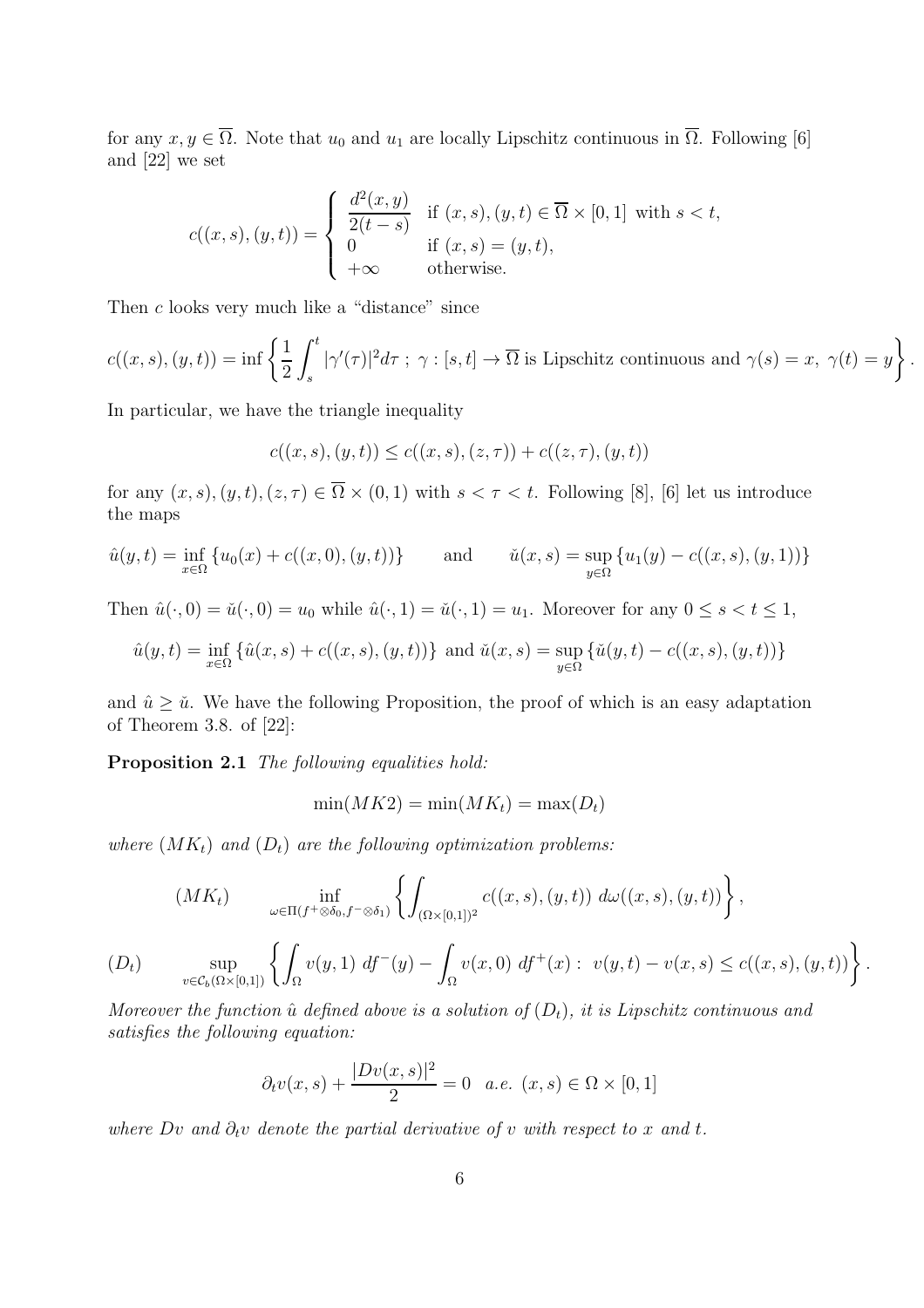for any  $x, y \in \overline{\Omega}$ . Note that  $u_0$  and  $u_1$  are locally Lipschitz continuous in  $\overline{\Omega}$ . Following [6] and [22] we set

$$
c((x, s), (y, t)) = \begin{cases} \frac{d^2(x, y)}{2(t - s)} & \text{if } (x, s), (y, t) \in \overline{\Omega} \times [0, 1] \text{ with } s < t, \\ 0 & \text{if } (x, s) = (y, t), \\ +\infty & \text{otherwise.} \end{cases}
$$

Then c looks very much like a "distance" since

$$
c((x,s),(y,t)) = \inf \left\{ \frac{1}{2} \int_s^t |\gamma'(\tau)|^2 d\tau \; ; \; \gamma : [s,t] \to \overline{\Omega} \text{ is Lipschitz continuous and } \gamma(s) = x, \; \gamma(t) = y \right\}
$$

.

In particular, we have the triangle inequality

$$
c((x,s),(y,t)) \leq c((x,s),(z,\tau)) + c((z,\tau),(y,t))
$$

for any  $(x, s), (y, t), (z, \tau) \in \overline{\Omega} \times (0, 1)$  with  $s < \tau < t$ . Following [8], [6] let us introduce the maps

$$
\hat{u}(y,t) = \inf_{x \in \Omega} \{ u_0(x) + c((x,0),(y,t)) \} \quad \text{and} \quad \check{u}(x,s) = \sup_{y \in \Omega} \{ u_1(y) - c((x,s),(y,1)) \}
$$

Then  $\hat{u}(\cdot, 0) = \check{u}(\cdot, 0) = u_0$  while  $\hat{u}(\cdot, 1) = \check{u}(\cdot, 1) = u_1$ . Moreover for any  $0 \le s < t \le 1$ ,

$$
\hat{u}(y,t) = \inf_{x \in \Omega} \{ \hat{u}(x,s) + c((x,s),(y,t)) \} \text{ and } \check{u}(x,s) = \sup_{y \in \Omega} \{ \check{u}(y,t) - c((x,s),(y,t)) \}
$$

and  $\hat{u} \geq \check{u}$ . We have the following Proposition, the proof of which is an easy adaptation of Theorem 3.8. of [22]:

Proposition 2.1 *The following equalities hold:*

$$
\min(MK2) = \min(MK_t) = \max(D_t)
$$

*where*  $(MK_t)$  *and*  $(D_t)$  *are the following optimization problems:* 

$$
(MKt) \inf_{\omega \in \Pi(f^+\otimes \delta_0, f^-\otimes \delta_1)} \left\{ \int_{(\Omega \times [0,1])^2} c((x,s),(y,t)) \, d\omega((x,s),(y,t)) \right\},
$$
  
\n
$$
(Dt) \sup_{v \in C_b(\Omega \times [0,1])} \left\{ \int_{\Omega} v(y,1) \, df^-(y) - \int_{\Omega} v(x,0) \, df^+(x) : \ v(y,t) - v(x,s) \le c((x,s),(y,t)) \right\}.
$$

*Moreover the function*  $\hat{u}$  *defined above is a solution of*  $(D_t)$ *, it is Lipschitz continuous and satisfies the following equation:*

$$
\partial_t v(x,s) + \frac{|Dv(x,s)|^2}{2} = 0
$$
 a.e.  $(x,s) \in \Omega \times [0,1]$ 

*where*  $Dv$  *and*  $\partial_t v$  *denote the partial derivative of* v *with respect to* x *and* t.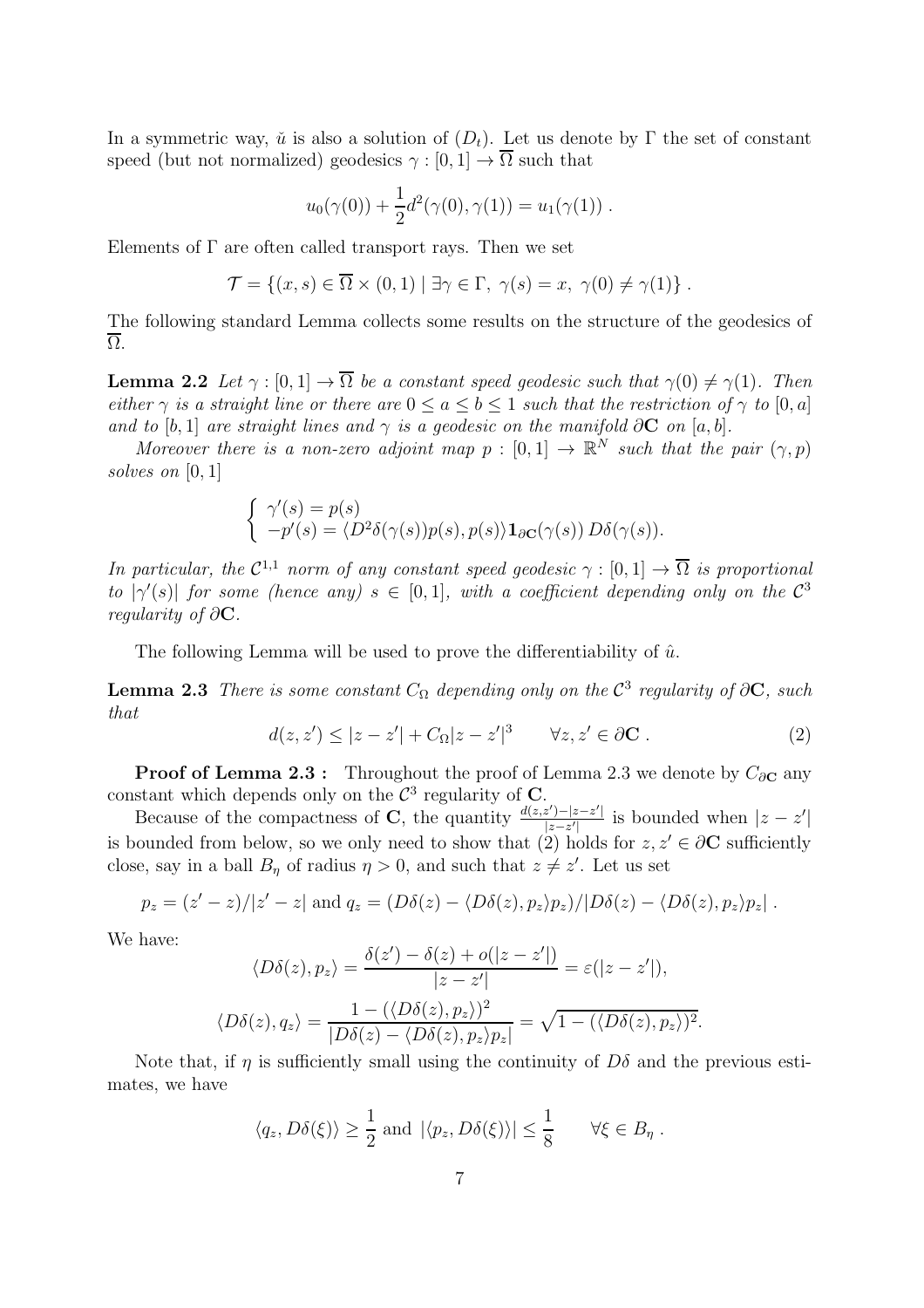In a symmetric way,  $\check{u}$  is also a solution of  $(D_t)$ . Let us denote by  $\Gamma$  the set of constant speed (but not normalized) geodesics  $\gamma : [0, 1] \to \Omega$  such that

$$
u_0(\gamma(0)) + \frac{1}{2}d^2(\gamma(0), \gamma(1)) = u_1(\gamma(1)) .
$$

Elements of  $\Gamma$  are often called transport rays. Then we set

$$
\mathcal{T} = \{(x, s) \in \overline{\Omega} \times (0, 1) \mid \exists \gamma \in \Gamma, \ \gamma(s) = x, \ \gamma(0) \neq \gamma(1) \}.
$$

The following standard Lemma collects some results on the structure of the geodesics of  $\overline{\Omega}$ .

**Lemma 2.2** *Let*  $\gamma : [0, 1] \to \overline{\Omega}$  *be a constant speed geodesic such that*  $\gamma(0) \neq \gamma(1)$ *. Then either*  $\gamma$  *is a straight line or there are*  $0 \le a \le b \le 1$  *such that the restriction of*  $\gamma$  *to* [0, a] *and to* [b, 1] *are straight lines and*  $\gamma$  *is a geodesic on the manifold* ∂C *on* [a, b].

*Moreover there is a non-zero adjoint map*  $p : [0,1] \to \mathbb{R}^N$  *such that the pair*  $(\gamma, p)$ *solves on* [0, 1]

$$
\begin{cases}\n\gamma'(s) = p(s) \\
-p'(s) = \langle D^2 \delta(\gamma(s)) p(s), p(s) \rangle \mathbf{1}_{\partial \mathbf{C}}(\gamma(s)) D\delta(\gamma(s)).\n\end{cases}
$$

*In particular, the*  $C^{1,1}$  *norm of any constant speed geodesic*  $\gamma : [0,1] \to \overline{\Omega}$  *is proportional to*  $|\gamma'(s)|$  *for some (hence any)*  $s \in [0,1]$ *, with a coefficient depending only on the*  $\mathcal{C}^3$ *regularity of* ∂C*.*

The following Lemma will be used to prove the differentiability of  $\hat{u}$ .

**Lemma 2.3** *There is some constant*  $C_{\Omega}$  *depending only on the*  $\mathcal{C}^3$  *regularity of*  $\partial \mathbf{C}$ *, such that*

$$
d(z, z') \le |z - z'| + C_{\Omega} |z - z'|^3 \qquad \forall z, z' \in \partial \mathbf{C} . \tag{2}
$$

**Proof of Lemma 2.3 :** Throughout the proof of Lemma 2.3 we denote by  $C_{\partial\mathbf{C}}$  any constant which depends only on the  $\mathcal{C}^3$  regularity of C.

Because of the compactness of C, the quantity  $\frac{d(z,z')-|z-z'|}{|z-z'|}$  $\frac{z^{\prime}-z^{\prime}|}{|z-z^{\prime}|}$  is bounded when  $|z-z^{\prime}|$ is bounded from below, so we only need to show that (2) holds for  $z, z' \in \partial \mathbf{C}$  sufficiently close, say in a ball  $B_{\eta}$  of radius  $\eta > 0$ , and such that  $z \neq z'$ . Let us set

$$
p_z = (z'-z)/|z'-z| \text{ and } q_z = (D\delta(z) - \langle D\delta(z), p_z \rangle p_z)/|D\delta(z) - \langle D\delta(z), p_z \rangle p_z|.
$$

We have:

$$
\langle D\delta(z), p_z \rangle = \frac{\delta(z') - \delta(z) + o(|z - z'|)}{|z - z'|} = \varepsilon(|z - z'|),
$$
  

$$
\langle D\delta(z), q_z \rangle = \frac{1 - (\langle D\delta(z), p_z \rangle)^2}{|D\delta(z) - \langle D\delta(z), p_z \rangle p_z|} = \sqrt{1 - (\langle D\delta(z), p_z \rangle)^2}.
$$

Note that, if  $\eta$  is sufficiently small using the continuity of  $D\delta$  and the previous estimates, we have

$$
\langle q_z, D\delta(\xi) \rangle \ge \frac{1}{2}
$$
 and  $|\langle p_z, D\delta(\xi) \rangle| \le \frac{1}{8}$   $\forall \xi \in B_\eta$ .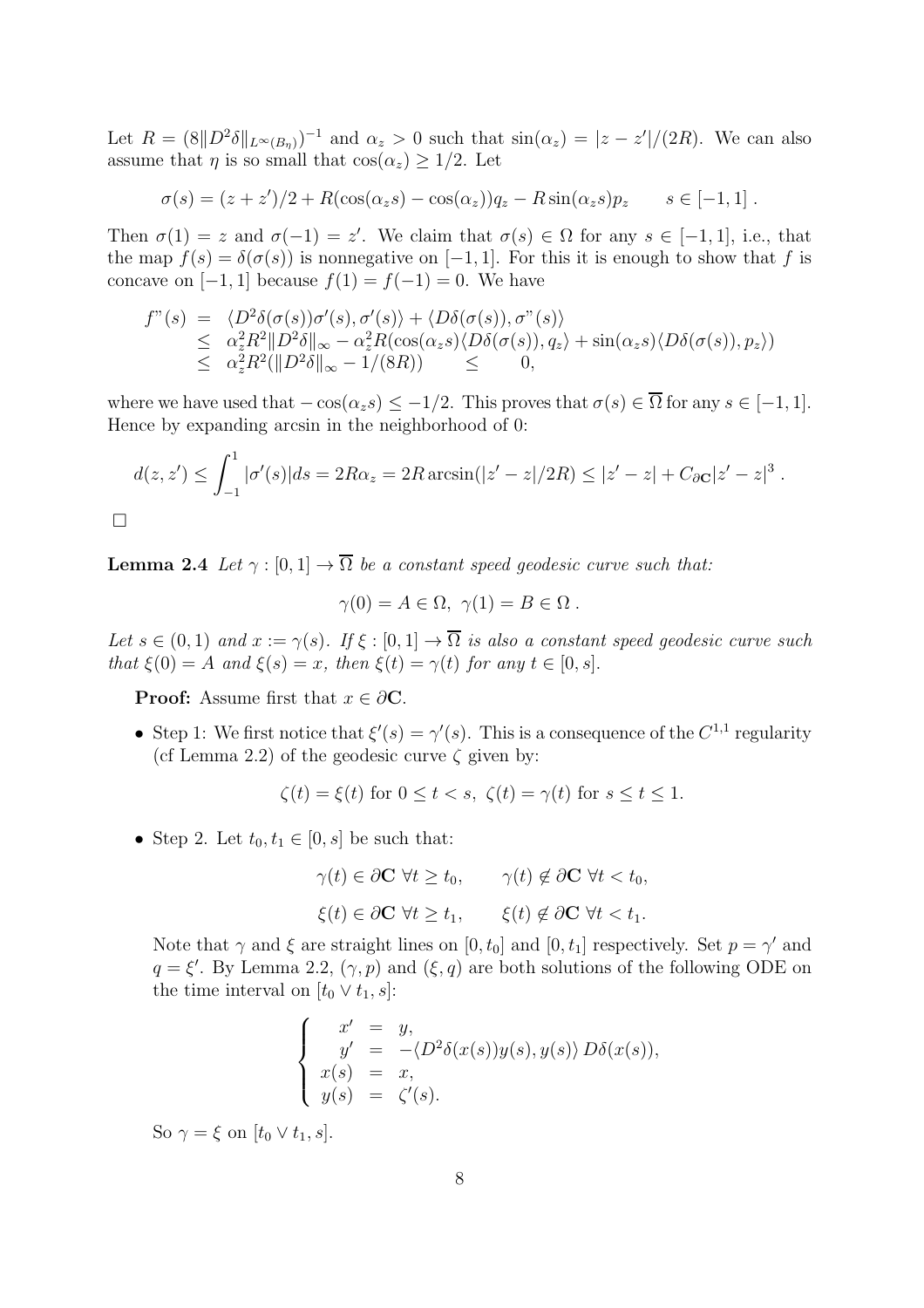Let  $R = (8||D^2 \delta||_{L^{\infty}(B_{\eta})})^{-1}$  and  $\alpha_z > 0$  such that  $\sin(\alpha_z) = |z - z'|/(2R)$ . We can also assume that  $\eta$  is so small that  $\cos(\alpha_z) \geq 1/2$ . Let

$$
\sigma(s) = (z + z')/2 + R(\cos(\alpha_z s) - \cos(\alpha_z))q_z - R\sin(\alpha_z s)p_z \qquad s \in [-1, 1].
$$

Then  $\sigma(1) = z$  and  $\sigma(-1) = z'$ . We claim that  $\sigma(s) \in \Omega$  for any  $s \in [-1,1]$ , i.e., that the map  $f(s) = \delta(\sigma(s))$  is nonnegative on [−1, 1]. For this it is enough to show that f is concave on [−1, 1] because  $f(1) = f(-1) = 0$ . We have

$$
f''(s) = \langle D^2 \delta(\sigma(s))\sigma'(s), \sigma'(s) \rangle + \langle D\delta(\sigma(s)), \sigma''(s) \rangle
$$
  
\n
$$
\leq \alpha_z^2 R^2 \|D^2 \delta\|_{\infty} - \alpha_z^2 R(\cos(\alpha_z s) \langle D\delta(\sigma(s)), q_z \rangle + \sin(\alpha_z s) \langle D\delta(\sigma(s)), p_z \rangle)
$$
  
\n
$$
\leq \alpha_z^2 R^2 (\|D^2 \delta\|_{\infty} - 1/(8R)) \leq 0,
$$

where we have used that  $-\cos(\alpha_s s) \leq -1/2$ . This proves that  $\sigma(s) \in \overline{\Omega}$  for any  $s \in [-1, 1]$ . Hence by expanding arcsin in the neighborhood of 0:

$$
d(z, z') \le \int_{-1}^{1} |\sigma'(s)| ds = 2R\alpha_z = 2R \arcsin(|z' - z|/2R) \le |z' - z| + C_{\partial \mathbf{C}} |z' - z|^3.
$$

**Lemma 2.4** *Let*  $\gamma : [0, 1] \to \overline{\Omega}$  *be a constant speed geodesic curve such that:* 

$$
\gamma(0) = A \in \Omega, \ \gamma(1) = B \in \Omega \ .
$$

*Let*  $s \in (0, 1)$  *and*  $x := \gamma(s)$ *.* If  $\xi : [0, 1] \to \overline{\Omega}$  *is also a constant speed geodesic curve such that*  $\xi(0) = A$  *and*  $\xi(s) = x$ *, then*  $\xi(t) = \gamma(t)$  *for any*  $t \in [0, s]$ *.* 

**Proof:** Assume first that  $x \in \partial \mathbb{C}$ .

• Step 1: We first notice that  $\xi'(s) = \gamma'(s)$ . This is a consequence of the  $C^{1,1}$  regularity (cf Lemma 2.2) of the geodesic curve  $\zeta$  given by:

$$
\zeta(t) = \xi(t) \text{ for } 0 \le t < s, \ \zeta(t) = \gamma(t) \text{ for } s \le t \le 1.
$$

• Step 2. Let  $t_0, t_1 \in [0, s]$  be such that:

$$
\gamma(t) \in \partial \mathbf{C} \ \forall t \ge t_0, \qquad \gamma(t) \notin \partial \mathbf{C} \ \forall t < t_0,
$$
\n
$$
\xi(t) \in \partial \mathbf{C} \ \forall t \ge t_1, \qquad \xi(t) \notin \partial \mathbf{C} \ \forall t < t_1.
$$

Note that  $\gamma$  and  $\xi$  are straight lines on  $[0, t_0]$  and  $[0, t_1]$  respectively. Set  $p = \gamma'$  and  $q = \xi'$ . By Lemma 2.2,  $(\gamma, p)$  and  $(\xi, q)$  are both solutions of the following ODE on the time interval on  $[t_0 \vee t_1, s]$ :

$$
\begin{cases}\nx' = y, \\
y' = -\langle D^2 \delta(x(s))y(s), y(s) \rangle D\delta(x(s)), \\
x(s) = x, \\
y(s) = \zeta'(s).\n\end{cases}
$$

So  $\gamma = \xi$  on  $[t_0 \vee t_1, s]$ .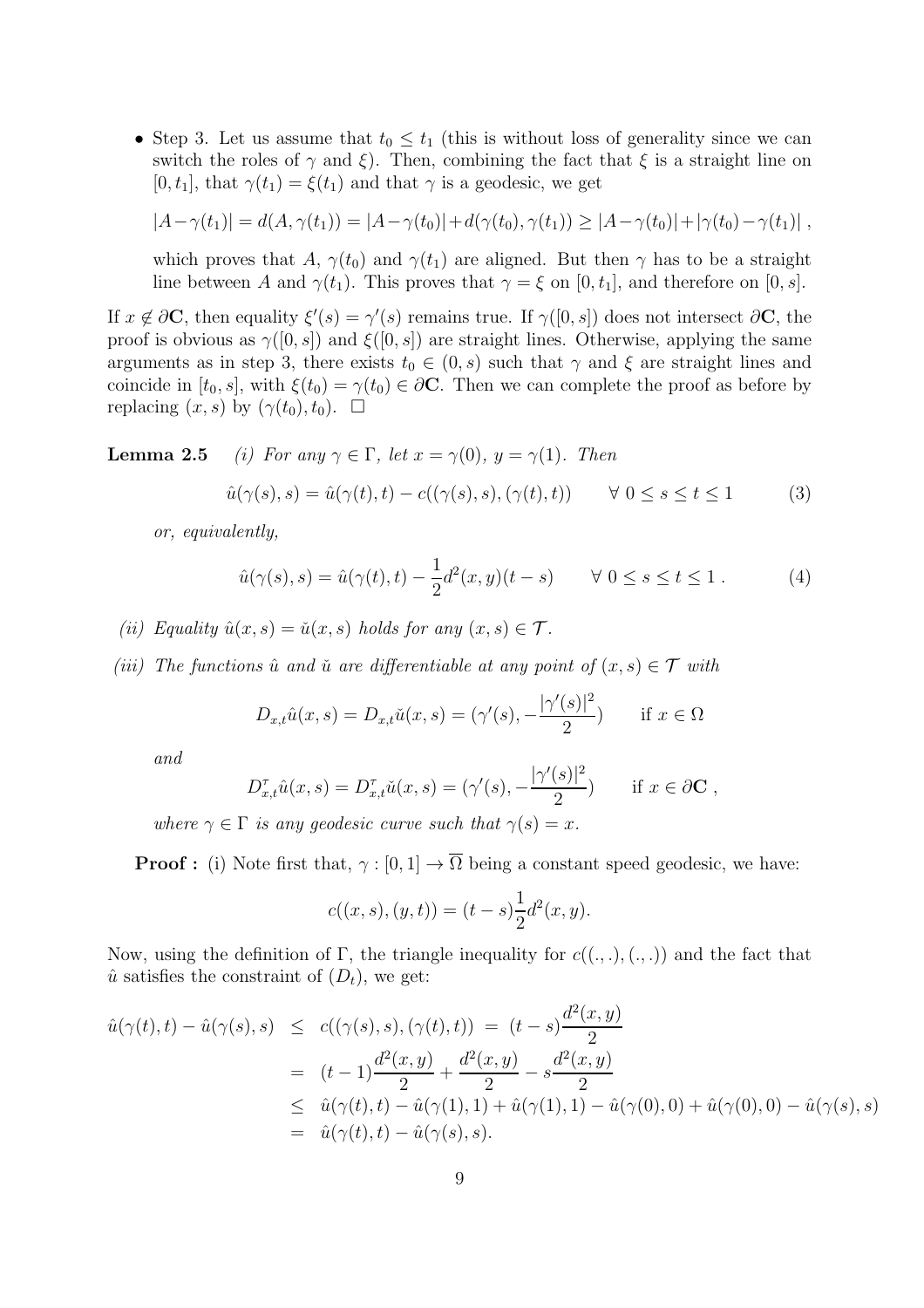• Step 3. Let us assume that  $t_0 \leq t_1$  (this is without loss of generality since we can switch the roles of  $\gamma$  and  $\xi$ ). Then, combining the fact that  $\xi$  is a straight line on  $[0, t_1]$ , that  $\gamma(t_1) = \xi(t_1)$  and that  $\gamma$  is a geodesic, we get

$$
|A - \gamma(t_1)| = d(A, \gamma(t_1)) = |A - \gamma(t_0)| + d(\gamma(t_0), \gamma(t_1)) \geq |A - \gamma(t_0)| + |\gamma(t_0) - \gamma(t_1)|,
$$

which proves that A,  $\gamma(t_0)$  and  $\gamma(t_1)$  are aligned. But then  $\gamma$  has to be a straight line between A and  $\gamma(t_1)$ . This proves that  $\gamma = \xi$  on [0, t<sub>1</sub>], and therefore on [0, s].

If  $x \notin \partial \mathbf{C}$ , then equality  $\xi'(s) = \gamma'(s)$  remains true. If  $\gamma([0, s])$  does not intersect  $\partial \mathbf{C}$ , the proof is obvious as  $\gamma([0, s])$  and  $\xi([0, s])$  are straight lines. Otherwise, applying the same arguments as in step 3, there exists  $t_0 \in (0, s)$  such that  $\gamma$  and  $\xi$  are straight lines and coincide in  $[t_0, s]$ , with  $\xi(t_0) = \gamma(t_0) \in \partial \mathbb{C}$ . Then we can complete the proof as before by replacing  $(x, s)$  by  $(\gamma(t_0), t_0)$ .  $\Box$ 

**Lemma 2.5** *(i)* For any  $\gamma \in \Gamma$ , let  $x = \gamma(0)$ ,  $y = \gamma(1)$ . Then

$$
\hat{u}(\gamma(s), s) = \hat{u}(\gamma(t), t) - c((\gamma(s), s), (\gamma(t), t)) \qquad \forall \ 0 \le s \le t \le 1 \tag{3}
$$

*or, equivalently,*

$$
\hat{u}(\gamma(s), s) = \hat{u}(\gamma(t), t) - \frac{1}{2}d^2(x, y)(t - s) \qquad \forall \ 0 \le s \le t \le 1.
$$
 (4)

*(ii)* Equality  $\hat{u}(x, s) = \check{u}(x, s)$  *holds for any*  $(x, s) \in \mathcal{T}$ *.* 

*(iii)* The functions  $\hat{u}$  and  $\check{u}$  are differentiable at any point of  $(x, s) \in \mathcal{T}$  with

$$
D_{x,t}\hat{u}(x,s) = D_{x,t}\check{u}(x,s) = (\gamma'(s), -\frac{|\gamma'(s)|^2}{2}) \quad \text{if } x \in \Omega
$$

*and*

$$
D_{x,t}^{\tau}\hat{u}(x,s) = D_{x,t}^{\tau}\check{u}(x,s) = (\gamma'(s), -\frac{|\gamma'(s)|^2}{2}) \quad \text{if } x \in \partial \mathbf{C},
$$

*where*  $\gamma \in \Gamma$  *is any geodesic curve such that*  $\gamma(s) = x$ *.* 

**Proof :** (i) Note first that,  $\gamma : [0, 1] \to \overline{\Omega}$  being a constant speed geodesic, we have:

$$
c((x, s), (y, t)) = (t - s)\frac{1}{2}d^{2}(x, y).
$$

Now, using the definition of Γ, the triangle inequality for  $c((, .), (., .))$  and the fact that  $\hat{u}$  satisfies the constraint of  $(D_t)$ , we get:

$$
\hat{u}(\gamma(t),t) - \hat{u}(\gamma(s),s) \leq c((\gamma(s),s),(\gamma(t),t)) = (t-s)\frac{d^2(x,y)}{2}
$$
\n
$$
= (t-1)\frac{d^2(x,y)}{2} + \frac{d^2(x,y)}{2} - s\frac{d^2(x,y)}{2}
$$
\n
$$
\leq \hat{u}(\gamma(t),t) - \hat{u}(\gamma(1),1) + \hat{u}(\gamma(1),1) - \hat{u}(\gamma(0),0) + \hat{u}(\gamma(0),0) - \hat{u}(\gamma(s),s)
$$
\n
$$
= \hat{u}(\gamma(t),t) - \hat{u}(\gamma(s),s).
$$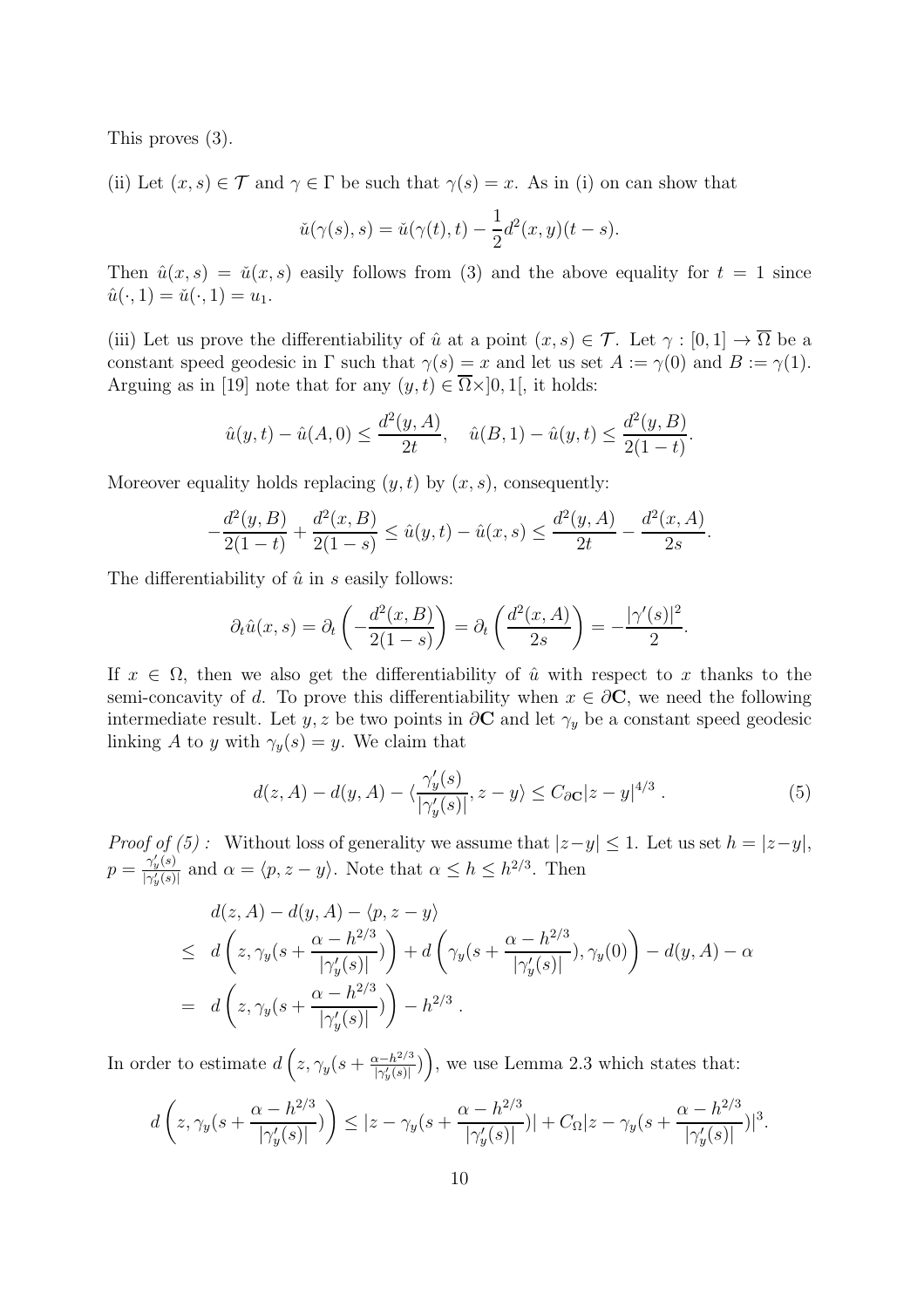This proves (3).

(ii) Let  $(x, s) \in \mathcal{T}$  and  $\gamma \in \Gamma$  be such that  $\gamma(s) = x$ . As in (i) on can show that

$$
\check{u}(\gamma(s),s) = \check{u}(\gamma(t),t) - \frac{1}{2}d^2(x,y)(t-s).
$$

Then  $\hat{u}(x, s) = \check{u}(x, s)$  easily follows from (3) and the above equality for  $t = 1$  since  $\hat{u}(\cdot, 1) = \check{u}(\cdot, 1) = u_1.$ 

(iii) Let us prove the differentiability of  $\hat{u}$  at a point  $(x, s) \in \mathcal{T}$ . Let  $\gamma : [0, 1] \to \overline{\Omega}$  be a constant speed geodesic in  $\Gamma$  such that  $\gamma(s) = x$  and let us set  $A := \gamma(0)$  and  $B := \gamma(1)$ . Arguing as in [19] note that for any  $(y, t) \in \overline{\Omega} \times ]0, 1]$ , it holds:

$$
\hat{u}(y,t) - \hat{u}(A,0) \le \frac{d^2(y,A)}{2t}, \quad \hat{u}(B,1) - \hat{u}(y,t) \le \frac{d^2(y,B)}{2(1-t)}.
$$

Moreover equality holds replacing  $(y, t)$  by  $(x, s)$ , consequently:

$$
-\frac{d^2(y,B)}{2(1-t)} + \frac{d^2(x,B)}{2(1-s)} \le \hat{u}(y,t) - \hat{u}(x,s) \le \frac{d^2(y,A)}{2t} - \frac{d^2(x,A)}{2s}
$$

The differentiability of  $\hat{u}$  in s easily follows:

$$
\partial_t \hat{u}(x,s) = \partial_t \left( -\frac{d^2(x,B)}{2(1-s)} \right) = \partial_t \left( \frac{d^2(x,A)}{2s} \right) = -\frac{|\gamma'(s)|^2}{2}.
$$

If  $x \in \Omega$ , then we also get the differentiability of  $\hat{u}$  with respect to x thanks to the semi-concavity of d. To prove this differentiability when  $x \in \partial \mathbf{C}$ , we need the following intermediate result. Let y, z be two points in  $\partial$ **C** and let  $\gamma_y$  be a constant speed geodesic linking A to y with  $\gamma_y(s) = y$ . We claim that

$$
d(z, A) - d(y, A) - \langle \frac{\gamma_y'(s)}{|\gamma_y'(s)|}, z - y \rangle \le C_{\partial \mathbf{C}} |z - y|^{4/3} . \tag{5}
$$

.

*Proof of (5)*: Without loss of generality we assume that  $|z-y| \leq 1$ . Let us set  $h = |z-y|$ ,  $p = \frac{\gamma_y'(s)}{|\gamma'(s)|}$  $\frac{\gamma_y(s)}{|\gamma_y'(s)|}$  and  $\alpha = \langle p, z - y \rangle$ . Note that  $\alpha \leq h \leq h^{2/3}$ . Then

$$
d(z, A) - d(y, A) - \langle p, z - y \rangle
$$
  
\n
$$
\leq d\left(z, \gamma_y(s + \frac{\alpha - h^{2/3}}{|\gamma_y'(s)|})\right) + d\left(\gamma_y(s + \frac{\alpha - h^{2/3}}{|\gamma_y'(s)|}), \gamma_y(0)\right) - d(y, A) - \alpha
$$
  
\n
$$
= d\left(z, \gamma_y(s + \frac{\alpha - h^{2/3}}{|\gamma_y'(s)|})\right) - h^{2/3}.
$$

In order to estimate  $d\left(z,\gamma_y(s+\frac{\alpha-h^{2/3}}{|\gamma'(s)|}\right)$  $\left(\frac{x-h^{2/3}}{|\gamma'_y(s)|}\right)$ , we use Lemma 2.3 which states that:

$$
d\left(z,\gamma_y(s+\frac{\alpha-h^{2/3}}{|\gamma_y'(s)|})\right) \leq |z-\gamma_y(s+\frac{\alpha-h^{2/3}}{|\gamma_y'(s)|})|+C_{\Omega}|z-\gamma_y(s+\frac{\alpha-h^{2/3}}{|\gamma_y'(s)|})|^3.
$$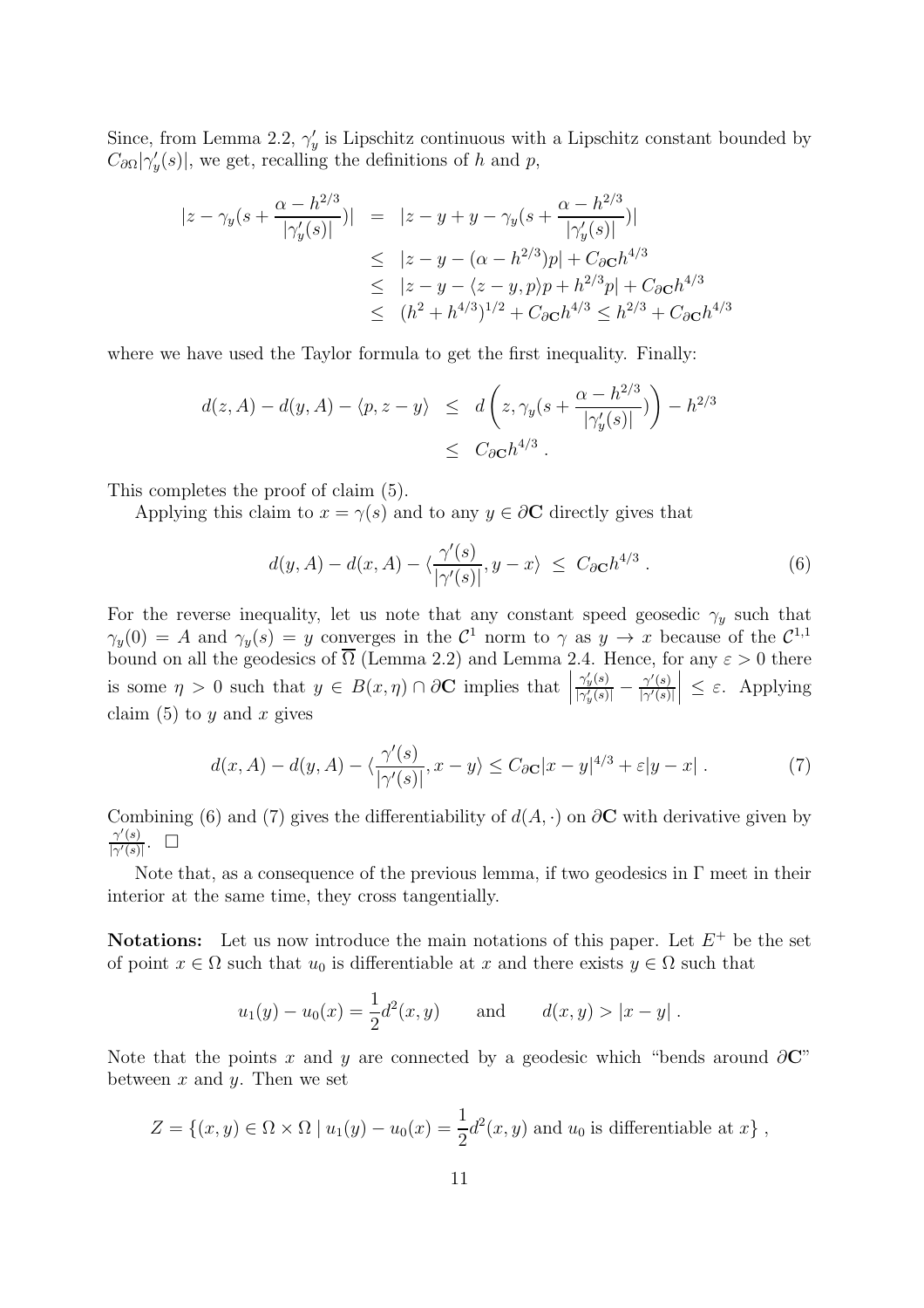Since, from Lemma 2.2,  $\gamma'_{y}$  is Lipschitz continuous with a Lipschitz constant bounded by  $C_{\partial\Omega}|\gamma_y'(s)|$ , we get, recalling the definitions of h and p,

$$
|z - \gamma_y(s + \frac{\alpha - h^{2/3}}{|\gamma'_y(s)|})| = |z - y + y - \gamma_y(s + \frac{\alpha - h^{2/3}}{|\gamma'_y(s)|})|
$$
  
\n
$$
\leq |z - y - (\alpha - h^{2/3})p| + C_{\partial \mathbf{C}} h^{4/3}
$$
  
\n
$$
\leq |z - y - (z - y, p)p + h^{2/3}p| + C_{\partial \mathbf{C}} h^{4/3}
$$
  
\n
$$
\leq (h^2 + h^{4/3})^{1/2} + C_{\partial \mathbf{C}} h^{4/3} \leq h^{2/3} + C_{\partial \mathbf{C}} h^{4/3}
$$

where we have used the Taylor formula to get the first inequality. Finally:

$$
d(z, A) - d(y, A) - \langle p, z - y \rangle \le d\left(z, \gamma_y(s + \frac{\alpha - h^{2/3}}{|\gamma'_y(s)|})\right) - h^{2/3}
$$
  

$$
\le C_{\partial \mathbf{C}} h^{4/3}.
$$

This completes the proof of claim (5).

Applying this claim to  $x = \gamma(s)$  and to any  $y \in \partial C$  directly gives that

$$
d(y, A) - d(x, A) - \langle \frac{\gamma'(s)}{|\gamma'(s)|}, y - x \rangle \le C_{\partial \mathbf{C}} h^{4/3} . \tag{6}
$$

For the reverse inequality, let us note that any constant speed geosedic  $\gamma_y$  such that  $\gamma_y(0) = A$  and  $\gamma_y(s) = y$  converges in the  $\mathcal{C}^1$  norm to  $\gamma$  as  $y \to x$  because of the  $\mathcal{C}^{1,1}$ bound on all the geodesics of  $\overline{\Omega}$  (Lemma 2.2) and Lemma 2.4. Hence, for any  $\varepsilon > 0$  there is some  $\eta > 0$  such that  $y \in B(x, \eta) \cap \partial C$  implies that  $\gamma_y'(s)$  $\frac{\gamma'_y(s)}{|\gamma'_y(s)|} - \frac{\gamma'(s)}{|\gamma'(s)|}$  $|\gamma'(s)|$  $\vert \leq \varepsilon$ . Applying claim  $(5)$  to y and x gives

$$
d(x, A) - d(y, A) - \langle \frac{\gamma'(s)}{|\gamma'(s)|}, x - y \rangle \le C_{\partial \mathbf{C}} |x - y|^{4/3} + \varepsilon |y - x| \,. \tag{7}
$$

Combining (6) and (7) gives the differentiability of  $d(A, \cdot)$  on  $\partial C$  with derivative given by  $\gamma'(s)$  $\frac{\gamma'(s)}{|\gamma'(s)|}$ .  $\Box$ 

Note that, as a consequence of the previous lemma, if two geodesics in  $\Gamma$  meet in their interior at the same time, they cross tangentially.

**Notations:** Let us now introduce the main notations of this paper. Let  $E^+$  be the set of point  $x \in \Omega$  such that  $u_0$  is differentiable at x and there exists  $y \in \Omega$  such that

$$
u_1(y) - u_0(x) = \frac{1}{2}d^2(x, y)
$$
 and  $d(x, y) > |x - y|$ .

Note that the points x and y are connected by a geodesic which "bends around  $\partial C$ " between  $x$  and  $y$ . Then we set

$$
Z = \{(x, y) \in \Omega \times \Omega \mid u_1(y) - u_0(x) = \frac{1}{2}d^2(x, y) \text{ and } u_0 \text{ is differentiable at } x\},\
$$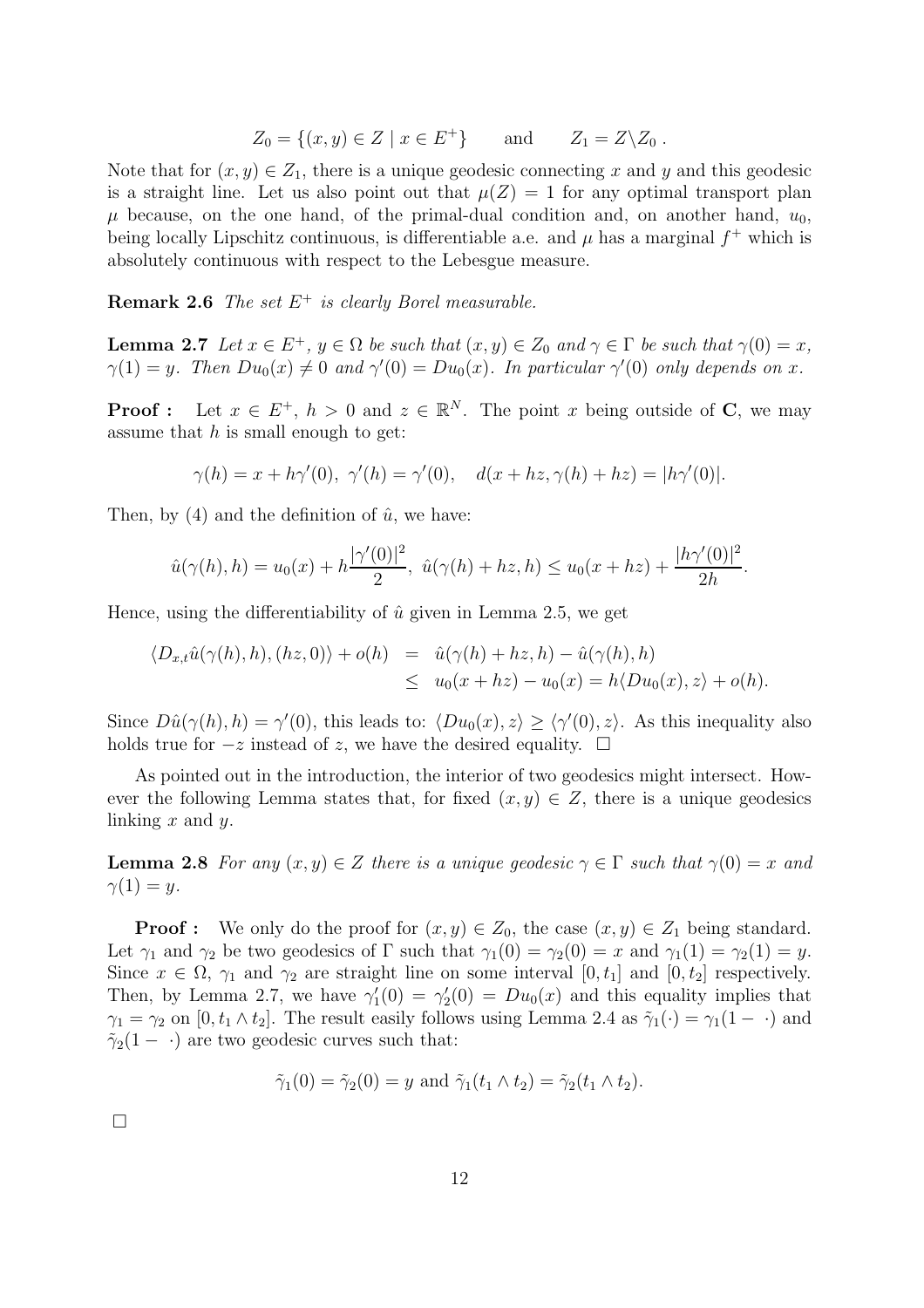$$
Z_0 = \{(x, y) \in Z \mid x \in E^+\}\qquad \text{and} \qquad Z_1 = Z \backslash Z_0 .
$$

Note that for  $(x, y) \in Z_1$ , there is a unique geodesic connecting x and y and this geodesic is a straight line. Let us also point out that  $\mu(Z) = 1$  for any optimal transport plan  $\mu$  because, on the one hand, of the primal-dual condition and, on another hand,  $u_0$ , being locally Lipschitz continuous, is differentiable a.e. and  $\mu$  has a marginal  $f^+$  which is absolutely continuous with respect to the Lebesgue measure.

Remark 2.6 *The set* E<sup>+</sup> *is clearly Borel measurable.*

**Lemma 2.7** Let  $x \in E^+$ ,  $y \in \Omega$  be such that  $(x, y) \in Z_0$  and  $\gamma \in \Gamma$  be such that  $\gamma(0) = x$ ,  $\gamma(1) = y$ . Then  $Du_0(x) \neq 0$  and  $\gamma'(0) = Du_0(x)$ . In particular  $\gamma'(0)$  only depends on x.

**Proof**: Let  $x \in E^+$ ,  $h > 0$  and  $z \in \mathbb{R}^N$ . The point x being outside of **C**, we may assume that  $h$  is small enough to get:

$$
\gamma(h) = x + h\gamma'(0), \ \gamma'(h) = \gamma'(0), \quad d(x + hz, \gamma(h) + hz) = |h\gamma'(0)|.
$$

Then, by (4) and the definition of  $\hat{u}$ , we have:

$$
\hat{u}(\gamma(h),h) = u_0(x) + h \frac{|\gamma'(0)|^2}{2}, \ \hat{u}(\gamma(h) + hz, h) \le u_0(x + hz) + \frac{|h\gamma'(0)|^2}{2h}.
$$

Hence, using the differentiability of  $\hat{u}$  given in Lemma 2.5, we get

$$
\langle D_{x,t}\hat{u}(\gamma(h),h), (hz,0)\rangle + o(h) = \hat{u}(\gamma(h) + hz, h) - \hat{u}(\gamma(h), h)
$$
  

$$
\leq u_0(x + hz) - u_0(x) = h\langle Du_0(x), z\rangle + o(h).
$$

Since  $D\hat{u}(\gamma(h), h) = \gamma'(0)$ , this leads to:  $\langle Du_0(x), z \rangle \ge \langle \gamma'(0), z \rangle$ . As this inequality also holds true for  $-z$  instead of z, we have the desired equality.  $\square$ 

As pointed out in the introduction, the interior of two geodesics might intersect. However the following Lemma states that, for fixed  $(x, y) \in Z$ , there is a unique geodesics linking  $x$  and  $y$ .

**Lemma 2.8** For any  $(x, y) \in Z$  there is a unique geodesic  $\gamma \in \Gamma$  such that  $\gamma(0) = x$  and  $\gamma(1) = y$ .

**Proof :** We only do the proof for  $(x, y) \in Z_0$ , the case  $(x, y) \in Z_1$  being standard. Let  $\gamma_1$  and  $\gamma_2$  be two geodesics of  $\Gamma$  such that  $\gamma_1(0) = \gamma_2(0) = x$  and  $\gamma_1(1) = \gamma_2(1) = y$ . Since  $x \in \Omega$ ,  $\gamma_1$  and  $\gamma_2$  are straight line on some interval  $[0, t_1]$  and  $[0, t_2]$  respectively. Then, by Lemma 2.7, we have  $\gamma_1'(0) = \gamma_2'(0) = Du_0(x)$  and this equality implies that  $\gamma_1 = \gamma_2$  on  $[0, t_1 \wedge t_2]$ . The result easily follows using Lemma 2.4 as  $\tilde{\gamma}_1(\cdot) = \gamma_1(1 - \cdot)$  and  $\tilde{\gamma}_2(1-\cdot)$  are two geodesic curves such that:

$$
\tilde{\gamma}_1(0) = \tilde{\gamma}_2(0) = y
$$
 and  $\tilde{\gamma}_1(t_1 \wedge t_2) = \tilde{\gamma}_2(t_1 \wedge t_2).$ 

 $\Box$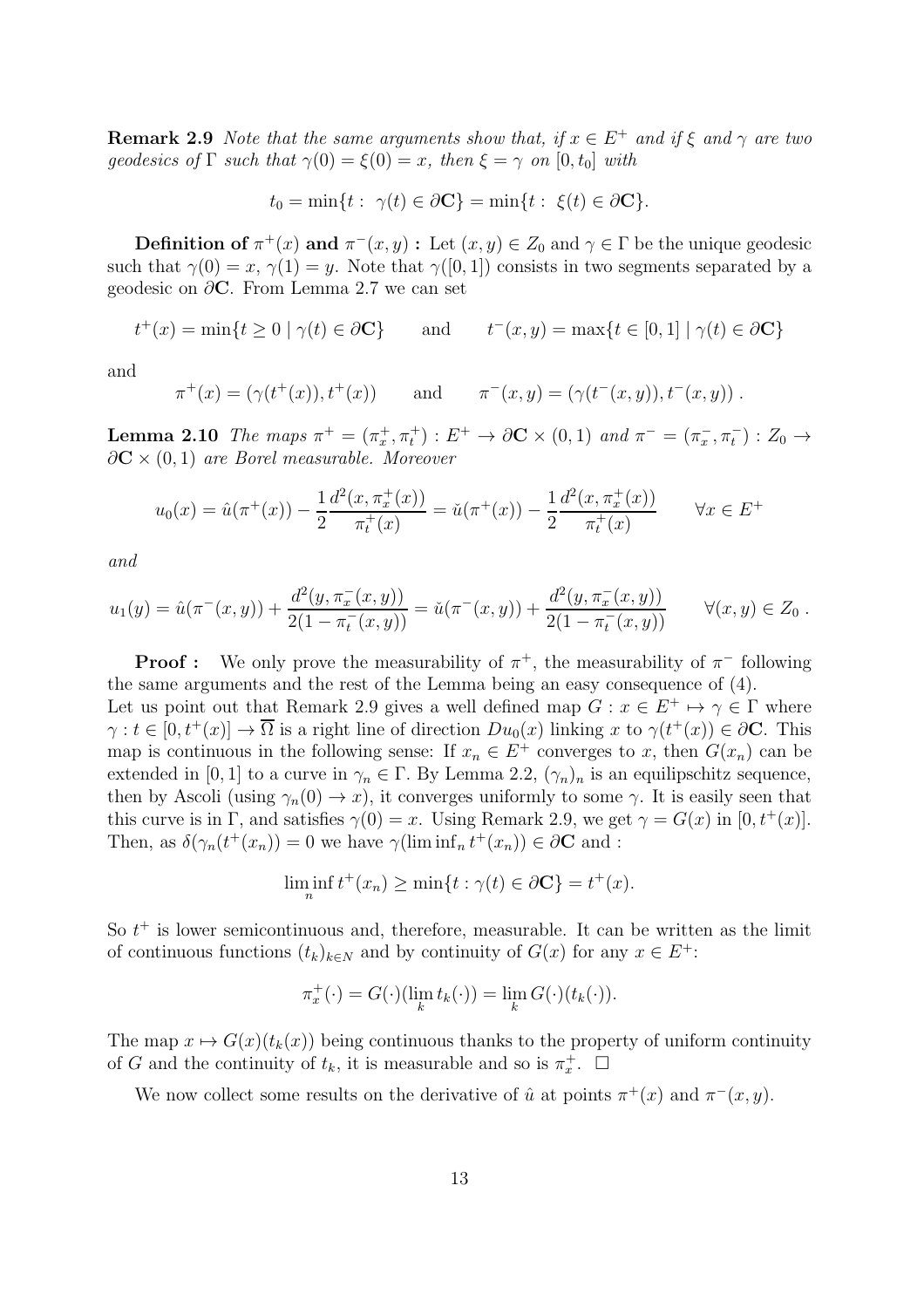**Remark 2.9** *Note that the same arguments show that, if*  $x \in E^+$  *and if*  $\xi$  *and*  $\gamma$  *are two geodesics of*  $\Gamma$  *such that*  $\gamma(0) = \xi(0) = x$ *, then*  $\xi = \gamma$  *on*  $[0, t_0]$  *with* 

$$
t_0 = \min\{t : \ \gamma(t) \in \partial \mathbf{C}\} = \min\{t : \ \xi(t) \in \partial \mathbf{C}\}.
$$

**Definition of**  $\pi^+(x)$  and  $\pi^-(x, y)$ : Let  $(x, y) \in Z_0$  and  $\gamma \in \Gamma$  be the unique geodesic such that  $\gamma(0) = x$ ,  $\gamma(1) = y$ . Note that  $\gamma([0, 1])$  consists in two segments separated by a geodesic on  $\partial$ **C**. From Lemma 2.7 we can set

$$
t^+(x) = \min\{t \ge 0 \mid \gamma(t) \in \partial \mathbf{C}\}\qquad \text{and} \qquad t^-(x, y) = \max\{t \in [0, 1] \mid \gamma(t) \in \partial \mathbf{C}\}\
$$

and

$$
\pi^+(x) = (\gamma(t^+(x)), t^+(x))
$$
 and  $\pi^-(x, y) = (\gamma(t^-(x, y)), t^-(x, y))$ .

Lemma 2.10 *The maps*  $\pi^+ = (\pi_x^+, \pi_t^+) : E^+ \to \partial \mathbf{C} \times (0, 1)$  *and*  $\pi^- = (\pi_x^-, \pi_t^-) : Z_0 \to$ ∂C × (0, 1) *are Borel measurable. Moreover*

$$
u_0(x) = \hat{u}(\pi^+(x)) - \frac{1}{2} \frac{d^2(x, \pi_x^+(x))}{\pi_t^+(x)} = \check{u}(\pi^+(x)) - \frac{1}{2} \frac{d^2(x, \pi_x^+(x))}{\pi_t^+(x)} \qquad \forall x \in E^+
$$

*and*

$$
u_1(y) = \hat{u}(\pi^-(x,y)) + \frac{d^2(y, \pi^-_x(x,y))}{2(1 - \pi^-_t(x,y))} = \check{u}(\pi^-(x,y)) + \frac{d^2(y, \pi^-_x(x,y))}{2(1 - \pi^-_t(x,y))} \qquad \forall (x,y) \in Z_0.
$$

**Proof :** We only prove the measurability of  $\pi^+$ , the measurability of  $\pi^-$  following the same arguments and the rest of the Lemma being an easy consequence of (4). Let us point out that Remark 2.9 gives a well defined map  $G: x \in E^+ \mapsto \gamma \in \Gamma$  where  $\gamma: t \in [0, t^+(x)] \to \overline{\Omega}$  is a right line of direction  $Du_0(x)$  linking x to  $\gamma(t^+(x)) \in \partial \mathbb{C}$ . This map is continuous in the following sense: If  $x_n \in E^+$  converges to x, then  $G(x_n)$  can be extended in [0, 1] to a curve in  $\gamma_n \in \Gamma$ . By Lemma 2.2,  $(\gamma_n)_n$  is an equilipschitz sequence, then by Ascoli (using  $\gamma_n(0) \to x$ ), it converges uniformly to some  $\gamma$ . It is easily seen that this curve is in Γ, and satisfies  $\gamma(0) = x$ . Using Remark 2.9, we get  $\gamma = G(x)$  in  $[0, t^+(x)]$ . Then, as  $\delta(\gamma_n(t^+(x_n)) = 0$  we have  $\gamma(\liminf_n t^+(x_n)) \in \partial \mathbb{C}$  and :

$$
\liminf_{n} t^{+}(x_{n}) \ge \min\{t : \gamma(t) \in \partial \mathbf{C}\} = t^{+}(x).
$$

So  $t^+$  is lower semicontinuous and, therefore, measurable. It can be written as the limit of continuous functions  $(t_k)_{k\in\mathbb{N}}$  and by continuity of  $G(x)$  for any  $x \in E^+$ :

$$
\pi_x^+(\cdot) = G(\cdot)(\lim_k t_k(\cdot)) = \lim_k G(\cdot)(t_k(\cdot)).
$$

The map  $x \mapsto G(x)(t_k(x))$  being continuous thanks to the property of uniform continuity of G and the continuity of  $t_k$ , it is measurable and so is  $\pi_x^+$ .  $\Box$ 

We now collect some results on the derivative of  $\hat{u}$  at points  $\pi^+(x)$  and  $\pi^-(x, y)$ .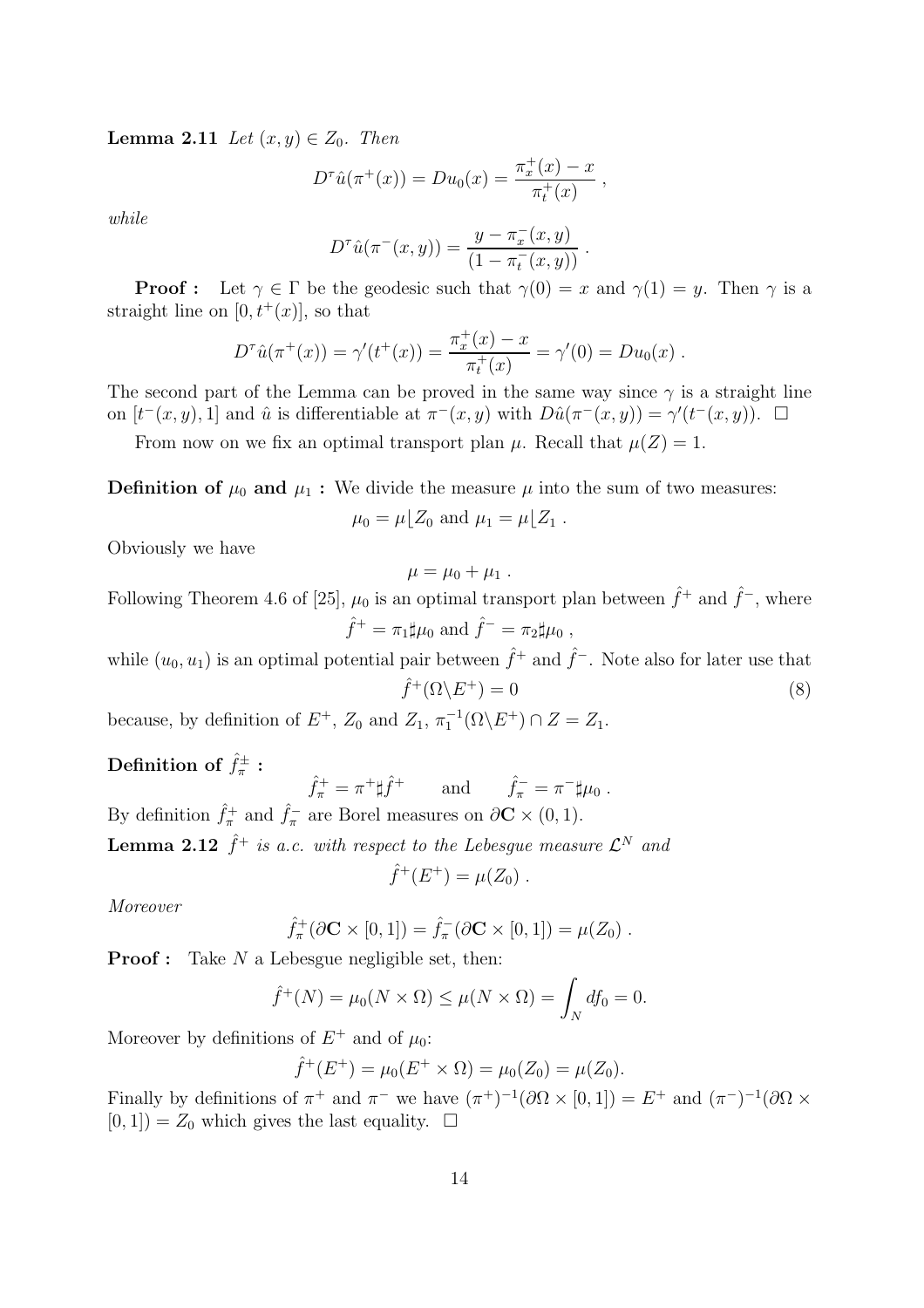**Lemma 2.11** *Let*  $(x, y) \in Z_0$ *. Then* 

$$
D^{\tau}\hat{u}(\pi^+(x)) = Du_0(x) = \frac{\pi_x^+(x) - x}{\pi_t^+(x)},
$$

*while*

$$
D^{\tau}\hat{u}(\pi^{-}(x,y)) = \frac{y - \pi_{x}^{-}(x,y)}{(1 - \pi_{t}^{-}(x,y))}.
$$

**Proof :** Let  $\gamma \in \Gamma$  be the geodesic such that  $\gamma(0) = x$  and  $\gamma(1) = y$ . Then  $\gamma$  is a straight line on  $[0, t^+(x)]$ , so that

$$
D^{\tau}\hat{u}(\pi^+(x)) = \gamma'(t^+(x)) = \frac{\pi_x^+(x) - x}{\pi_t^+(x)} = \gamma'(0) = Du_0(x) .
$$

The second part of the Lemma can be proved in the same way since  $\gamma$  is a straight line on  $[t^-(x,y),1]$  and  $\hat{u}$  is differentiable at  $\pi^-(x,y)$  with  $D\hat{u}(\pi^-(x,y)) = \gamma'(t^-(x,y)).$   $\Box$ 

From now on we fix an optimal transport plan  $\mu$ . Recall that  $\mu(Z) = 1$ .

**Definition of**  $\mu_0$  and  $\mu_1$ : We divide the measure  $\mu$  into the sum of two measures:

$$
\mu_0 = \mu \lfloor Z_0 \text{ and } \mu_1 = \mu \lfloor Z_1 \text{ .}
$$

Obviously we have

$$
\mu=\mu_0+\mu_1.
$$

Following Theorem 4.6 of [25],  $\mu_0$  is an optimal transport plan between  $\hat{f}^+$  and  $\hat{f}^-$ , where  $\hat{f}^+ = \pi_1 \sharp \mu_0 \text{ and } \hat{f}^- = \pi_2 \sharp \mu_0 ,$ 

while  $(u_0, u_1)$  is an optimal potential pair between  $\hat{f}^+$  and  $\hat{f}^-$ . Note also for later use that  $\hat{f}^+(\Omega \backslash E^+) = 0$  (8)

because, by definition of  $E^+$ ,  $Z_0$  and  $Z_1$ ,  $\pi_1^{-1}(\Omega \backslash E^+) \cap Z = Z_1$ .

Definition of  $\hat{f}^{\pm}_{\pi}$  :

$$
\hat{f}_{\pi}^{+} = \pi^{+} \sharp \hat{f}^{+} \quad \text{and} \quad \hat{f}_{\pi}^{-} = \pi^{-} \sharp \mu_{0}.
$$
  
By definition  $\hat{f}_{\pi}^{+}$  and  $\hat{f}_{\pi}^{-}$  are Borel measures on  $\partial \mathbf{C} \times (0, 1)$ .

**Lemma 2.12**  $\hat{f}^+$  is a.c. with respect to the Lebesgue measure  $\mathcal{L}^N$  and

$$
\hat{f}^+(E^+) = \mu(Z_0) \; .
$$

*Moreover*

$$
\hat{f}_{\pi}^+(\partial \mathbf{C} \times [0,1]) = \hat{f}_{\pi}^-(\partial \mathbf{C} \times [0,1]) = \mu(Z_0) .
$$

**Proof :** Take  $N$  a Lebesgue negligible set, then:

$$
\hat{f}^+(N) = \mu_0(N \times \Omega) \le \mu(N \times \Omega) = \int_N df_0 = 0.
$$

Moreover by definitions of  $E^+$  and of  $\mu_0$ :

$$
\hat{f}^+(E^+) = \mu_0(E^+ \times \Omega) = \mu_0(Z_0) = \mu(Z_0).
$$

Finally by definitions of  $\pi^+$  and  $\pi^-$  we have  $(\pi^+)^{-1}(\partial\Omega \times [0,1]) = E^+$  and  $(\pi^-)^{-1}(\partial\Omega \times$  $[0, 1]$  =  $Z_0$  which gives the last equality.  $\Box$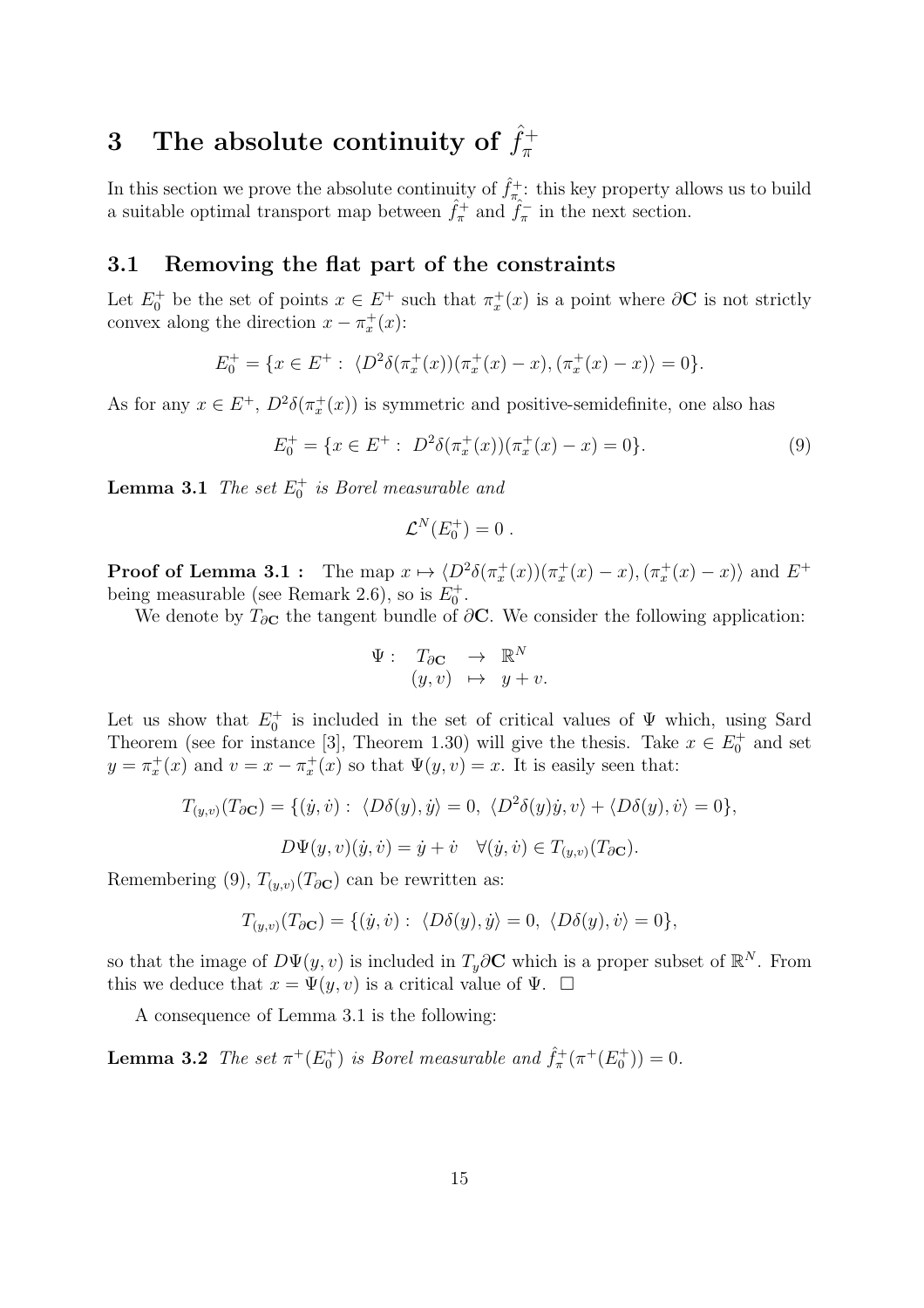### 3 The absolute continuity of  $\hat{f}_{\pi}^{+}$ π

In this section we prove the absolute continuity of  $\hat{f}^+_{\pi_{\lambda}}$ : this key property allows us to build a suitable optimal transport map between  $\hat{f}_{\pi}^{+}$  and  $\hat{f}_{\pi}^{-}$  in the next section.

### 3.1 Removing the flat part of the constraints

Let  $E_0^+$  be the set of points  $x \in E^+$  such that  $\pi_x^+(x)$  is a point where  $\partial \mathbf{C}$  is not strictly convex along the direction  $x - \pi_x^+(x)$ :

$$
E_0^+ = \{ x \in E^+ : \langle D^2 \delta(\pi_x^+(x))(\pi_x^+(x) - x), (\pi_x^+(x) - x) \rangle = 0 \}.
$$

As for any  $x \in E^+$ ,  $D^2 \delta(\pi_x^+(x))$  is symmetric and positive-semidefinite, one also has

$$
E_0^+ = \{ x \in E^+ : \ D^2 \delta(\pi_x^+(x))(\pi_x^+(x) - x) = 0 \}.
$$
 (9)

**Lemma 3.1** *The set*  $E_0^+$  *is Borel measurable and* 

$$
\mathcal{L}^N(E_0^+) = 0.
$$

**Proof of Lemma 3.1**: The map  $x \mapsto \langle D^2 \delta(\pi_x^+(x))(\pi_x^+(x) - x), (\pi_x^+(x) - x) \rangle$  and  $E^+$ being measurable (see Remark 2.6), so is  $E_0^+$ .

We denote by  $T_{\partial C}$  the tangent bundle of  $\partial C$ . We consider the following application:

$$
\Psi: \begin{array}{rcl} T_{\partial \mathbf{C}} & \to & \mathbb{R}^N \\ (y, v) & \mapsto & y + v. \end{array}
$$

Let us show that  $E_0^+$  is included in the set of critical values of  $\Psi$  which, using Sard Theorem (see for instance [3], Theorem 1.30) will give the thesis. Take  $x \in E_0^+$  and set  $y = \pi_x^+(x)$  and  $v = x - \pi_x^+(x)$  so that  $\Psi(y, v) = x$ . It is easily seen that:

$$
T_{(y,v)}(T_{\partial \mathbf{C}}) = \{(\dot{y}, \dot{v}) : \langle D\delta(y), \dot{y}\rangle = 0, \langle D^2\delta(y)\dot{y}, v\rangle + \langle D\delta(y), \dot{v}\rangle = 0\},
$$
  

$$
D\Psi(y, v)(\dot{y}, \dot{v}) = \dot{y} + \dot{v} \quad \forall (\dot{y}, \dot{v}) \in T_{(y,v)}(T_{\partial \mathbf{C}}).
$$

Remembering (9),  $T_{(y,v)}(T_{\partial \mathbf{C}})$  can be rewritten as:

$$
T_{(y,v)}(T_{\partial \mathbf{C}}) = \{(\dot{y}, \dot{v}) : \langle D\delta(y), \dot{y}\rangle = 0, \langle D\delta(y), \dot{v}\rangle = 0\},\
$$

so that the image of  $D\Psi(y, v)$  is included in  $T_y\partial\mathbf{C}$  which is a proper subset of  $\mathbb{R}^N$ . From this we deduce that  $x = \Psi(y, v)$  is a critical value of  $\Psi$ .  $\Box$ 

A consequence of Lemma 3.1 is the following:

**Lemma 3.2** *The set*  $\pi^{+}(E_{0}^{+})$  *is Borel measurable and*  $\hat{f}_{\pi}^{+}(\pi^{+}(E_{0}^{+}))=0$ *.*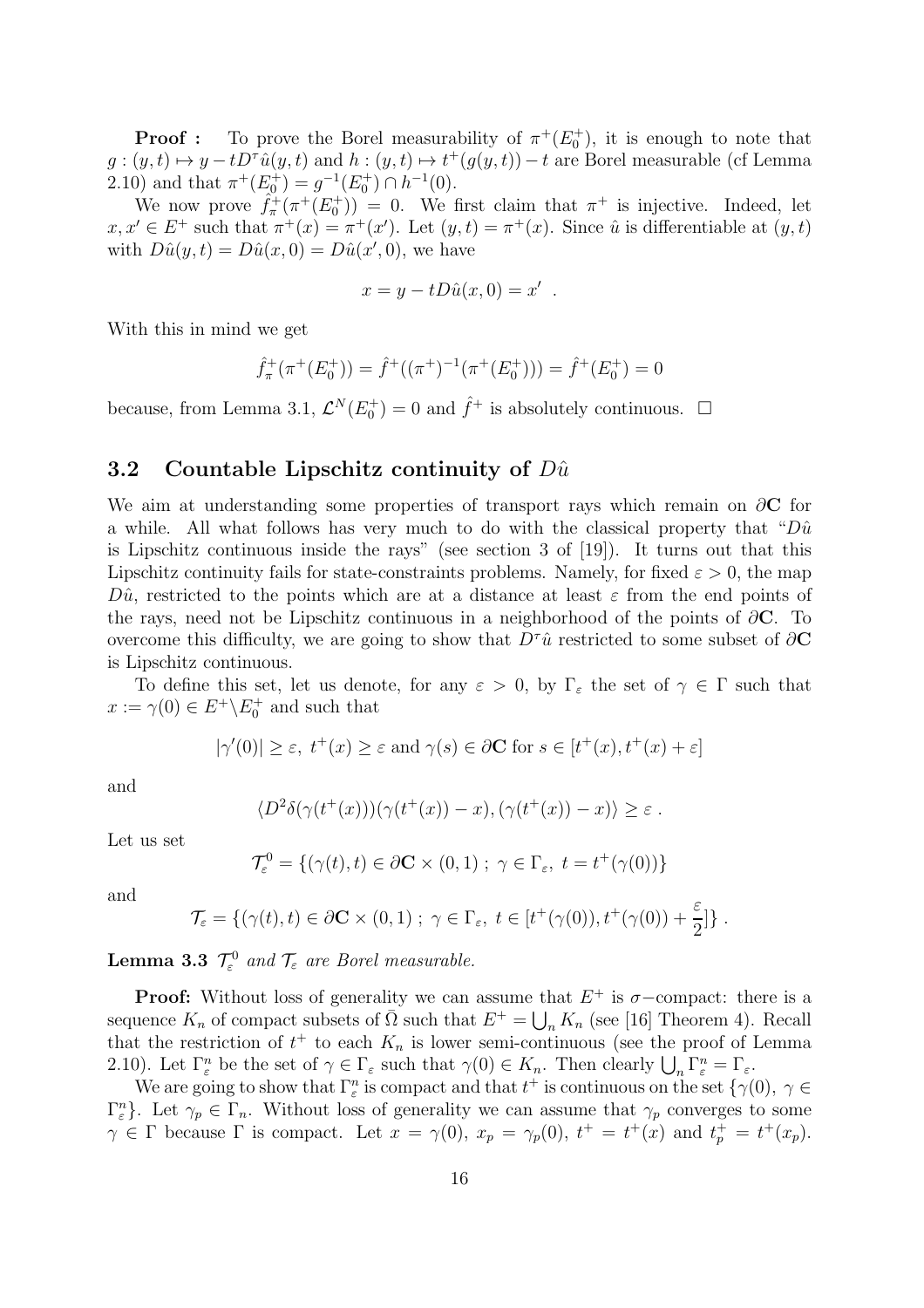**Proof**: To prove the Borel measurability of  $\pi^+(E_0^+)$ , it is enough to note that  $g:(y,t)\mapsto y-tD^{\tau}\hat{u}(y,t)$  and  $h:(y,t)\mapsto t^+(g(y,t))-t$  are Borel measurable (cf Lemma 2.10) and that  $\pi^+(E_0^+) = g^{-1}(E_0^+) \cap h^{-1}(0)$ .

We now prove  $\hat{f}_{\pi}^+(\pi^+(E_0^+)) = 0$ . We first claim that  $\pi^+$  is injective. Indeed, let  $x, x' \in E^+$  such that  $\pi^+(x) = \pi^+(x')$ . Let  $(y, t) = \pi^+(x)$ . Since  $\hat{u}$  is differentiable at  $(y, t)$ with  $D\hat{u}(y,t) = D\hat{u}(x,0) = D\hat{u}(x',0)$ , we have

$$
x = y - tD\hat{u}(x, 0) = x'
$$

.

With this in mind we get

$$
\hat{f}_{\pi}^{+}(\pi^{+}(E_{0}^{+})) = \hat{f}^{+}((\pi^{+})^{-1}(\pi^{+}(E_{0}^{+}))) = \hat{f}^{+}(E_{0}^{+}) = 0
$$

because, from Lemma 3.1,  $\mathcal{L}^N(E_0^+) = 0$  and  $\hat{f}^+$  is absolutely continuous.  $\Box$ 

### 3.2 Countable Lipschitz continuity of  $D\hat{u}$

We aim at understanding some properties of transport rays which remain on  $\partial$ **C** for a while. All what follows has very much to do with the classical property that " $D\hat{u}$ is Lipschitz continuous inside the rays" (see section 3 of [19]). It turns out that this Lipschitz continuity fails for state-constraints problems. Namely, for fixed  $\varepsilon > 0$ , the map  $D\hat{u}$ , restricted to the points which are at a distance at least  $\varepsilon$  from the end points of the rays, need not be Lipschitz continuous in a neighborhood of the points of  $\partial\mathbf{C}$ . To overcome this difficulty, we are going to show that  $D^{\tau}\hat{u}$  restricted to some subset of  $\partial\mathbf{C}$ is Lipschitz continuous.

To define this set, let us denote, for any  $\varepsilon > 0$ , by  $\Gamma_{\varepsilon}$  the set of  $\gamma \in \Gamma$  such that  $x := \gamma(0) \in E^+ \backslash E_0^+$  and such that

$$
|\gamma'(0)| \ge \varepsilon
$$
,  $t^+(x) \ge \varepsilon$  and  $\gamma(s) \in \partial \mathbb{C}$  for  $s \in [t^+(x), t^+(x) + \varepsilon]$ 

and

$$
\langle D^2 \delta(\gamma(t^+(x)))(\gamma(t^+(x))-x), (\gamma(t^+(x))-x) \rangle \geq \varepsilon.
$$

Let us set

$$
\mathcal{T}_{\varepsilon}^{0} = \{ (\gamma(t), t) \in \partial \mathbf{C} \times (0, 1) \; ; \; \gamma \in \Gamma_{\varepsilon}, \; t = t^{+}(\gamma(0)) \}
$$

and

$$
\mathcal{T}_{\varepsilon} = \{ (\gamma(t), t) \in \partial \mathbf{C} \times (0, 1) ; \ \gamma \in \Gamma_{\varepsilon}, \ t \in [t^+(\gamma(0)), t^+(\gamma(0)) + \frac{\varepsilon}{2}] \}.
$$

**Lemma 3.3**  $\mathcal{T}_{\varepsilon}^0$  and  $\mathcal{T}_{\varepsilon}$  are Borel measurable.

**Proof:** Without loss of generality we can assume that  $E^+$  is  $\sigma$ -compact: there is a sequence  $K_n$  of compact subsets of  $\overline{\Omega}$  such that  $E^+ = \bigcup_n K_n$  (see [16] Theorem 4). Recall that the restriction of  $t^+$  to each  $K_n$  is lower semi-continuous (see the proof of Lemma 2.10). Let  $\Gamma_{\varepsilon}^n$  be the set of  $\gamma \in \Gamma_{\varepsilon}$  such that  $\gamma(0) \in K_n$ . Then clearly  $\bigcup_n \Gamma_{\varepsilon}^n = \Gamma_{\varepsilon}$ .

We are going to show that  $\Gamma_{\varepsilon}^n$  is compact and that  $t^+$  is continuous on the set  $\{\gamma(0), \gamma \in$  $\{\Gamma_{\varepsilon}^n\}$ . Let  $\gamma_p \in \Gamma_n$ . Without loss of generality we can assume that  $\gamma_p$  converges to some  $\gamma \in \Gamma$  because  $\Gamma$  is compact. Let  $x = \gamma(0)$ ,  $x_p = \gamma_p(0)$ ,  $t^+ = t^+(x)$  and  $t_p^+ = t^+(x_p)$ .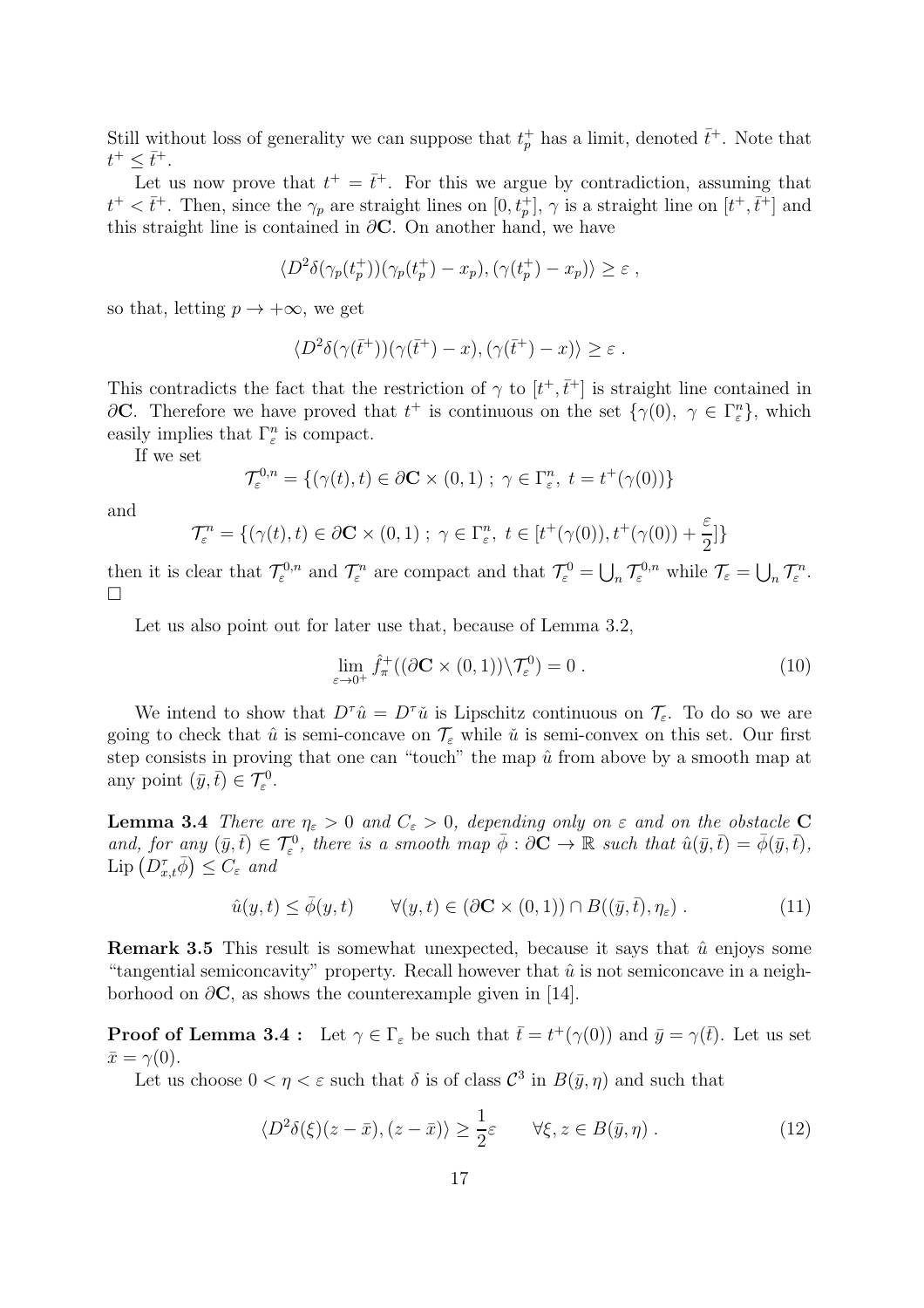Still without loss of generality we can suppose that  $t_p^+$  has a limit, denoted  $\bar{t}^+$ . Note that  $t^+ \leq \bar{t}^+$ .

Let us now prove that  $t^+ = \bar{t}^+$ . For this we argue by contradiction, assuming that  $t^+ < \bar{t}^+$ . Then, since the  $\gamma_p$  are straight lines on  $[0, t_p^+]$ ,  $\gamma$  is a straight line on  $[t^+, \bar{t}^+]$  and this straight line is contained in  $\partial$ **C**. On another hand, we have

$$
\langle D^2 \delta(\gamma_p(t_p^+))(\gamma_p(t_p^+) - x_p), (\gamma(t_p^+) - x_p) \rangle \ge \varepsilon ,
$$

so that, letting  $p \to +\infty$ , we get

$$
\langle D^2 \delta(\gamma(\bar{t}^+))(\gamma(\bar{t}^+)-x), (\gamma(\bar{t}^+)-x) \rangle \geq \varepsilon.
$$

This contradicts the fact that the restriction of  $\gamma$  to  $[t^+, \bar{t}^+]$  is straight line contained in ∂C. Therefore we have proved that  $t^+$  is continuous on the set  $\{\gamma(0), \gamma \in \Gamma_{\varepsilon}^n\}$ , which easily implies that  $\Gamma_{\varepsilon}^{n}$  is compact.

If we set

$$
\mathcal{T}_{\varepsilon}^{0,n} = \{ (\gamma(t), t) \in \partial \mathbf{C} \times (0,1) \; ; \; \gamma \in \Gamma_{\varepsilon}^n, \; t = t^+(\gamma(0)) \}
$$

and

$$
\mathcal{T}_{\varepsilon}^{n} = \{ (\gamma(t), t) \in \partial \mathbf{C} \times (0, 1) \; ; \; \gamma \in \Gamma_{\varepsilon}^{n}, \; t \in [t^{+}(\gamma(0)), t^{+}(\gamma(0)) + \frac{\varepsilon}{2}] \}
$$

then it is clear that  $\mathcal{T}_{\varepsilon}^{0,n}$  and  $\mathcal{T}_{\varepsilon}^{n}$  are compact and that  $\mathcal{T}_{\varepsilon}^{0} = \bigcup_{n} \mathcal{T}_{\varepsilon}^{0,n}$  while  $\mathcal{T}_{\varepsilon} = \bigcup_{n} \mathcal{T}_{\varepsilon}^{n}$ .  $\Box$ 

Let us also point out for later use that, because of Lemma 3.2,

$$
\lim_{\varepsilon \to 0^+} \hat{f}_{\pi}^+((\partial \mathbf{C} \times (0,1)) \backslash \mathcal{T}_{\varepsilon}^0) = 0.
$$
\n(10)

We intend to show that  $D^{\tau}\hat{u} = D^{\tau}\check{u}$  is Lipschitz continuous on  $\mathcal{T}_{\varepsilon}$ . To do so we are going to check that  $\hat{u}$  is semi-concave on  $\mathcal{T}_{\varepsilon}$  while  $\check{u}$  is semi-convex on this set. Our first step consists in proving that one can "touch" the map  $\hat{u}$  from above by a smooth map at any point  $(\bar{y}, \bar{t}) \in \mathcal{T}_{\varepsilon}^0$ .

**Lemma 3.4** *There are*  $\eta_{\varepsilon} > 0$  *and*  $C_{\varepsilon} > 0$ *, depending only on*  $\varepsilon$  *and on the obstacle* C and, for any  $(\bar{y}, \bar{t}) \in \mathcal{T}_{\varepsilon}^0$ , there is a smooth map  $\bar{\phi}: \partial \mathbf{C} \to \mathbb{R}$  such that  $\hat{u}(\bar{y}, \bar{t}) = \bar{\phi}(\bar{y}, \bar{t})$ ,  $\text{Lip}\left(D_{x,t}^{\tau}\bar{\phi}\right)\leq C_{\varepsilon}$  and

$$
\hat{u}(y,t) \le \bar{\phi}(y,t) \qquad \forall (y,t) \in (\partial \mathbf{C} \times (0,1)) \cap B((\bar{y},\bar{t}),\eta_{\varepsilon}). \tag{11}
$$

**Remark 3.5** This result is somewhat unexpected, because it says that  $\hat{u}$  enjoys some "tangential semiconcavity" property. Recall however that  $\hat{u}$  is not semiconcave in a neighborhood on  $\partial$ **C**, as shows the counterexample given in [14].

**Proof of Lemma 3.4**: Let  $\gamma \in \Gamma_{\varepsilon}$  be such that  $\bar{t} = t^+(\gamma(0))$  and  $\bar{y} = \gamma(\bar{t})$ . Let us set  $\bar{x} = \gamma(0).$ 

Let us choose  $0 < \eta < \varepsilon$  such that  $\delta$  is of class  $\mathcal{C}^3$  in  $B(\bar{y}, \eta)$  and such that

$$
\langle D^2 \delta(\xi)(z - \bar{x}), (z - \bar{x}) \rangle \ge \frac{1}{2} \varepsilon \qquad \forall \xi, z \in B(\bar{y}, \eta) . \tag{12}
$$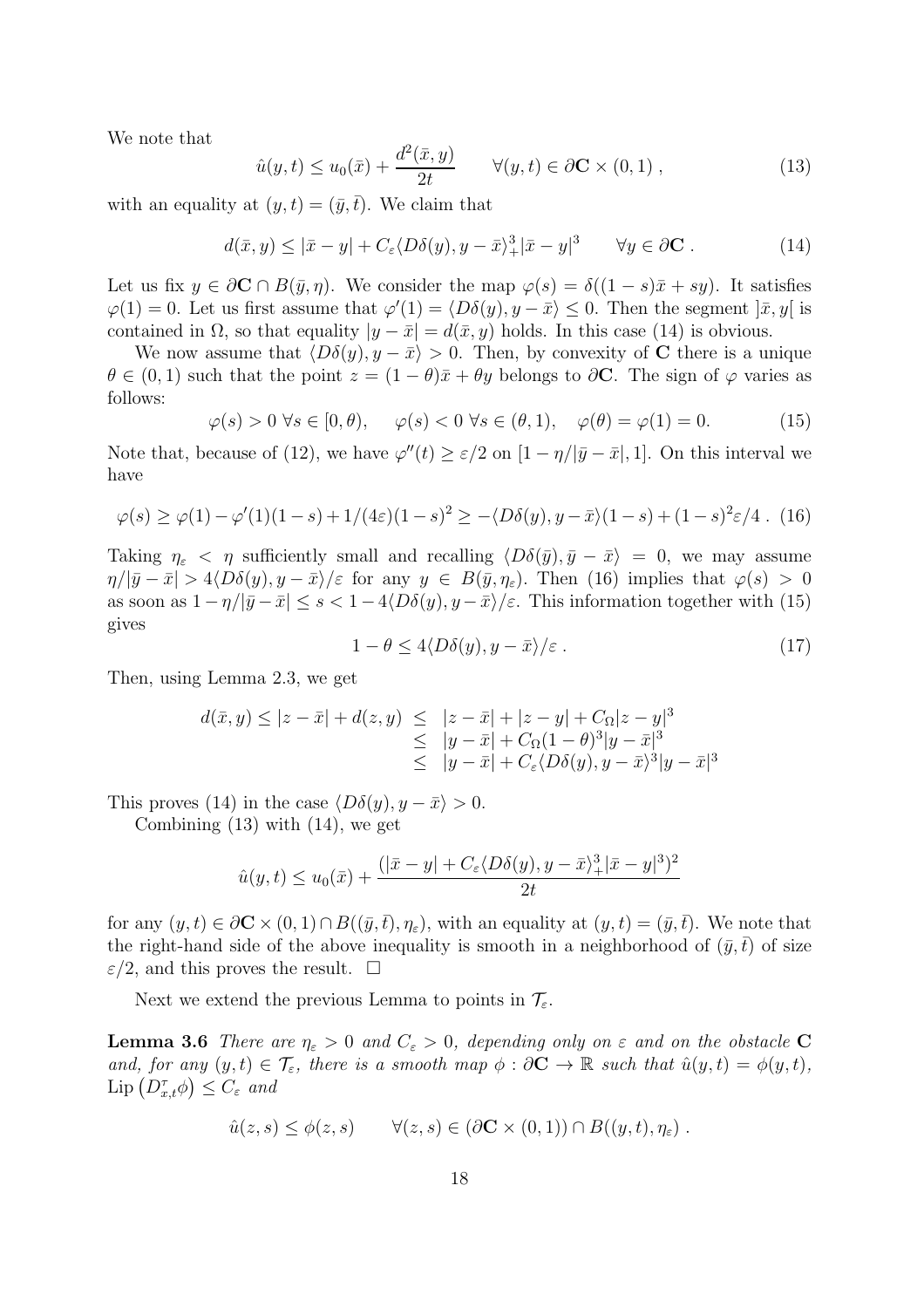We note that

$$
\hat{u}(y,t) \le u_0(\bar{x}) + \frac{d^2(\bar{x},y)}{2t} \qquad \forall (y,t) \in \partial \mathbf{C} \times (0,1) ,
$$
\n(13)

with an equality at  $(y, t) = (\bar{y}, \bar{t})$ . We claim that

$$
d(\bar{x}, y) \le |\bar{x} - y| + C_{\varepsilon} \langle D\delta(y), y - \bar{x} \rangle + |\bar{x} - y|^3 \qquad \forall y \in \partial \mathbf{C} . \tag{14}
$$

Let us fix  $y \in \partial \mathbf{C} \cap B(\bar{y}, \eta)$ . We consider the map  $\varphi(s) = \delta((1-s)\bar{x} + sy)$ . It satisfies  $\varphi(1) = 0$ . Let us first assume that  $\varphi'(1) = \langle D\delta(y), y - \bar{x} \rangle \leq 0$ . Then the segment  $|\bar{x}, y|$  is contained in  $\Omega$ , so that equality  $|y - \bar{x}| = d(\bar{x}, y)$  holds. In this case (14) is obvious.

We now assume that  $\langle D\delta(y), y - \bar{x} \rangle > 0$ . Then, by convexity of C there is a unique  $\theta \in (0,1)$  such that the point  $z = (1 - \theta)\bar{x} + \theta y$  belongs to  $\partial \mathbf{C}$ . The sign of  $\varphi$  varies as follows:

$$
\varphi(s) > 0 \,\forall s \in [0, \theta), \quad \varphi(s) < 0 \,\forall s \in (\theta, 1), \quad \varphi(\theta) = \varphi(1) = 0. \tag{15}
$$

Note that, because of (12), we have  $\varphi''(t) \geq \varepsilon/2$  on  $[1 - \eta/|\bar{y} - \bar{x}|, 1]$ . On this interval we have

$$
\varphi(s) \ge \varphi(1) - \varphi'(1)(1 - s) + 1/(4\varepsilon)(1 - s)^2 \ge -\langle D\delta(y), y - \bar{x}\rangle(1 - s) + (1 - s)^2 \varepsilon/4. \tag{16}
$$

Taking  $\eta_{\varepsilon} < \eta$  sufficiently small and recalling  $\langle D\delta(\bar{y}), \bar{y} - \bar{x} \rangle = 0$ , we may assume  $\eta/|\bar{y}-\bar{x}| > 4\langle D\delta(y), y-\bar{x}\rangle/\varepsilon$  for any  $y \in B(\bar{y}, \eta_{\varepsilon})$ . Then (16) implies that  $\varphi(s) > 0$ as soon as  $1 - \eta/|\bar{y} - \bar{x}| \leq s < 1 - 4\langle D\delta(y), y - \bar{x}\rangle/\varepsilon$ . This information together with (15) gives

$$
1 - \theta \le 4 \langle D\delta(y), y - \bar{x} \rangle / \varepsilon \,. \tag{17}
$$

Then, using Lemma 2.3, we get

$$
d(\bar{x}, y) \le |z - \bar{x}| + d(z, y) \le |z - \bar{x}| + |z - y| + C_{\Omega} |z - y|^3
$$
  
\n
$$
\le |y - \bar{x}| + C_{\Omega} (1 - \theta)^3 |y - \bar{x}|^3
$$
  
\n
$$
\le |y - \bar{x}| + C_{\varepsilon} \langle D\delta(y), y - \bar{x}\rangle^3 |y - \bar{x}|^3
$$

This proves (14) in the case  $\langle D\delta(y), y - \bar{x} \rangle > 0$ .

Combining (13) with (14), we get

$$
\hat{u}(y,t) \le u_0(\bar{x}) + \frac{(|\bar{x} - y| + C_{\varepsilon} \langle D\delta(y), y - \bar{x} \rangle + |\bar{x} - y|^3)^2}{2t}
$$

for any  $(y, t) \in \partial \mathbf{C} \times (0, 1) \cap B((\bar{y}, \bar{t}), \eta_{\varepsilon})$ , with an equality at  $(y, t) = (\bar{y}, \bar{t})$ . We note that the right-hand side of the above inequality is smooth in a neighborhood of  $(\bar{y},\bar{t})$  of size  $\varepsilon/2$ , and this proves the result.  $\square$ 

Next we extend the previous Lemma to points in  $\mathcal{T}_{\varepsilon}$ .

**Lemma 3.6** *There are*  $\eta_{\varepsilon} > 0$  *and*  $C_{\varepsilon} > 0$ *, depending only on*  $\varepsilon$  *and on the obstacle* C *and, for any*  $(y, t) \in \mathcal{T}_{\varepsilon}$ *, there is a smooth map*  $\phi : \partial \mathbf{C} \to \mathbb{R}$  *such that*  $\hat{u}(y, t) = \phi(y, t)$ *,*  $\mathrm{Lip}\left(D_{x,t}^{\tau}\phi\right) \leq C_{\varepsilon}$  and

$$
\hat{u}(z,s) \leq \phi(z,s) \qquad \forall (z,s) \in (\partial \mathbf{C} \times (0,1)) \cap B((y,t),\eta_{\varepsilon}) \ .
$$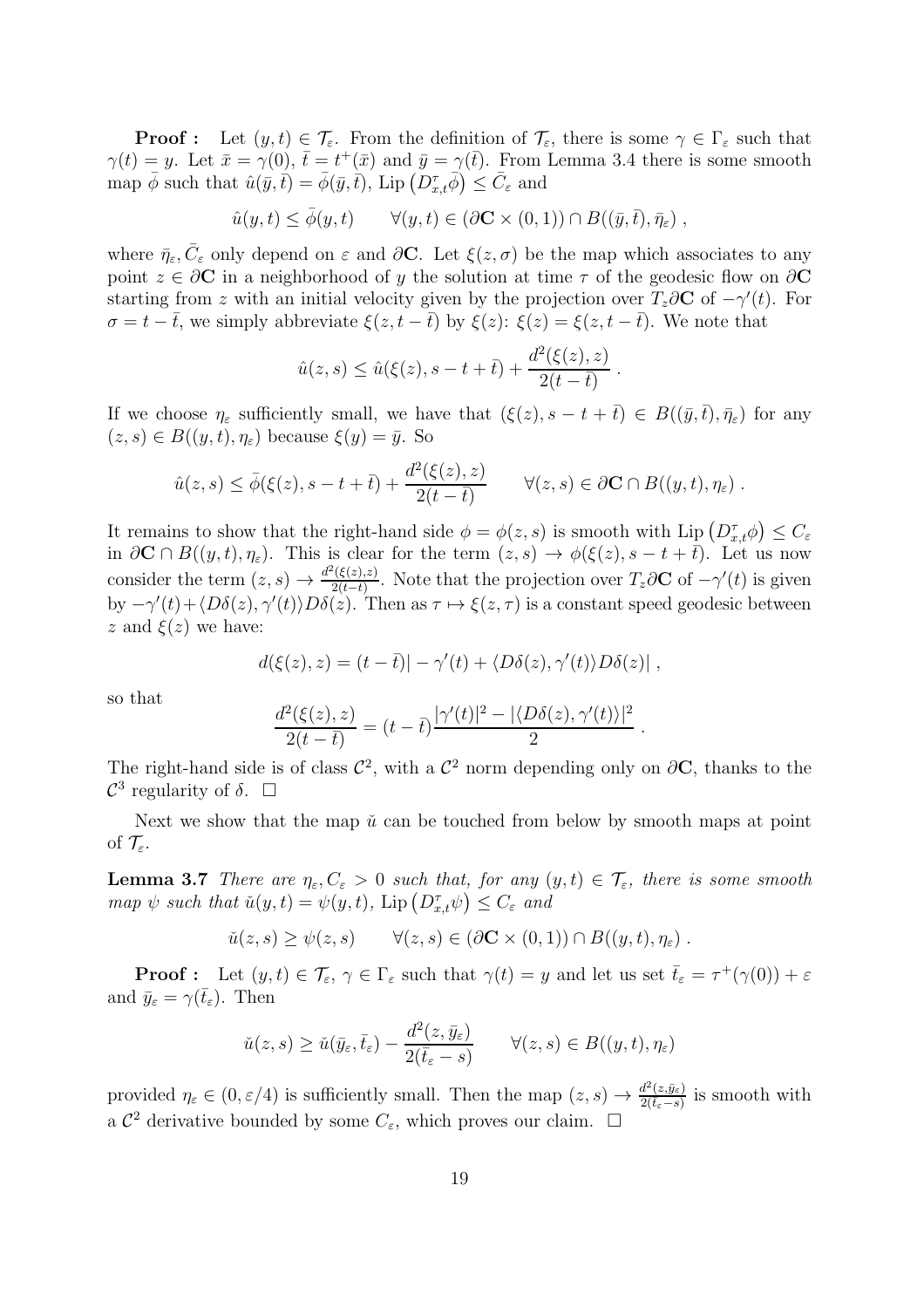**Proof :** Let  $(y, t) \in \mathcal{T}_{\varepsilon}$ . From the definition of  $\mathcal{T}_{\varepsilon}$ , there is some  $\gamma \in \Gamma_{\varepsilon}$  such that  $\gamma(t) = y$ . Let  $\bar{x} = \gamma(0)$ ,  $\bar{t} = t^+(\bar{x})$  and  $\bar{y} = \gamma(\bar{t})$ . From Lemma 3.4 there is some smooth map  $\bar{\phi}$  such that  $\hat{u}(\bar{y}, \bar{t}) = \bar{\phi}(\bar{y}, \bar{t}), \text{ Lip}\left(D_{x,\bar{t}}^{\tau}\bar{\phi}\right) \leq \bar{C}_{\varepsilon}$  and

$$
\hat{u}(y,t) \le \bar{\phi}(y,t) \qquad \forall (y,t) \in (\partial \mathbf{C} \times (0,1)) \cap B((\bar{y},\bar{t}),\bar{\eta}_{\varepsilon}),
$$

where  $\bar{\eta}_{\varepsilon}, \bar{C}_{\varepsilon}$  only depend on  $\varepsilon$  and  $\partial \mathbf{C}$ . Let  $\xi(z, \sigma)$  be the map which associates to any point  $z \in \partial C$  in a neighborhood of y the solution at time  $\tau$  of the geodesic flow on  $\partial C$ starting from z with an initial velocity given by the projection over  $T_z \partial \mathbf{C}$  of  $-\gamma'(t)$ . For  $\sigma = t - \bar{t}$ , we simply abbreviate  $\xi(z, t - \bar{t})$  by  $\xi(z)$ :  $\xi(z) = \xi(z, t - \bar{t})$ . We note that

$$
\hat{u}(z, s) \leq \hat{u}(\xi(z), s - t + \bar{t}) + \frac{d^2(\xi(z), z)}{2(t - \bar{t})}
$$
.

If we choose  $\eta_{\varepsilon}$  sufficiently small, we have that  $(\xi(z), s - t + \overline{t}) \in B((\overline{y}, \overline{t}), \overline{\eta}_{\varepsilon})$  for any  $(z, s) \in B((y, t), \eta_{\varepsilon})$  because  $\xi(y) = \overline{y}$ . So

$$
\hat{u}(z,s) \leq \bar{\phi}(\xi(z),s-t+\bar{t}) + \frac{d^2(\xi(z),z)}{2(t-\bar{t})} \qquad \forall (z,s) \in \partial \mathbf{C} \cap B((y,t),\eta_{\varepsilon}).
$$

It remains to show that the right-hand side  $\phi = \phi(z, s)$  is smooth with Lip  $(D_{x,t}^{\tau} \phi) \leq C_{\varepsilon}$ in  $\partial \mathbf{C} \cap B((y,t), \eta_{\varepsilon})$ . This is clear for the term  $(z, s) \to \phi(\xi(z), s - t + \overline{t})$ . Let us now consider the term  $(z, s) \rightarrow \frac{d^2(\xi(z), z)}{2(t-\overline{t})}$  $\frac{\Gamma(\xi(z),z)}{2(t-\bar{t})}$ . Note that the projection over  $T_z\partial \mathbf{C}$  of  $-\gamma'(t)$  is given by  $-\gamma'(t) + \langle D\delta(z), \gamma'(t) \rangle D\delta(z)$ . Then as  $\tau \mapsto \xi(z, \tau)$  is a constant speed geodesic between z and  $\xi(z)$  we have:

$$
d(\xi(z),z) = (t - \overline{t}) - \gamma'(t) + \langle D\delta(z), \gamma'(t) \rangle D\delta(z) |,
$$

so that

$$
\frac{d^2(\xi(z),z)}{2(t-\bar{t})} = (t-\bar{t})\frac{|\gamma'(t)|^2 - |\langle D\delta(z),\gamma'(t)\rangle|^2}{2}
$$

.

The right-hand side is of class  $\mathcal{C}^2$ , with a  $\mathcal{C}^2$  norm depending only on  $\partial \mathbf{C}$ , thanks to the  $\mathcal{C}^3$  regularity of  $\delta$ .  $\Box$ 

Next we show that the map  $\check{u}$  can be touched from below by smooth maps at point of  $\mathcal{T}_{\varepsilon}$ .

**Lemma 3.7** *There are*  $\eta_{\varepsilon}, C_{\varepsilon} > 0$  *such that, for any*  $(y, t) \in \mathcal{T}_{\varepsilon}$ *, there is some smooth*  $map \psi$  *such that*  $\check{u}(y,t) = \psi(y,t)$ ,  $\text{Lip} (D_{x,t}^{\tau} \psi) \leq C_{\varepsilon}$  *and* 

$$
\check{u}(z,s) \ge \psi(z,s) \qquad \forall (z,s) \in (\partial \mathbf{C} \times (0,1)) \cap B((y,t),\eta_{\varepsilon}) \ .
$$

**Proof**: Let  $(y, t) \in \mathcal{T}_{\varepsilon}, \gamma \in \Gamma_{\varepsilon}$  such that  $\gamma(t) = y$  and let us set  $\bar{t}_{\varepsilon} = \tau^+(\gamma(0)) + \varepsilon$ and  $\bar{y}_{\varepsilon} = \gamma(\bar{t}_{\varepsilon})$ . Then

$$
\check{u}(z,s) \ge \check{u}(\bar{y}_{\varepsilon}, \bar{t}_{\varepsilon}) - \frac{d^2(z, \bar{y}_{\varepsilon})}{2(\bar{t}_{\varepsilon} - s)} \qquad \forall (z,s) \in B((y,t), \eta_{\varepsilon})
$$

provided  $\eta_{\varepsilon} \in (0, \varepsilon/4)$  is sufficiently small. Then the map  $(z, s) \to \frac{d^2(z, \bar{y}_{\varepsilon})}{2(\bar{t}_{\varepsilon} - s)}$  $\frac{a^2(z, y_{\varepsilon})}{2(\bar{t}_{\varepsilon}-s)}$  is smooth with a  $\mathcal{C}^2$  derivative bounded by some  $C_{\varepsilon}$ , which proves our claim.  $\square$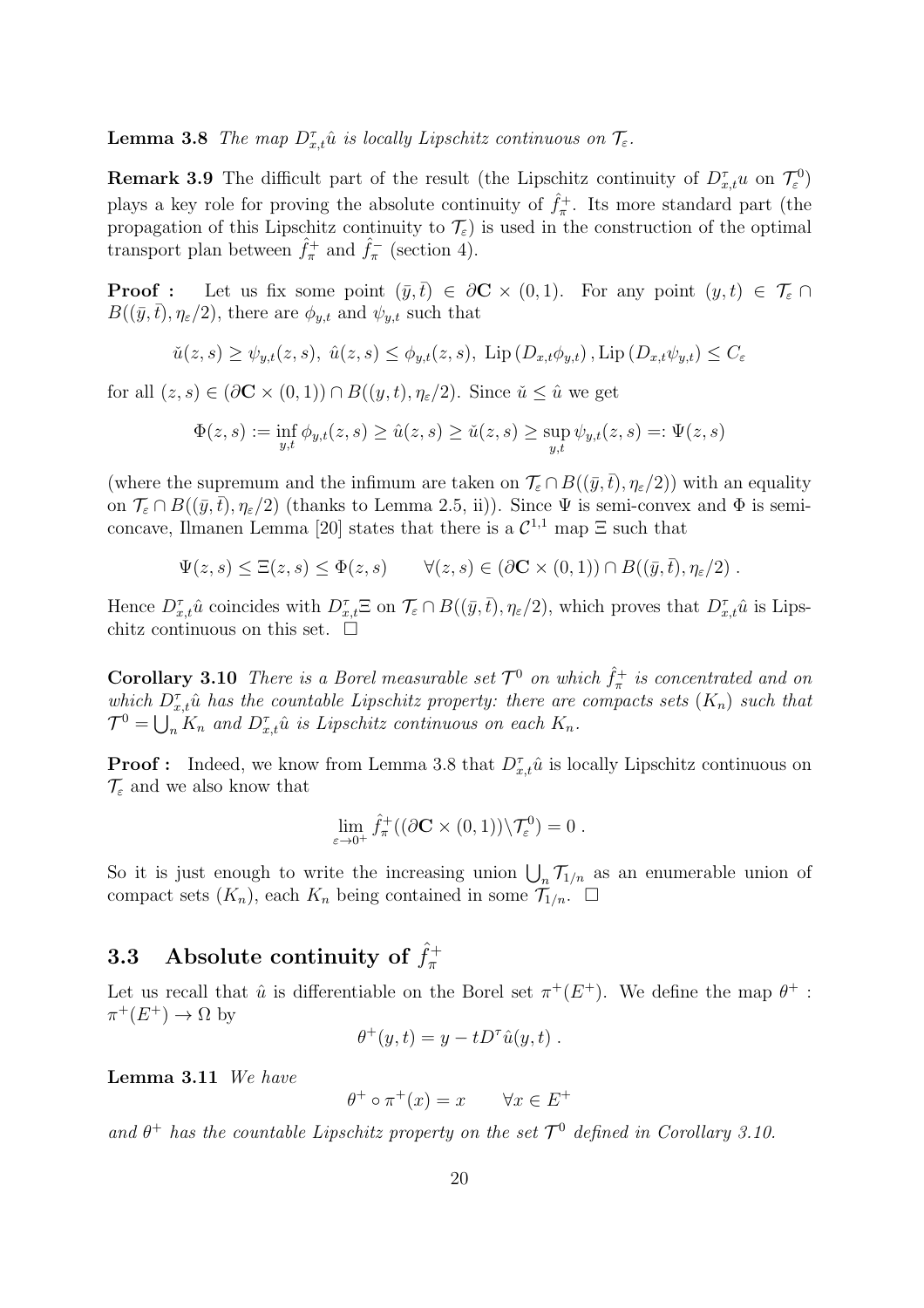**Lemma 3.8** *The map*  $D_{x,t}^{\tau}$  *û is locally Lipschitz continuous on*  $\mathcal{T}_{\varepsilon}$ *.* 

**Remark 3.9** The difficult part of the result (the Lipschitz continuity of  $D_{x,t}^{\tau}u$  on  $\mathcal{T}_{\varepsilon}^{0}$ ) plays a key role for proving the absolute continuity of  $\hat{f}_{\pi}^+$ . Its more standard part (the propagation of this Lipschitz continuity to  $\mathcal{T}_{\varepsilon}$ ) is used in the construction of the optimal transport plan between  $\hat{f}_{\pi}^+$  and  $\hat{f}_{\pi}^-$  (section 4).

**Proof :** Let us fix some point  $(\bar{y},\bar{t}) \in \partial \mathbb{C} \times (0,1)$ . For any point  $(y,t) \in \mathcal{T}_{\varepsilon} \cap$  $B((\bar{y},\bar{t}), \eta_{\varepsilon}/2)$ , there are  $\phi_{y,t}$  and  $\psi_{y,t}$  such that

$$
\tilde{u}(z,s) \ge \psi_{y,t}(z,s), \quad \hat{u}(z,s) \le \phi_{y,t}(z,s), \quad \text{Lip}\left(D_{x,t}\phi_{y,t}\right), \text{Lip}\left(D_{x,t}\psi_{y,t}\right) \le C_{\varepsilon}
$$

for all  $(z, s) \in (\partial \mathbf{C} \times (0, 1)) \cap B((y, t), \eta_{\varepsilon}/2)$ . Since  $\check{u} \leq \hat{u}$  we get

$$
\Phi(z,s) := \inf_{y,t} \phi_{y,t}(z,s) \ge \hat{u}(z,s) \ge \check{u}(z,s) \ge \sup_{y,t} \psi_{y,t}(z,s) =: \Psi(z,s)
$$

(where the supremum and the infimum are taken on  $\mathcal{T}_{\varepsilon} \cap B((\bar{y},\bar{t}),\eta_{\varepsilon}/2)$ ) with an equality on  $\mathcal{T}_{\varepsilon} \cap B((\bar{y},\bar{t}),\eta_{\varepsilon}/2)$  (thanks to Lemma 2.5, ii)). Since  $\Psi$  is semi-convex and  $\Phi$  is semiconcave, Ilmanen Lemma [20] states that there is a  $\mathcal{C}^{1,1}$  map  $\Xi$  such that

$$
\Psi(z,s) \leq \Xi(z,s) \leq \Phi(z,s) \qquad \forall (z,s) \in (\partial \mathbf{C} \times (0,1)) \cap B((\bar{y},\bar{t}),\eta_{\varepsilon}/2) .
$$

Hence  $D_{x,t}^{\tau} \hat{u}$  coincides with  $D_{x,t}^{\tau} \Xi$  on  $\mathcal{T}_{\varepsilon} \cap B((\bar{y},\bar{t}),\eta_{\varepsilon}/2)$ , which proves that  $D_{x,t}^{\tau} \hat{u}$  is Lipschitz continuous on this set.  $\Box$ 

**Corollary 3.10** There is a Borel measurable set  $\mathcal{T}^0$  on which  $\hat{f}^+_{\pi}$  is concentrated and on which  $D_{x,t}^{\tau}$  *a* has the countable Lipschitz property: there are compacts sets  $(K_n)$  such that  $\mathcal{T}^0 = \bigcup_n K_n$  and  $D_{x,t}^{\tau} \hat{u}$  is Lipschitz continuous on each  $K_n$ .

**Proof :** Indeed, we know from Lemma 3.8 that  $D_{x,t}^{\tau} \hat{u}$  is locally Lipschitz continuous on  $\mathcal{T}_{\varepsilon}$  and we also know that

$$
\lim_{\varepsilon \to 0^+} \hat{f}_{\pi}^+((\partial \mathbf{C} \times (0,1)) \backslash \mathcal{T}_{\varepsilon}^0) = 0.
$$

So it is just enough to write the increasing union  $\bigcup_n \mathcal{T}_{1/n}$  as an enumerable union of compact sets  $(K_n)$ , each  $K_n$  being contained in some  $\mathcal{T}_{1/n}$ .  $\square$ 

# 3.3 Absolute continuity of  $\hat{f}_{\pi}^{+}$

Let us recall that  $\hat{u}$  is differentiable on the Borel set  $\pi^+(E^+)$ . We define the map  $\theta^+$ :  $\pi^+(E^+) \to \Omega$  by

$$
\theta^+(y,t) = y - t D^{\tau} \hat{u}(y,t) .
$$

Lemma 3.11 *We have*

$$
\theta^+ \circ \pi^+(x) = x \qquad \forall x \in E^+
$$

and  $\theta^+$  has the countable Lipschitz property on the set  $\mathcal{T}^0$  defined in Corollary 3.10.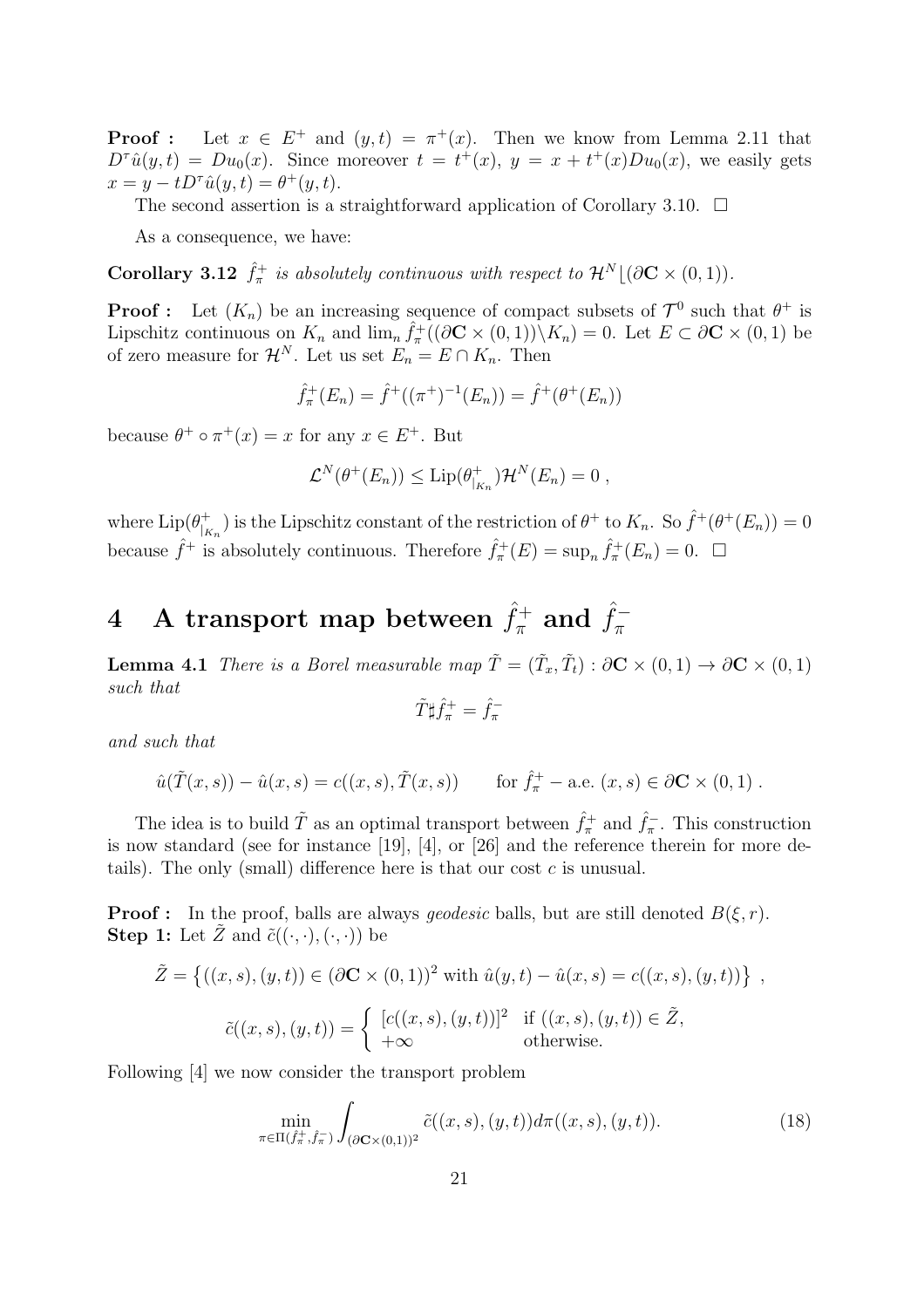**Proof**: Let  $x \in E^+$  and  $(y,t) = \pi^+(x)$ . Then we know from Lemma 2.11 that  $D^{\tau}\hat{u}(y,t) = Du_0(x)$ . Since moreover  $t = t^+(x), y = x + t^+(x)Du_0(x)$ , we easily gets  $x = y - t D^{\tau} \hat{u}(y, t) = \theta^+(y, t).$ 

The second assertion is a straightforward application of Corollary 3.10.  $\Box$ 

As a consequence, we have:

**Corollary 3.12**  $\hat{f}_{\pi}^{+}$  is absolutely continuous with respect to  $\mathcal{H}^{N} \lfloor (\partial \mathbf{C} \times (0, 1)) \rfloor$ .

**Proof**: Let  $(K_n)$  be an increasing sequence of compact subsets of  $\mathcal{T}^0$  such that  $\theta^+$  is Lipschitz continuous on  $K_n$  and  $\lim_n \hat{f}^+_n((\partial \mathbf{C} \times (0,1)) \setminus K_n) = 0$ . Let  $E \subset \partial \mathbf{C} \times (0,1)$  be of zero measure for  $\mathcal{H}^N$ . Let us set  $E_n = E \cap K_n$ . Then

$$
\hat{f}_{\pi}^{+}(E_n) = \hat{f}^{+}((\pi^+)^{-1}(E_n)) = \hat{f}^{+}(\theta^+(E_n))
$$

because  $\theta^+ \circ \pi^+(x) = x$  for any  $x \in E^+$ . But

$$
\mathcal{L}^N(\theta^+(E_n)) \leq \mathrm{Lip}(\theta^+_{|_{K_n}})\mathcal{H}^N(E_n) = 0 ,
$$

where  $\text{Lip}(\theta_{\parallel \nu}^{+})$  $\int_{K_n}^{+}$ ) is the Lipschitz constant of the restriction of  $\theta^+$  to  $K_n$ . So  $\hat{f}^+(\theta^+(E_n)) = 0$ because  $\hat{f}^+$  is absolutely continuous. Therefore  $\hat{f}^+_{\pi}(E) = \sup_n \hat{f}^+_{\pi}(E_n) = 0$ .  $\Box$ 

### $4$  A transport map between  $\hat{f}_{\pi}^{+}$  and  $\hat{f}_{\pi}^{-}$ π

**Lemma 4.1** *There is a Borel measurable map*  $\tilde{T} = (\tilde{T}_x, \tilde{T}_t) : \partial \mathbf{C} \times (0, 1) \to \partial \mathbf{C} \times (0, 1)$ *such that*

$$
\tilde{T}\sharp \hat{f}^+_\pi = \hat{f}^-_\pi
$$

*and such that*

$$
\hat{u}(\tilde{T}(x, s)) - \hat{u}(x, s) = c((x, s), \tilde{T}(x, s))
$$
 for  $\hat{f}_{\pi}^+$  – a.e.  $(x, s) \in \partial \mathbb{C} \times (0, 1)$ .

The idea is to build  $\tilde{T}$  as an optimal transport between  $\hat{f}_{\pi}^+$  and  $\hat{f}_{\pi}^-$ . This construction is now standard (see for instance [19], [4], or [26] and the reference therein for more details). The only (small) difference here is that our cost  $c$  is unusual.

**Proof :** In the proof, balls are always *geodesic* balls, but are still denoted  $B(\xi, r)$ . **Step 1:** Let  $\tilde{Z}$  and  $\tilde{c}((\cdot,\cdot),(\cdot,\cdot))$  be

$$
\tilde{Z} = \{((x, s), (y, t)) \in (\partial \mathbf{C} \times (0, 1))^2 \text{ with } \hat{u}(y, t) - \hat{u}(x, s) = c((x, s), (y, t))\},\
$$

$$
\tilde{c}((x, s), (y, t)) = \begin{cases} [c((x, s), (y, t))]^2 & \text{if } ((x, s), (y, t)) \in \tilde{Z}, \\ +\infty & \text{otherwise.} \end{cases}
$$

Following [4] we now consider the transport problem

$$
\min_{\pi \in \Pi(\hat{f}_{\pi}^+, \hat{f}_{\pi})} \int_{(\partial \mathbf{C} \times (0,1))^2} \tilde{c}((x,s),(y,t)) d\pi((x,s),(y,t)). \tag{18}
$$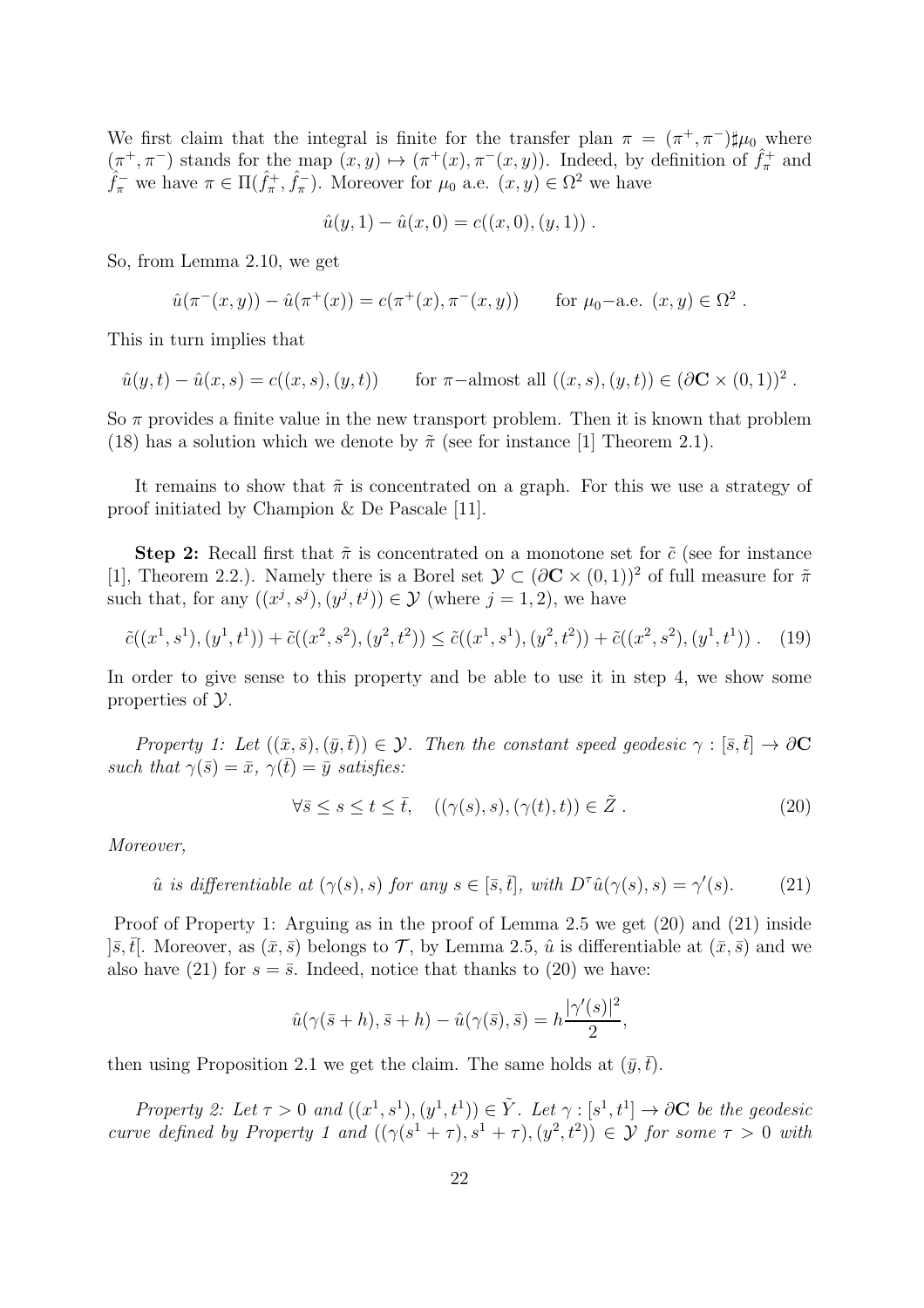We first claim that the integral is finite for the transfer plan  $\pi = (\pi^+, \pi^-) \sharp \mu_0$  where  $(\pi^+,\pi^-)$  stands for the map  $(x,y) \mapsto (\pi^+(x),\pi^-(x,y))$ . Indeed, by definition of  $\hat{f}^+_{\pi}$  and  $\hat{f}_{\pi}^-$  we have  $\pi \in \Pi(\hat{f}_{\pi}^+, \hat{f}_{\pi}^-)$ . Moreover for  $\mu_0$  a.e.  $(x, y) \in \Omega^2$  we have

$$
\hat{u}(y,1) - \hat{u}(x,0) = c((x,0),(y,1))
$$
.

So, from Lemma 2.10, we get

$$
\hat{u}(\pi^-(x,y)) - \hat{u}(\pi^+(x)) = c(\pi^+(x), \pi^-(x,y)) \quad \text{for } \mu_0\text{--a.e. } (x,y) \in \Omega^2
$$

.

This in turn implies that

$$
\hat{u}(y,t) - \hat{u}(x,s) = c((x,s),(y,t))
$$
 for  $\pi$ -almost all  $((x,s),(y,t)) \in (\partial \mathbf{C} \times (0,1))^2$ .

So  $\pi$  provides a finite value in the new transport problem. Then it is known that problem (18) has a solution which we denote by  $\tilde{\pi}$  (see for instance [1] Theorem 2.1).

It remains to show that  $\tilde{\pi}$  is concentrated on a graph. For this we use a strategy of proof initiated by Champion & De Pascale [11].

Step 2: Recall first that  $\tilde{\pi}$  is concentrated on a monotone set for  $\tilde{c}$  (see for instance [1], Theorem 2.2.). Namely there is a Borel set  $\mathcal{Y} \subset (\partial \mathbf{C} \times (0,1))^2$  of full measure for  $\tilde{\pi}$ such that, for any  $((x^j, s^j), (y^j, t^j)) \in \mathcal{Y}$  (where  $j = 1, 2$ ), we have

$$
\tilde{c}((x^1, s^1), (y^1, t^1)) + \tilde{c}((x^2, s^2), (y^2, t^2)) \leq \tilde{c}((x^1, s^1), (y^2, t^2)) + \tilde{c}((x^2, s^2), (y^1, t^1)) \ . \tag{19}
$$

In order to give sense to this property and be able to use it in step 4, we show some properties of Y.

*Property 1: Let*  $((\bar{x}, \bar{s}), (\bar{y}, \bar{t})) \in \mathcal{Y}$ *. Then the constant speed geodesic*  $\gamma : [\bar{s}, \bar{t}] \to \partial \mathbf{C}$ *such that*  $\gamma(\bar{s}) = \bar{x}$ *,*  $\gamma(\bar{t}) = \bar{y}$  *satisfies:* 

$$
\forall \bar{s} \le s \le t \le \bar{t}, \quad ((\gamma(s), s), (\gamma(t), t)) \in \tilde{Z}. \tag{20}
$$

*Moreover,*

$$
\hat{u} \text{ is differentiable at } (\gamma(s), s) \text{ for any } s \in [\bar{s}, \bar{t}], \text{ with } D^{\tau} \hat{u}(\gamma(s), s) = \gamma'(s). \tag{21}
$$

Proof of Property 1: Arguing as in the proof of Lemma 2.5 we get (20) and (21) inside  $|\bar{s},\bar{t}|$ . Moreover, as  $(\bar{x},\bar{s})$  belongs to  $\mathcal{T}$ , by Lemma 2.5,  $\hat{u}$  is differentiable at  $(\bar{x},\bar{s})$  and we also have (21) for  $s = \overline{s}$ . Indeed, notice that thanks to (20) we have:

$$
\hat{u}(\gamma(\bar{s}+h), \bar{s}+h) - \hat{u}(\gamma(\bar{s}), \bar{s}) = h\frac{|\gamma'(s)|^2}{2},
$$

then using Proposition 2.1 we get the claim. The same holds at  $(\bar{y}, \bar{t})$ .

*Property 2: Let*  $\tau > 0$  and  $((x^1, s^1), (y^1, t^1)) \in \tilde{Y}$ *. Let*  $\gamma : [s^1, t^1] \to \partial \mathbf{C}$  *be the geodesic curve defined by Property 1 and*  $((\gamma(s^1 + \tau), s^1 + \tau), (y^2, t^2)) \in \mathcal{Y}$  *for some*  $\tau > 0$  *with*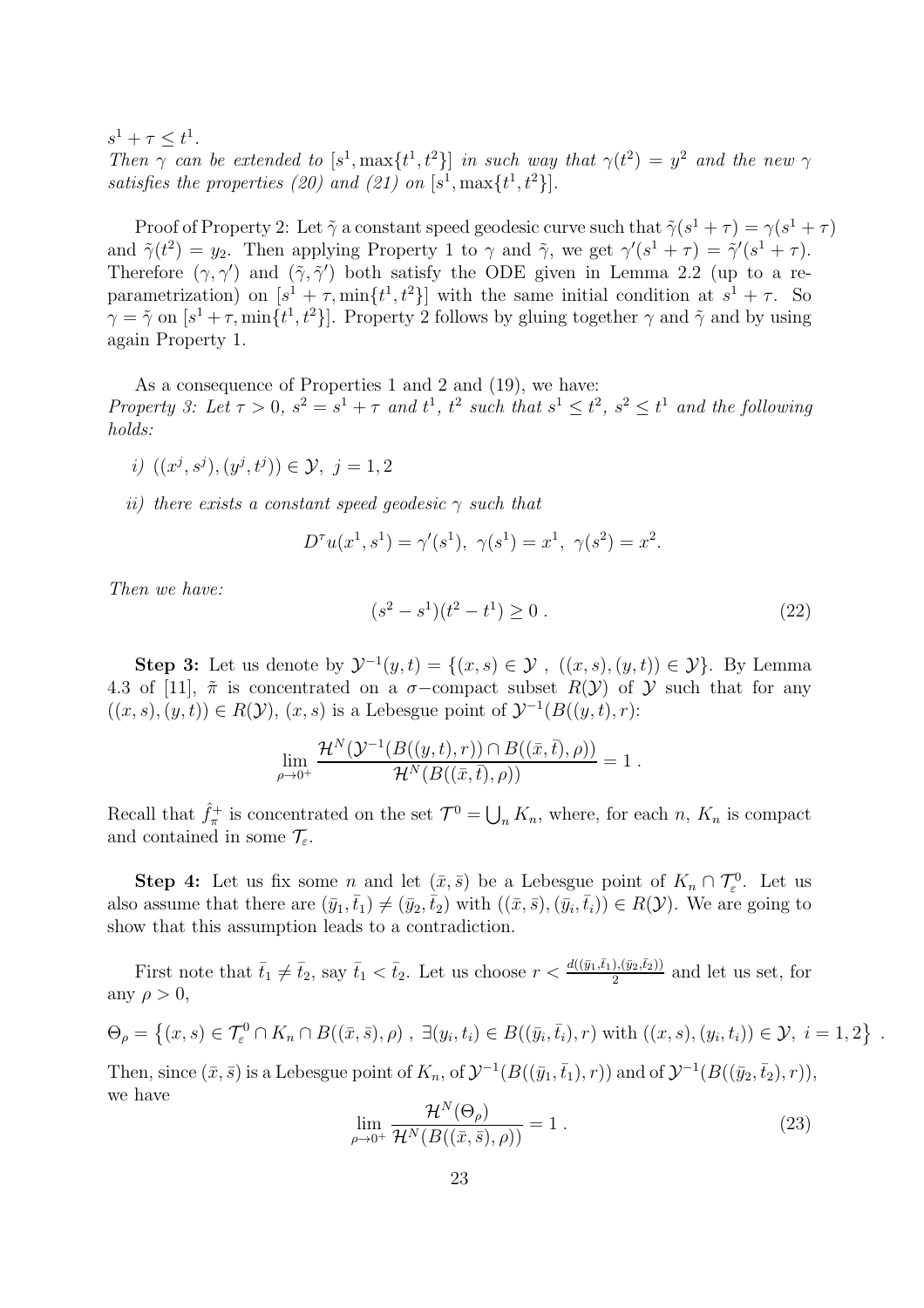$s^1 + \tau \leq t^1$ . *Then*  $\gamma$  *can be extended to*  $[s^1, \max\{t^1, t^2\}]$  *in such way that*  $\gamma(t^2) = y^2$  *and the new*  $\gamma$ satisfies the properties (20) and (21) on  $[s^1, \max\{t^1, t^2\}].$ 

Proof of Property 2: Let  $\tilde{\gamma}$  a constant speed geodesic curve such that  $\tilde{\gamma}(s^1 + \tau) = \gamma(s^1 + \tau)$ and  $\tilde{\gamma}(t^2) = y_2$ . Then applying Property 1 to  $\gamma$  and  $\tilde{\gamma}$ , we get  $\gamma'(s^1 + \tau) = \tilde{\gamma}'(s^1 + \tau)$ . Therefore  $(\gamma, \gamma')$  and  $(\tilde{\gamma}, \tilde{\gamma}')$  both satisfy the ODE given in Lemma 2.2 (up to a reparametrization) on  $[s^1 + \tau, \min\{t^1, t^2\}]$  with the same initial condition at  $s^1 + \tau$ . So  $\gamma = \tilde{\gamma}$  on  $[s^1 + \tau, \min\{t^1, t^2\}]$ . Property 2 follows by gluing together  $\gamma$  and  $\tilde{\gamma}$  and by using again Property 1.

As a consequence of Properties 1 and 2 and (19), we have: *Property 3: Let*  $\tau > 0$ ,  $s^2 = s^1 + \tau$  and  $t^1$ ,  $t^2$  such that  $s^1 \le t^2$ ,  $s^2 \le t^1$  and the following *holds:*

- *i*)  $((x^j, s^j), (y^j, t^j)) \in \mathcal{Y}, j = 1, 2$
- *ii) there exists a constant speed geodesic* γ *such that*

$$
D^{\tau}u(x^{1}, s^{1}) = \gamma'(s^{1}), \ \gamma(s^{1}) = x^{1}, \ \gamma(s^{2}) = x^{2}.
$$

*Then we have:*

$$
(s2 - s1)(t2 - t1) \ge 0.
$$
 (22)

Step 3: Let us denote by  $\mathcal{Y}^{-1}(y,t) = \{(x,s) \in \mathcal{Y}, ((x,s),(y,t)) \in \mathcal{Y}\}\)$ . By Lemma 4.3 of [11],  $\tilde{\pi}$  is concentrated on a  $\sigma$ -compact subset  $R(Y)$  of Y such that for any  $((x, s), (y, t)) \in R(\mathcal{Y}), (x, s)$  is a Lebesgue point of  $\mathcal{Y}^{-1}(B((y, t), r))$ :

$$
\lim_{\rho\to 0^+}\frac{\mathcal{H}^N(\mathcal{Y}^{-1}(B((y,t),r))\cap B((\bar{x},\bar{t}),\rho))}{\mathcal{H}^N(B((\bar{x},\bar{t}),\rho))}=1.
$$

Recall that  $\hat{f}_{\pi}^+$  is concentrated on the set  $\mathcal{T}^0 = \bigcup_n K_n$ , where, for each n,  $K_n$  is compact and contained in some  $\mathcal{T}_{\varepsilon}$ .

**Step 4:** Let us fix some *n* and let  $(\bar{x}, \bar{s})$  be a Lebesgue point of  $K_n \cap \mathcal{T}_{\varepsilon}^0$ . Let us also assume that there are  $(\bar{y}_1, \bar{t}_1) \neq (\bar{y}_2, \bar{t}_2)$  with  $((\bar{x}, \bar{s}),(\bar{y}_i, \bar{t}_i)) \in R(\mathcal{Y})$ . We are going to show that this assumption leads to a contradiction.

First note that  $\bar{t}_1 \neq \bar{t}_2$ , say  $\bar{t}_1 < \bar{t}_2$ . Let us choose  $r < \frac{d((\bar{y}_1, \bar{t}_1), (\bar{y}_2, \bar{t}_2))}{2}$  and let us set, for any  $\rho > 0$ ,

$$
\Theta_{\rho} = \left\{ (x, s) \in \mathcal{T}_{\varepsilon}^{0} \cap K_{n} \cap B((\bar{x}, \bar{s}), \rho), \exists (y_i, t_i) \in B((\bar{y}_i, \bar{t}_i), r) \text{ with } ((x, s), (y_i, t_i)) \in \mathcal{Y}, i = 1, 2 \right\}.
$$

Then, since  $(\bar{x}, \bar{s})$  is a Lebesgue point of  $K_n$ , of  $\mathcal{Y}^{-1}(B((\bar{y}_1, \bar{t}_1), r))$  and of  $\mathcal{Y}^{-1}(B((\bar{y}_2, \bar{t}_2), r))$ , we have

$$
\lim_{\rho \to 0^+} \frac{\mathcal{H}^N(\Theta_\rho)}{\mathcal{H}^N(B((\bar{x}, \bar{s}), \rho))} = 1.
$$
\n(23)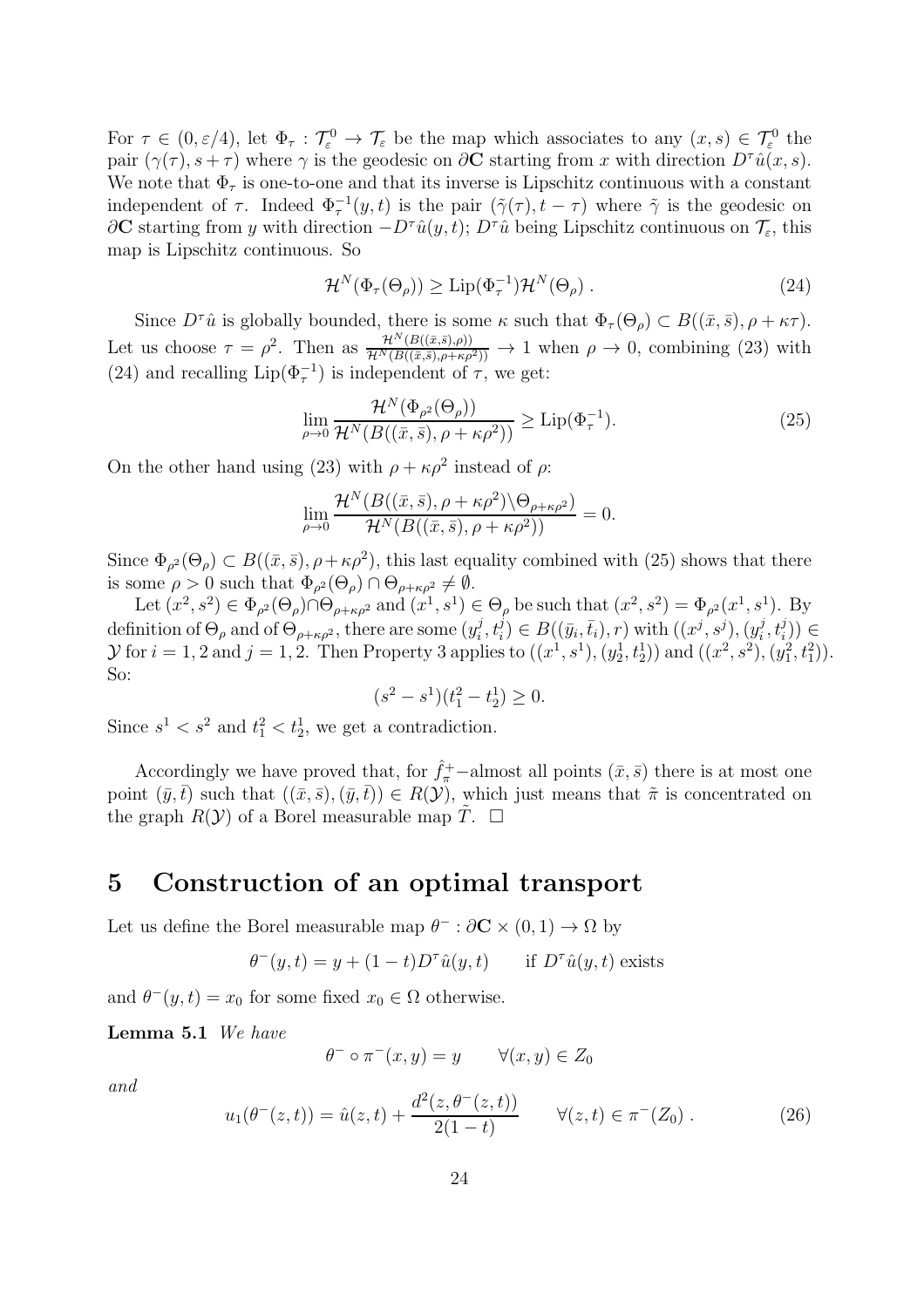For  $\tau \in (0, \varepsilon/4)$ , let  $\Phi_{\tau} : \mathcal{T}_{\varepsilon}^0 \to \mathcal{T}_{\varepsilon}$  be the map which associates to any  $(x, s) \in \mathcal{T}_{\varepsilon}^0$  the pair  $(\gamma(\tau), s + \tau)$  where  $\gamma$  is the geodesic on  $\partial \mathbf{C}$  starting from x with direction  $D^{\tau}\hat{u}(x, s)$ . We note that  $\Phi_{\tau}$  is one-to-one and that its inverse is Lipschitz continuous with a constant independent of  $\tau$ . Indeed  $\Phi_{\tau}^{-1}(y,t)$  is the pair  $(\tilde{\gamma}(\tau), t - \tau)$  where  $\tilde{\gamma}$  is the geodesic on  $\partial$ C starting from y with direction  $-D^{\tau}\hat{u}(y,t)$ ;  $D^{\tau}\hat{u}$  being Lipschitz continuous on  $\mathcal{T}_{\varepsilon}$ , this map is Lipschitz continuous. So

$$
\mathcal{H}^N(\Phi_\tau(\Theta_\rho)) \ge \text{Lip}(\Phi_\tau^{-1})\mathcal{H}^N(\Theta_\rho) \ . \tag{24}
$$

Since  $D^{\tau}\hat{u}$  is globally bounded, there is some  $\kappa$  such that  $\Phi_{\tau}(\Theta_{\rho}) \subset B((\bar{x},\bar{s}), \rho + \kappa \tau)$ . Let us choose  $\tau = \rho^2$ . Then as  $\frac{\mathcal{H}^N(B((\bar{x},\bar{s}),\rho))}{\mathcal{H}^N(B((\bar{x},\bar{s}),\rho+\kappa\rho^2))} \to 1$  when  $\rho \to 0$ , combining (23) with (24) and recalling  $\text{Lip}(\Phi_{\tau}^{-1})$  is independent of  $\tau$ , we get:

$$
\lim_{\rho \to 0} \frac{\mathcal{H}^N(\Phi_{\rho^2}(\Theta_{\rho}))}{\mathcal{H}^N(B((\bar{x}, \bar{s}), \rho + \kappa \rho^2))} \ge \text{Lip}(\Phi_{\tau}^{-1}).
$$
\n(25)

On the other hand using (23) with  $\rho + \kappa \rho^2$  instead of  $\rho$ :

$$
\lim_{\rho \to 0} \frac{\mathcal{H}^N(B((\bar{x}, \bar{s}), \rho + \kappa \rho^2) \backslash \Theta_{\rho + \kappa \rho^2})}{\mathcal{H}^N(B((\bar{x}, \bar{s}), \rho + \kappa \rho^2))} = 0.
$$

Since  $\Phi_{\rho^2}(\Theta_{\rho}) \subset B((\bar{x},\bar{s}), \rho + \kappa \rho^2)$ , this last equality combined with (25) shows that there is some  $\rho > 0$  such that  $\Phi_{\rho^2}(\Theta_\rho) \cap \Theta_{\rho + \kappa \rho^2} \neq \emptyset$ .

Let  $(x^2, s^2) \in \Phi_{\rho^2}(\Theta_\rho) \cap \Theta_{\rho + \kappa \rho^2}$  and  $(x^1, s^1) \in \Theta_\rho$  be such that  $(x^2, s^2) = \Phi_{\rho^2}(x^1, s^1)$ . By definition of  $\Theta_{\rho}$  and of  $\Theta_{\rho+\kappa\rho^2}$ , there are some  $(y_i^j)$  $\mathbf{y}_i^j, t_i^j) \in B((\bar{y}_i, \bar{t}_i), r) \text{ with } ((x^j, s^j), (y_i^j))$  $(i, t_i^j)) \in$  $\mathcal Y$  for  $i = 1, 2$  and  $j = 1, 2$ . Then Property 3 applies to  $((x^1, s^1), (y_2^1, t_2^1))$  and  $((x^2, s^2), (y_1^2, t_1^2))$ . So:

$$
(s^2 - s^1)(t_1^2 - t_2^1) \ge 0.
$$

Since  $s^1 < s^2$  and  $t_1^2 < t_2^1$ , we get a contradiction.

Accordingly we have proved that, for  $\hat{f}_{\pi}^+$ -almost all points  $(\bar{x}, \bar{s})$  there is at most one point  $(\bar{y},\bar{t})$  such that  $((\bar{x},\bar{s}),(\bar{y},\bar{t})) \in R(\mathcal{Y})$ , which just means that  $\tilde{\pi}$  is concentrated on the graph  $R(Y)$  of a Borel measurable map  $\tilde{T}$ .  $\Box$ 

## 5 Construction of an optimal transport

Let us define the Borel measurable map  $\theta^- : \partial \mathbf{C} \times (0,1) \to \Omega$  by

$$
\theta^-(y,t) = y + (1-t)D^{\tau}\hat{u}(y,t) \quad \text{if } D^{\tau}\hat{u}(y,t) \text{ exists}
$$

and  $\theta^-(y,t) = x_0$  for some fixed  $x_0 \in \Omega$  otherwise.

Lemma 5.1 *We have*

$$
\theta^- \circ \pi^-(x, y) = y \qquad \forall (x, y) \in Z_0
$$

*and*

$$
u_1(\theta^-(z,t)) = \hat{u}(z,t) + \frac{d^2(z,\theta^-(z,t))}{2(1-t)} \qquad \forall (z,t) \in \pi^-(Z_0).
$$
 (26)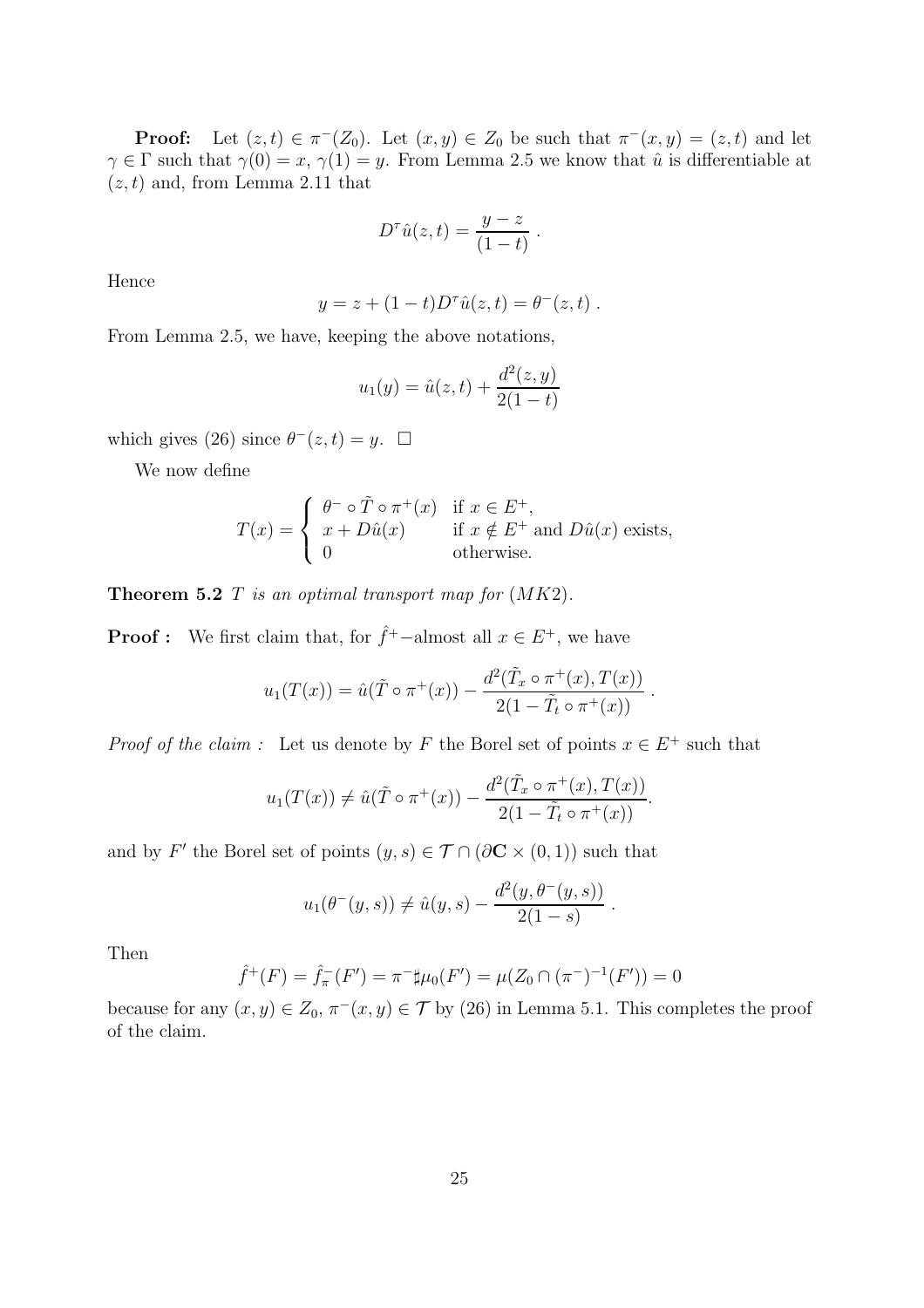**Proof:** Let  $(z, t) \in \pi^{-}(Z_0)$ . Let  $(x, y) \in Z_0$  be such that  $\pi^{-}(x, y) = (z, t)$  and let  $\gamma \in \Gamma$  such that  $\gamma(0) = x$ ,  $\gamma(1) = y$ . From Lemma 2.5 we know that  $\hat{u}$  is differentiable at  $(z, t)$  and, from Lemma 2.11 that

$$
D^{\tau}\hat{u}(z,t) = \frac{y-z}{(1-t)}.
$$

Hence

$$
y = z + (1 - t)D^{\tau}\hat{u}(z, t) = \theta^-(z, t)
$$
.

From Lemma 2.5, we have, keeping the above notations,

$$
u_1(y) = \hat{u}(z, t) + \frac{d^2(z, y)}{2(1 - t)}
$$

which gives (26) since  $\theta^{-}(z,t) = y$ .  $\Box$ 

We now define

$$
T(x) = \begin{cases} \theta^- \circ \tilde{T} \circ \pi^+(x) & \text{if } x \in E^+, \\ x + D\hat{u}(x) & \text{if } x \notin E^+ \text{ and } D\hat{u}(x) \text{ exists,} \\ 0 & \text{otherwise.} \end{cases}
$$

Theorem 5.2 T *is an optimal transport map for* (MK2)*.*

**Proof :** We first claim that, for  $\hat{f}^+$ -almost all  $x \in E^+$ , we have

$$
u_1(T(x)) = \hat{u}(\tilde{T} \circ \pi^+(x)) - \frac{d^2(\tilde{T}_x \circ \pi^+(x), T(x))}{2(1 - \tilde{T}_t \circ \pi^+(x))}.
$$

*Proof of the claim :* Let us denote by F the Borel set of points  $x \in E^+$  such that

$$
u_1(T(x)) \neq \hat{u}(\tilde{T} \circ \pi^+(x)) - \frac{d^2(\tilde{T}_x \circ \pi^+(x), T(x))}{2(1 - \tilde{T}_t \circ \pi^+(x))}.
$$

and by F' the Borel set of points  $(y, s) \in \mathcal{T} \cap (\partial \mathbf{C} \times (0, 1))$  such that

$$
u_1(\theta^-(y,s)) \neq \hat{u}(y,s) - \frac{d^2(y, \theta^-(y,s))}{2(1-s)}.
$$

Then

$$
\hat{f}^+(F) = \hat{f}_\pi^-(F') = \pi^- \sharp \mu_0(F') = \mu(Z_0 \cap (\pi^-)^{-1}(F')) = 0
$$

because for any  $(x, y) \in Z_0$ ,  $\pi^{-}(x, y) \in \mathcal{T}$  by (26) in Lemma 5.1. This completes the proof of the claim.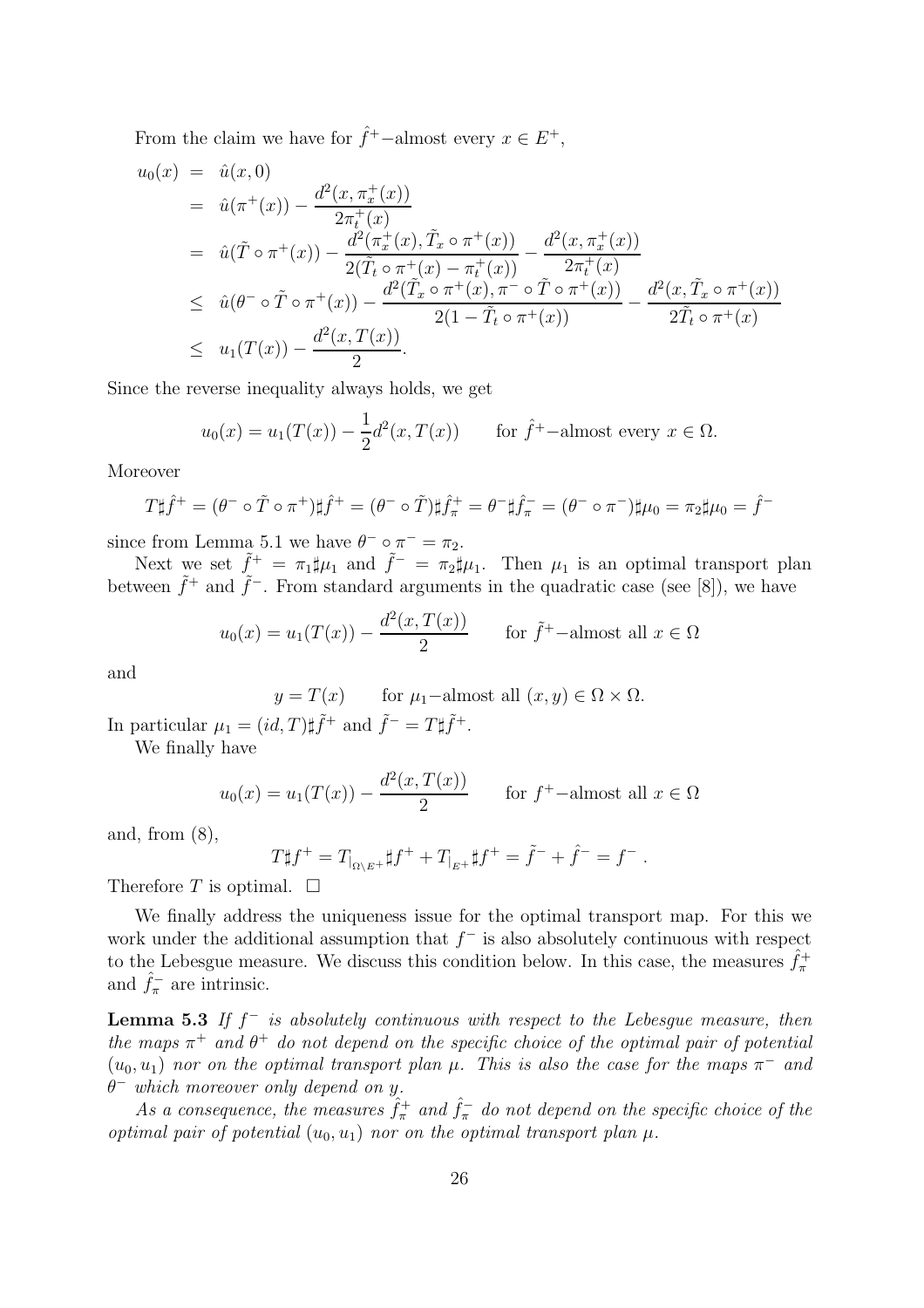From the claim we have for  $\hat{f}^+$ -almost every  $x \in E^+$ ,

$$
u_0(x) = \hat{u}(x, 0)
$$
  
\n
$$
= \hat{u}(\pi^+(x)) - \frac{d^2(x, \pi_x^+(x))}{2\pi_t^+(x)}
$$
  
\n
$$
= \hat{u}(\tilde{T} \circ \pi^+(x)) - \frac{d^2(\pi_x^+(x), \tilde{T}_x \circ \pi^+(x))}{2(\tilde{T}_t \circ \pi^+(x) - \pi_t^+(x))} - \frac{d^2(x, \pi_x^+(x))}{2\pi_t^+(x)}
$$
  
\n
$$
\leq \hat{u}(\theta^- \circ \tilde{T} \circ \pi^+(x)) - \frac{d^2(\tilde{T}_x \circ \pi^+(x), \pi^- \circ \tilde{T} \circ \pi^+(x))}{2(1 - \tilde{T}_t \circ \pi^+(x))} - \frac{d^2(x, \tilde{T}_x \circ \pi^+(x))}{2\tilde{T}_t \circ \pi^+(x)}
$$
  
\n
$$
\leq u_1(T(x)) - \frac{d^2(x, T(x))}{2}.
$$

Since the reverse inequality always holds, we get

$$
u_0(x) = u_1(T(x)) - \frac{1}{2}d^2(x, T(x)) \quad \text{for } \hat{f}^+-\text{almost every } x \in \Omega.
$$

Moreover

$$
T\sharp \hat{f}^+ = (\theta^- \circ \tilde{T} \circ \pi^+) \sharp \hat{f}^+ = (\theta^- \circ \tilde{T}) \sharp \hat{f}^+_{\pi} = \theta^- \sharp \hat{f}^-_{\pi} = (\theta^- \circ \pi^-) \sharp \mu_0 = \pi_2 \sharp \mu_0 = \hat{f}^-
$$

since from Lemma 5.1 we have  $\theta^- \circ \pi^- = \pi_2$ .

Next we set  $\tilde{f}^+ = \pi_1 \sharp \mu_1$  and  $\tilde{f}^- = \pi_2 \sharp \mu_1$ . Then  $\mu_1$  is an optimal transport plan between  $\tilde{f}^+$  and  $\tilde{f}^-$ . From standard arguments in the quadratic case (see [8]), we have

$$
u_0(x) = u_1(T(x)) - \frac{d^2(x, T(x))}{2} \quad \text{for } \tilde{f}^+ - \text{almost all } x \in \Omega
$$

and

 $y = T(x)$  for  $\mu_1$ -almost all  $(x, y) \in \Omega \times \Omega$ .

In particular  $\mu_1 = (id, T)\sharp \tilde{f}^+$  and  $\tilde{f}^- = T\sharp \tilde{f}^+.$ 

We finally have

$$
u_0(x) = u_1(T(x)) - \frac{d^2(x, T(x))}{2} \quad \text{for } f^+\text{-almost all } x \in \Omega
$$

and, from  $(8)$ ,

$$
T\sharp f^+ = T_{\vert_{\Omega\setminus E^+}}\sharp f^+ + T_{\vert_{E^+}}\sharp f^+ = \tilde{f}^- + \hat{f}^- = f^-.
$$

Therefore T is optimal.  $\square$ 

We finally address the uniqueness issue for the optimal transport map. For this we work under the additional assumption that  $f^-$  is also absolutely continuous with respect to the Lebesgue measure. We discuss this condition below. In this case, the measures  $\hat{f}_{\pi}^{+}$ and  $\hat{f}_{\pi}^-$  are intrinsic.

Lemma 5.3 *If* f <sup>−</sup> *is absolutely continuous with respect to the Lebesgue measure, then the maps*  $\pi^+$  *and*  $\theta^+$  *do not depend on the specific choice of the optimal pair of potential*  $(u_0, u_1)$  *nor on the optimal transport plan*  $\mu$ . This is also the case for the maps  $\pi^-$  and θ <sup>−</sup> *which moreover only depend on* y*.*

As a consequence, the measures  $\hat{f}_{\pi}^+$  and  $\hat{f}_{\pi}^-$  do not depend on the specific choice of the *optimal pair of potential*  $(u_0, u_1)$  *nor on the optimal transport plan*  $\mu$ *.*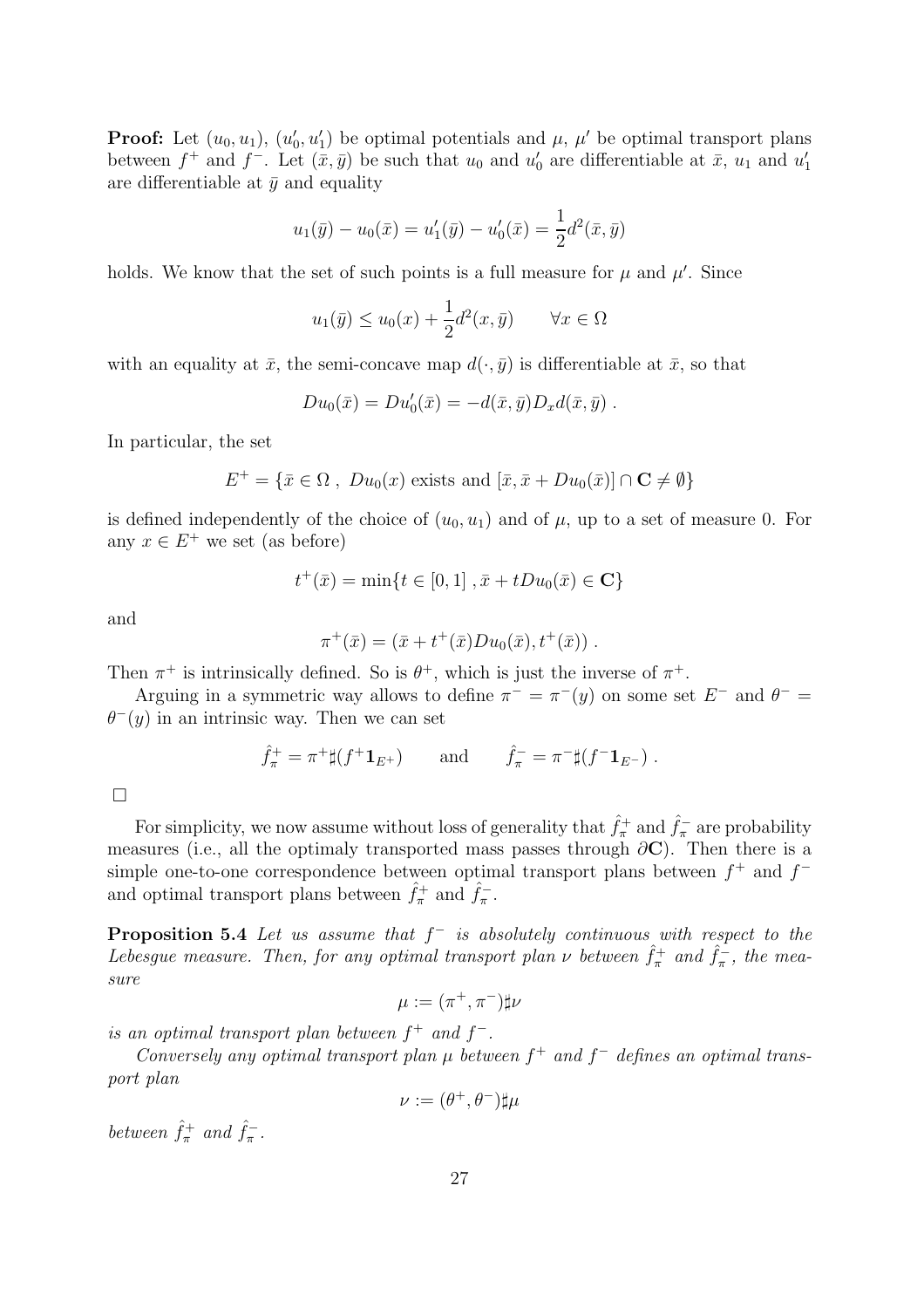**Proof:** Let  $(u_0, u_1)$ ,  $(u'_0, u'_1)$  be optimal potentials and  $\mu$ ,  $\mu'$  be optimal transport plans between  $f^+$  and  $f^-$ . Let  $(\bar{x}, \bar{y})$  be such that  $u_0$  and  $u'_0$  are differentiable at  $\bar{x}$ ,  $u_1$  and  $u'_1$ are differentiable at  $\bar{y}$  and equality

$$
u_1(\bar{y}) - u_0(\bar{x}) = u'_1(\bar{y}) - u'_0(\bar{x}) = \frac{1}{2}d^2(\bar{x}, \bar{y})
$$

holds. We know that the set of such points is a full measure for  $\mu$  and  $\mu'$ . Since

$$
u_1(\bar{y}) \le u_0(x) + \frac{1}{2}d^2(x,\bar{y}) \quad \forall x \in \Omega
$$

with an equality at  $\bar{x}$ , the semi-concave map  $d(\cdot, \bar{y})$  is differentiable at  $\bar{x}$ , so that

$$
Du_0(\bar{x})=Du'_0(\bar{x})=-d(\bar{x},\bar{y})D_xd(\bar{x},\bar{y}).
$$

In particular, the set

$$
E^+ = \{ \bar{x} \in \Omega , \ Du_0(x) \text{ exists and } [\bar{x}, \bar{x} + Du_0(\bar{x})] \cap \mathbf{C} \neq \emptyset \}
$$

is defined independently of the choice of  $(u_0, u_1)$  and of  $\mu$ , up to a set of measure 0. For any  $x \in E^+$  we set (as before)

$$
t^+(\bar{x}) = \min\{t \in [0,1], \bar{x} + tDu_0(\bar{x}) \in \mathbf{C}\}
$$

and

$$
\pi^+(\bar{x}) = (\bar{x} + t^+(\bar{x})Du_0(\bar{x}), t^+(\bar{x})).
$$

Then  $\pi^+$  is intrinsically defined. So is  $\theta^+$ , which is just the inverse of  $\pi^+$ .

Arguing in a symmetric way allows to define  $\pi^- = \pi^-(y)$  on some set  $E^-$  and  $\theta^- =$  $\theta^{-}(y)$  in an intrinsic way. Then we can set

$$
\hat{f}_{\pi}^{+} = \pi^{+} \sharp (f^{+} \mathbf{1}_{E^{+}}) \quad \text{and} \quad \hat{f}_{\pi}^{-} = \pi^{-} \sharp (f^{-} \mathbf{1}_{E^{-}}) .
$$

 $\Box$ 

For simplicity, we now assume without loss of generality that  $\hat{f}_{\pi}^{+}$  and  $\hat{f}_{\pi}^{-}$  are probability measures (i.e., all the optimaly transported mass passes through  $\partial C$ ). Then there is a simple one-to-one correspondence between optimal transport plans between  $f^+$  and  $f^$ and optimal transport plans between  $\hat{f}_{\pi}^{+}$  and  $\hat{f}_{\pi}^{-}$ .

Proposition 5.4 *Let us assume that*  $f$ <sup>−</sup> *is absolutely continuous with respect to the Lebesgue measure. Then, for any optimal transport plan*  $\nu$  *between*  $\hat{f}_{\pi}^{+}$  and  $\hat{f}_{\pi}^{-}$ *, the measure*

$$
\mu:=(\pi^+,\pi^-)\sharp\nu
$$

*is an optimal transport plan between*  $f^+$  *and*  $f^-$ *.* 

*Conversely any optimal transport plan*  $\mu$  *between*  $f^+$  *and*  $f^-$  *defines an optimal transport plan*

$$
\nu := (\theta^+, \theta^-)\sharp \mu
$$

*between*  $\hat{f}^+_{\pi}$  *and*  $\hat{f}^-_{\pi}$ *.*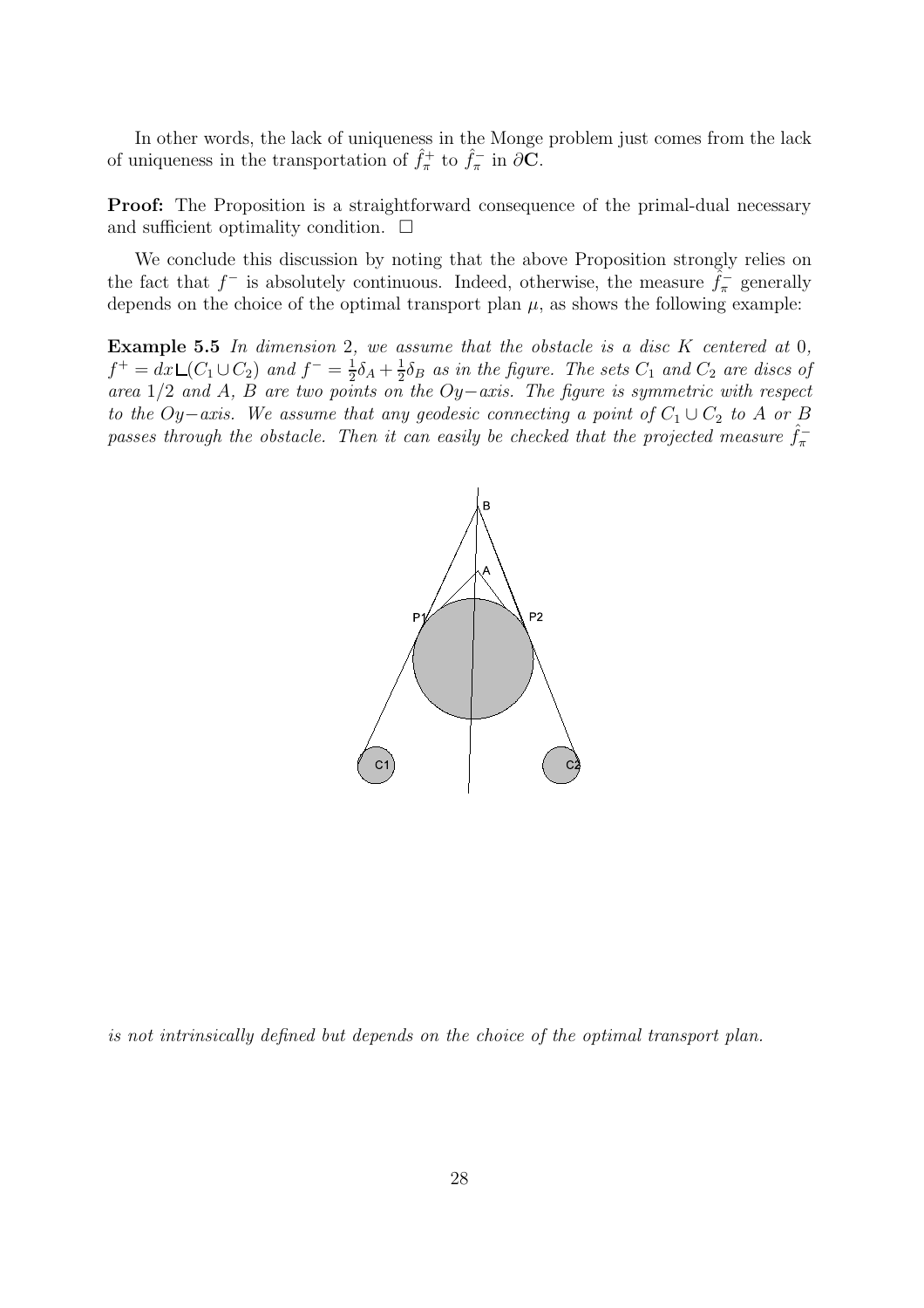In other words, the lack of uniqueness in the Monge problem just comes from the lack of uniqueness in the transportation of  $\hat{f}_{\pi}^{+}$  to  $\hat{f}_{\pi}^{-}$  in  $\partial \mathbf{C}$ .

**Proof:** The Proposition is a straightforward consequence of the primal-dual necessary and sufficient optimality condition.  $\Box$ 

We conclude this discussion by noting that the above Proposition strongly relies on the fact that  $f^-$  is absolutely continuous. Indeed, otherwise, the measure  $\tilde{f}^-_{\pi}$  generally depends on the choice of the optimal transport plan  $\mu$ , as shows the following example:

Example 5.5 *In dimension* 2*, we assume that the obstacle is a disc* K *centered at* 0*,*  $f^+ = dx \, \mathsf{L}(C_1 \cup C_2)$  and  $f^- = \frac{1}{2}$  $\frac{1}{2}\delta_A + \frac{1}{2}$  $\frac{1}{2}\delta_B$  *as in the figure. The sets*  $C_1$  *and*  $C_2$  *are discs of area* 1/2 *and* A*,* B *are two points on the* Oy−*axis. The figure is symmetric with respect to the*  $Oy-axis$ *. We assume that any geodesic connecting a point of*  $C_1 \cup C_2$  *to* A *or* B passes through the obstacle. Then it can easily be checked that the projected measure  $\hat{f}_{\pi}^-$ 



*is not intrinsically defined but depends on the choice of the optimal transport plan.*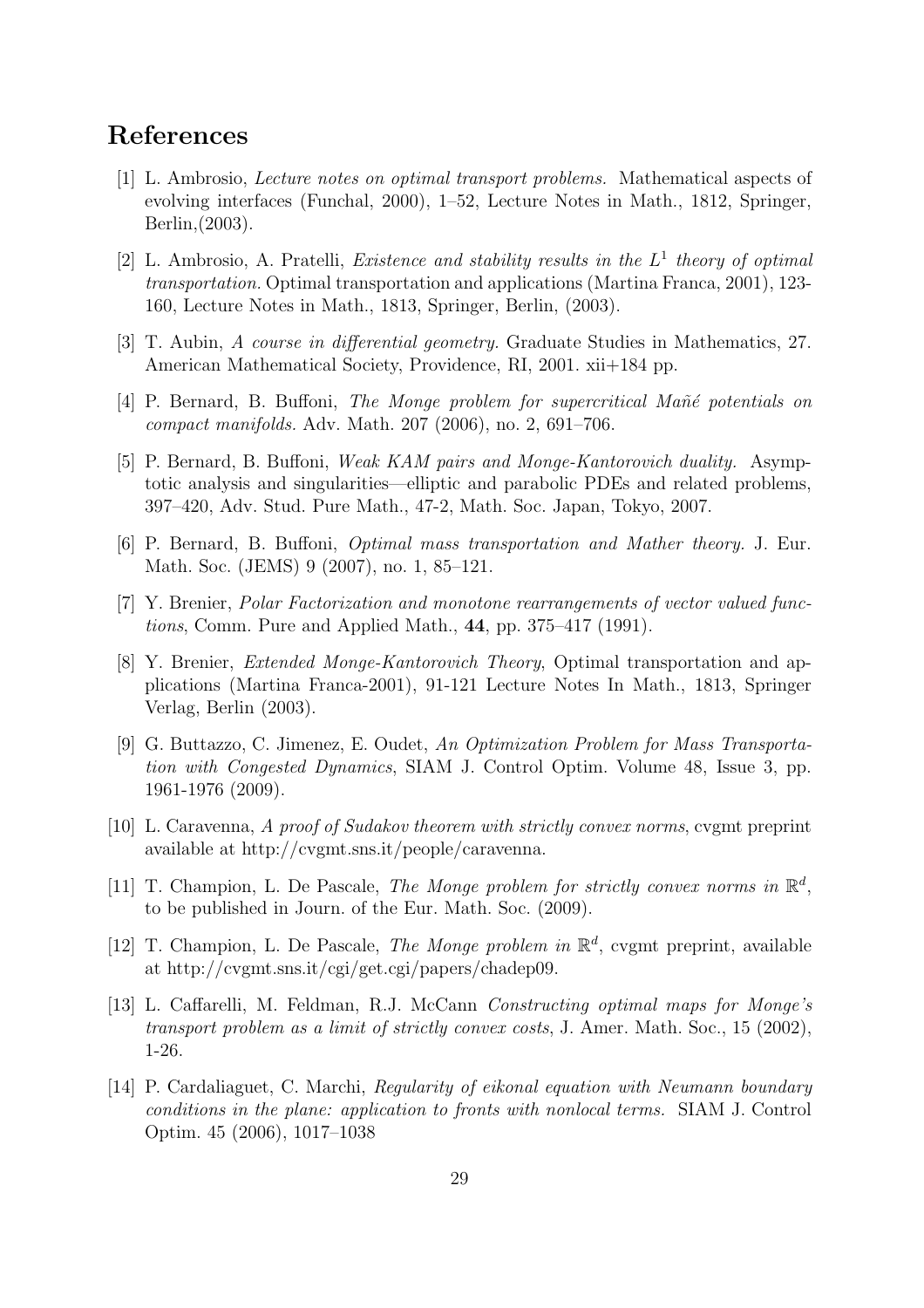# References

- [1] L. Ambrosio, *Lecture notes on optimal transport problems.* Mathematical aspects of evolving interfaces (Funchal, 2000), 1–52, Lecture Notes in Math., 1812, Springer, Berlin,(2003).
- [2] L. Ambrosio, A. Pratelli, *Existence and stability results in the* L 1 *theory of optimal transportation.* Optimal transportation and applications (Martina Franca, 2001), 123- 160, Lecture Notes in Math., 1813, Springer, Berlin, (2003).
- [3] T. Aubin, *A course in differential geometry.* Graduate Studies in Mathematics, 27. American Mathematical Society, Providence, RI, 2001. xii+184 pp.
- [4] P. Bernard, B. Buffoni, *The Monge problem for supercritical Ma˜n´e potentials on compact manifolds.* Adv. Math. 207 (2006), no. 2, 691–706.
- [5] P. Bernard, B. Buffoni, *Weak KAM pairs and Monge-Kantorovich duality.* Asymptotic analysis and singularities—elliptic and parabolic PDEs and related problems, 397–420, Adv. Stud. Pure Math., 47-2, Math. Soc. Japan, Tokyo, 2007.
- [6] P. Bernard, B. Buffoni, *Optimal mass transportation and Mather theory.* J. Eur. Math. Soc. (JEMS) 9 (2007), no. 1, 85–121.
- [7] Y. Brenier, *Polar Factorization and monotone rearrangements of vector valued functions*, Comm. Pure and Applied Math., 44, pp. 375–417 (1991).
- [8] Y. Brenier, *Extended Monge-Kantorovich Theory*, Optimal transportation and applications (Martina Franca-2001), 91-121 Lecture Notes In Math., 1813, Springer Verlag, Berlin (2003).
- [9] G. Buttazzo, C. Jimenez, E. Oudet, *An Optimization Problem for Mass Transportation with Congested Dynamics*, SIAM J. Control Optim. Volume 48, Issue 3, pp. 1961-1976 (2009).
- [10] L. Caravenna, *A proof of Sudakov theorem with strictly convex norms*, cvgmt preprint available at http://cvgmt.sns.it/people/caravenna.
- [11] T. Champion, L. De Pascale, *The Monge problem for strictly convex norms in*  $\mathbb{R}^d$ , to be published in Journ. of the Eur. Math. Soc. (2009).
- [12] T. Champion, L. De Pascale, *The Monge problem in*  $\mathbb{R}^d$ , cvgmt preprint, available at http://cvgmt.sns.it/cgi/get.cgi/papers/chadep09.
- [13] L. Caffarelli, M. Feldman, R.J. McCann *Constructing optimal maps for Monge's transport problem as a limit of strictly convex costs*, J. Amer. Math. Soc., 15 (2002), 1-26.
- [14] P. Cardaliaguet, C. Marchi, *Regularity of eikonal equation with Neumann boundary conditions in the plane: application to fronts with nonlocal terms.* SIAM J. Control Optim. 45 (2006), 1017–1038